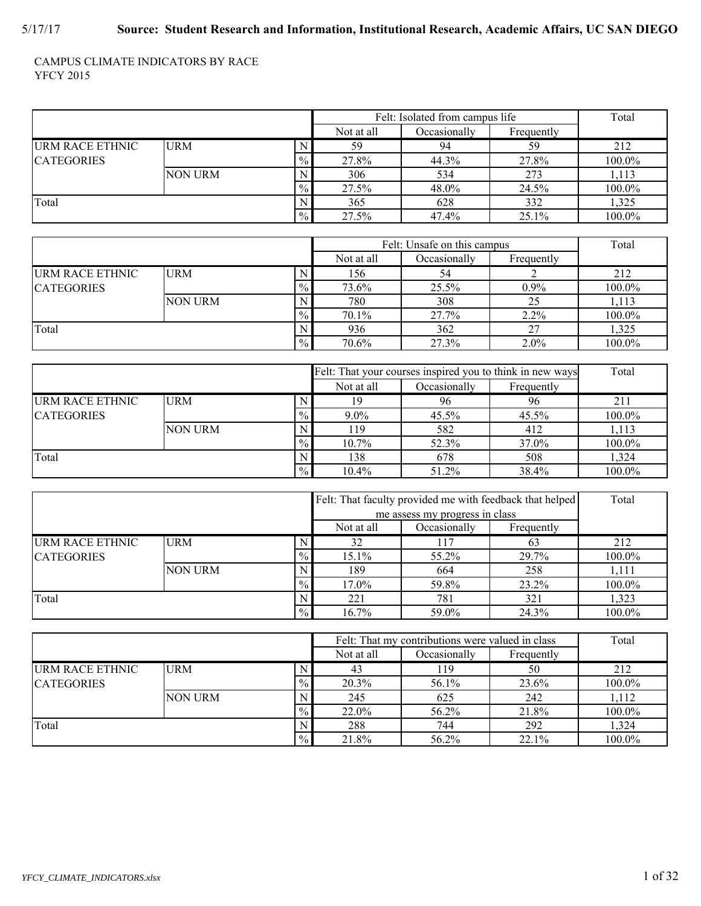#### CAMPUS CLIMATE INDICATORS BY RACE YFCY 2015

|                        |                |               | Felt: Isolated from campus life |              |            | Total  |
|------------------------|----------------|---------------|---------------------------------|--------------|------------|--------|
|                        |                |               | Not at all                      | Occasionally | Frequently |        |
| <b>URM RACE ETHNIC</b> | <b>URM</b>     |               | 59                              | 94           | 59         | 212    |
| <b>CATEGORIES</b>      |                | $\%$          | 27.8%                           | 44.3%        | 27.8%      | 100.0% |
|                        | <b>NON URM</b> |               | 306                             | 534          | 273        | 1,113  |
|                        |                | $\%$          | 27.5%                           | 48.0%        | 24.5%      | 100.0% |
| Total                  |                |               | 365                             | 628          | 332        | 1,325  |
|                        |                | $\frac{0}{0}$ | 27.5%                           | 47.4%        | 25.1%      | 100.0% |

|                   |                |               | Felt: Unsafe on this campus |              |            | Total  |
|-------------------|----------------|---------------|-----------------------------|--------------|------------|--------|
|                   |                |               | Not at all                  | Occasionally | Frequently |        |
| URM RACE ETHNIC   | <b>URM</b>     |               | 156                         | 54           |            | 212    |
| <b>CATEGORIES</b> |                | $\frac{0}{0}$ | 73.6%                       | 25.5%        | $0.9\%$    | 100.0% |
|                   | <b>NON URM</b> |               | 780                         | 308          |            | 1,113  |
|                   |                | $\frac{0}{0}$ | 70.1%                       | 27.7%        | $2.2\%$    | 100.0% |
| Total             |                |               | 936                         | 362          |            | 1,325  |
|                   |                | $\frac{0}{0}$ | 70.6%                       | 27.3%        | $2.0\%$    | 100.0% |

|                   |                |               | Felt: That your courses inspired you to think in new ways | Total        |            |        |
|-------------------|----------------|---------------|-----------------------------------------------------------|--------------|------------|--------|
|                   |                |               | Not at all                                                | Occasionally | Frequently |        |
| URM RACE ETHNIC   | <b>URM</b>     |               | 19                                                        | 96           | 96         | 211    |
| <b>CATEGORIES</b> |                | $\%$          | $9.0\%$                                                   | 45.5%        | 45.5%      | 100.0% |
|                   | <b>NON URM</b> |               | 119                                                       | 582          | 412        | 1,113  |
|                   |                | $\%$          | $10.7\%$                                                  | 52.3%        | 37.0%      | 100.0% |
| Total             |                |               | 138                                                       | 678          | 508        | 1,324  |
|                   |                | $\frac{0}{0}$ | 10.4%                                                     | 51.2%        | 38.4%      | 100.0% |

|                        |                |               |            | Felt: That faculty provided me with feedback that helped | Total      |        |  |
|------------------------|----------------|---------------|------------|----------------------------------------------------------|------------|--------|--|
|                        |                |               |            | me assess my progress in class                           |            |        |  |
|                        |                |               | Not at all | Occasionally                                             | Frequently |        |  |
| <b>URM RACE ETHNIC</b> | URM            |               | 32         | 117                                                      | 63         | 212    |  |
| <b>CATEGORIES</b>      |                | $\frac{0}{0}$ | 15.1%      | 55.2%                                                    | 29.7%      | 100.0% |  |
|                        | <b>NON URM</b> |               | 189        | 664                                                      | 258        | 1,111  |  |
|                        |                | $\%$          | 17.0%      | 59.8%                                                    | 23.2%      | 100.0% |  |
| Total                  |                | 221           | 781        | 321                                                      | 1,323      |        |  |
|                        |                | $\frac{0}{0}$ | 16.7%      | 59.0%                                                    | 24.3%      | 100.0% |  |

|                        |                |               | Felt: That my contributions were valued in class | Total        |            |        |
|------------------------|----------------|---------------|--------------------------------------------------|--------------|------------|--------|
|                        |                |               | Not at all                                       | Occasionally | Frequently |        |
| <b>URM RACE ETHNIC</b> | <b>URM</b>     |               | 43                                               | 119          | 50         | 212    |
| <b>CATEGORIES</b>      |                | $\frac{0}{2}$ | 20.3%                                            | 56.1%        | 23.6%      | 100.0% |
|                        | <b>NON URM</b> |               | 245                                              | 625          | 242        | 1,112  |
|                        |                | $\frac{9}{6}$ | 22.0%                                            | 56.2%        | 21.8%      | 100.0% |
| Total                  |                |               | 288                                              | 744          | 292        | 1,324  |
|                        |                | $\frac{0}{0}$ | 21.8%                                            | 56.2%        | 22.1%      | 100.0% |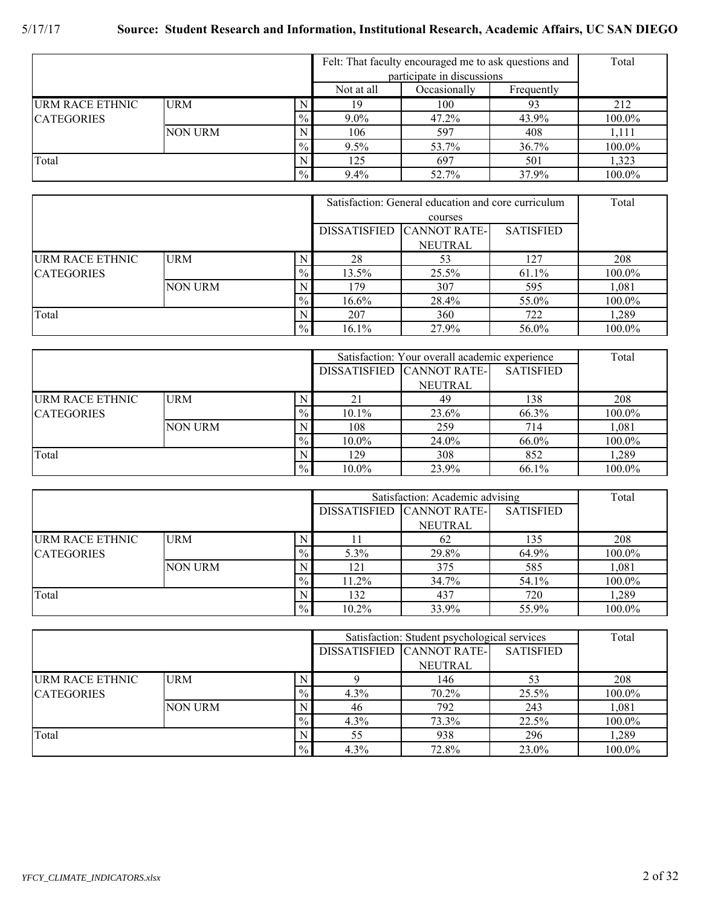|                        |                |               | Felt: That faculty encouraged me to ask questions and<br>participate in discussions | Total |       |        |
|------------------------|----------------|---------------|-------------------------------------------------------------------------------------|-------|-------|--------|
|                        |                |               | Not at all                                                                          |       |       |        |
| <b>URM RACE ETHNIC</b> | <b>URM</b>     |               | 19                                                                                  | 100   | 93    | 212    |
| <b>CATEGORIES</b>      |                | $\%$          | $9.0\%$                                                                             | 47.2% | 43.9% | 100.0% |
|                        | <b>NON URM</b> |               | 106                                                                                 | 597   | 408   | 1,111  |
|                        |                | $\%$          | 9.5%                                                                                | 53.7% | 36.7% | 100.0% |
| Total                  |                |               | 125                                                                                 | 697   | 501   | 1,323  |
|                        |                | $\frac{0}{0}$ | 9.4%                                                                                | 52.7% | 37.9% | 100.0% |

|                   |                |               | Satisfaction: General education and core curriculum | Total                     |                  |        |
|-------------------|----------------|---------------|-----------------------------------------------------|---------------------------|------------------|--------|
|                   |                | courses       |                                                     |                           |                  |        |
|                   |                |               |                                                     | DISSATISFIED CANNOT RATE- | <b>SATISFIED</b> |        |
|                   |                |               |                                                     | <b>NEUTRAL</b>            |                  |        |
| URM RACE ETHNIC   | <b>URM</b>     |               | 28                                                  | 53                        | 127              | 208    |
| <b>CATEGORIES</b> |                | $\%$          | 13.5%                                               | 25.5%                     | 61.1%            | 100.0% |
|                   | <b>NON URM</b> | N             | 179                                                 | 307                       | 595              | 1,081  |
|                   |                | $\%$          | 16.6%                                               | 28.4%                     | 55.0%            | 100.0% |
| Total             |                |               | 207                                                 | 360                       | 722              | 1,289  |
|                   |                | $\frac{0}{0}$ | $16.1\%$                                            | 27.9%                     | 56.0%            | 100.0% |

|                        |                |               | Satisfaction: Your overall academic experience | Total                     |                  |        |
|------------------------|----------------|---------------|------------------------------------------------|---------------------------|------------------|--------|
|                        |                |               |                                                | DISSATISFIED CANNOT RATE- | <b>SATISFIED</b> |        |
|                        |                |               |                                                | <b>NEUTRAL</b>            |                  |        |
| <b>URM RACE ETHNIC</b> | <b>URM</b>     |               | 21                                             | 49                        | 138              | 208    |
| <b>CATEGORIES</b>      |                | $\frac{0}{2}$ | $10.1\%$                                       | 23.6%                     | 66.3%            | 100.0% |
|                        | <b>NON URM</b> |               | 108                                            | 259                       | 714              | 1,081  |
|                        |                | $\frac{0}{0}$ | $10.0\%$                                       | 24.0%                     | 66.0%            | 100.0% |
| Total                  |                |               | 129                                            | 308                       | 852              | 1,289  |
|                        |                | $\frac{0}{0}$ | 10.0%                                          | 23.9%                     | 66.1%            | 100.0% |

|                        |                |               |          | Satisfaction: Academic advising |                  |        |  |
|------------------------|----------------|---------------|----------|---------------------------------|------------------|--------|--|
|                        |                |               |          | DISSATISFIED CANNOT RATE-       | <b>SATISFIED</b> |        |  |
|                        |                |               |          | <b>NEUTRAL</b>                  |                  |        |  |
| <b>URM RACE ETHNIC</b> | <b>URM</b>     |               |          | 62                              | 135              | 208    |  |
| <b>CATEGORIES</b>      |                | $\frac{0}{0}$ | 5.3%     | 29.8%                           | 64.9%            | 100.0% |  |
|                        | <b>NON URM</b> |               | 121      | 375                             | 585              | 1,081  |  |
|                        |                | $\frac{0}{0}$ | $11.2\%$ | 34.7%                           | 54.1%            | 100.0% |  |
| Total                  |                |               | 132      | 437                             | 720              | 1,289  |  |
|                        |                | $\%$          | 10.2%    | 33.9%                           | 55.9%            | 100.0% |  |

|                        |                |               | Satisfaction: Student psychological services | Total                     |                  |        |
|------------------------|----------------|---------------|----------------------------------------------|---------------------------|------------------|--------|
|                        |                |               |                                              | DISSATISFIED CANNOT RATE- | <b>SATISFIED</b> |        |
|                        |                |               |                                              | <b>NEUTRAL</b>            |                  |        |
| <b>URM RACE ETHNIC</b> | <b>URM</b>     |               |                                              | 146                       |                  | 208    |
| <b>CATEGORIES</b>      |                | $\frac{9}{6}$ | $4.3\%$                                      | $70.2\%$                  | 25.5%            | 100.0% |
|                        | <b>NON URM</b> |               | 46                                           | 792                       | 243              | 1.081  |
|                        |                | $\frac{0}{0}$ | 4.3%                                         | 73.3%                     | 22.5%            | 100.0% |
| Total                  |                |               | 55                                           | 938                       | 296              | 1,289  |
|                        |                | $\frac{0}{0}$ | 4.3%                                         | 72.8%                     | 23.0%            | 100.0% |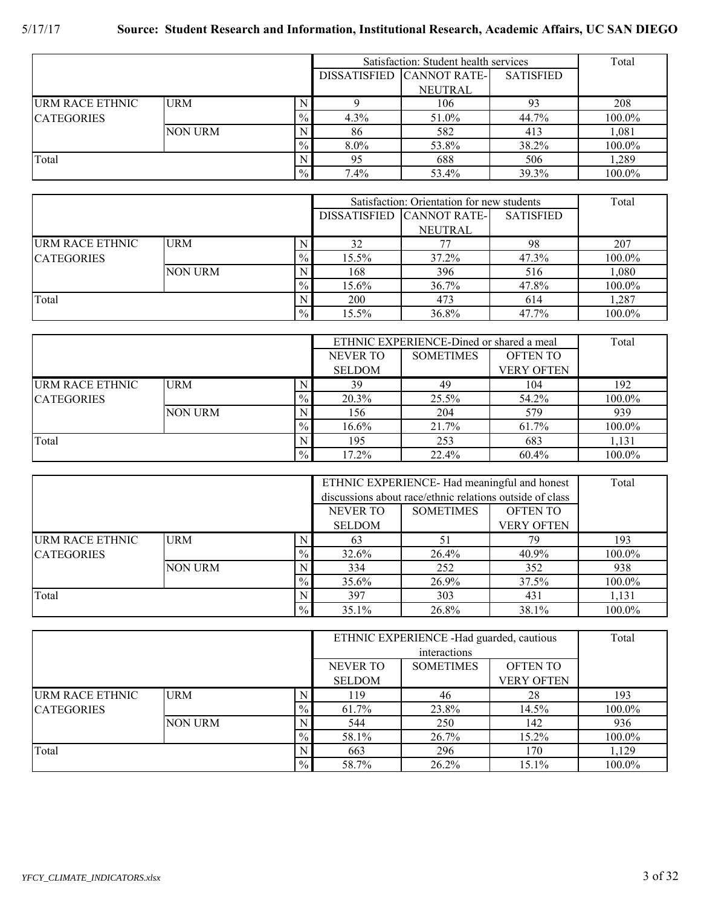|                   |                |               | Satisfaction: Student health services | Total                     |                  |        |
|-------------------|----------------|---------------|---------------------------------------|---------------------------|------------------|--------|
|                   |                |               |                                       | DISSATISFIED CANNOT RATE- | <b>SATISFIED</b> |        |
|                   |                |               |                                       | NEUTRAL                   |                  |        |
| URM RACE ETHNIC   | <b>URM</b>     |               |                                       | 106                       | 93               | 208    |
| <b>CATEGORIES</b> |                | $\frac{0}{0}$ | $4.3\%$                               | 51.0%                     | 44.7%            | 100.0% |
|                   | <b>NON URM</b> |               | 86                                    | 582                       | 413              | 1,081  |
|                   |                | $\frac{0}{0}$ | $8.0\%$                               | 53.8%                     | 38.2%            | 100.0% |
| Total             |                | 95            | 688                                   | 506                       | 1,289            |        |
|                   |                | $\%$          | $7.4\%$                               | 53.4%                     | 39.3%            | 100.0% |

|                   |         |               | Satisfaction: Orientation for new students |                  |        |  |
|-------------------|---------|---------------|--------------------------------------------|------------------|--------|--|
|                   |         |               | DISSATISFIED CANNOT RATE-                  | <b>SATISFIED</b> |        |  |
|                   |         |               | <b>NEUTRAL</b>                             |                  |        |  |
| URM RACE ETHNIC   | URM     | 32            |                                            | 98               | 207    |  |
| <b>CATEGORIES</b> |         | 15.5%<br>$\%$ | 37.2%                                      | 47.3%            | 100.0% |  |
|                   | NON URM | 168           | 396                                        | 516              | 1.080  |  |
|                   |         | $\%$<br>15.6% | 36.7%                                      | 47.8%            | 100.0% |  |
| Total             |         | 200           | 473                                        | 614              | 1,287  |  |
|                   |         | 15.5%<br>$\%$ | 36.8%                                      | 47.7%            | 100.0% |  |

|                               |                |      | ETHNIC EXPERIENCE-Dined or shared a meal | Total            |                   |        |
|-------------------------------|----------------|------|------------------------------------------|------------------|-------------------|--------|
|                               |                |      | NEVER TO                                 | <b>SOMETIMES</b> | <b>OFTEN TO</b>   |        |
|                               |                |      | <b>SELDOM</b>                            |                  | <b>VERY OFTEN</b> |        |
| <b>URM</b><br>URM RACE ETHNIC |                |      | 39                                       | 49               | 104               | 192    |
| <b>CATEGORIES</b>             |                | $\%$ | 20.3%                                    | 25.5%            | 54.2%             | 100.0% |
|                               | <b>NON URM</b> |      | 156                                      | 204              | 579               | 939    |
|                               |                | $\%$ | 16.6%                                    | 21.7%            | 61.7%             | 100.0% |
| Total                         |                |      | 195                                      | 253              | 683               | 1,131  |
|                               |                | $\%$ | 17.2%                                    | 22.4%            | 60.4%             | 100.0% |

|                               |                |               |                                                          | ETHNIC EXPERIENCE-Had meaningful and honest | Total           |        |
|-------------------------------|----------------|---------------|----------------------------------------------------------|---------------------------------------------|-----------------|--------|
|                               |                |               | discussions about race/ethnic relations outside of class |                                             |                 |        |
|                               |                |               | NEVER TO                                                 | <b>SOMETIMES</b>                            | <b>OFTEN TO</b> |        |
|                               |                |               | <b>VERY OFTEN</b>                                        |                                             |                 |        |
| <b>URM</b><br>URM RACE ETHNIC |                |               | 63                                                       | 51                                          | 79              | 193    |
| <b>CATEGORIES</b>             |                | $\frac{0}{0}$ | 32.6%                                                    | 26.4%                                       | 40.9%           | 100.0% |
|                               | <b>NON URM</b> |               | 334                                                      | 252                                         | 352             | 938    |
|                               |                | $\frac{0}{0}$ | 35.6%                                                    | 26.9%                                       | 37.5%           | 100.0% |
| Total<br>N                    |                | 397           | 303                                                      | 431                                         | 1,131           |        |
|                               |                | $\frac{0}{0}$ | 35.1%                                                    | 26.8%                                       | 38.1%           | 100.0% |

|                                           |                |               |               | ETHNIC EXPERIENCE - Had guarded, cautious |                   |        |  |  |  |
|-------------------------------------------|----------------|---------------|---------------|-------------------------------------------|-------------------|--------|--|--|--|
|                                           |                |               |               | interactions                              |                   |        |  |  |  |
|                                           |                |               | NEVER TO      | <b>SOMETIMES</b>                          | <b>OFTEN TO</b>   |        |  |  |  |
|                                           |                |               | <b>SELDOM</b> |                                           | <b>VERY OFTEN</b> |        |  |  |  |
| <b>URM</b><br><b>URM RACE ETHNIC</b><br>N |                |               | 119           | 46                                        | 28                | 193    |  |  |  |
| <b>CATEGORIES</b>                         |                | $\%$          | 61.7%         | 23.8%                                     | $14.5\%$          | 100.0% |  |  |  |
|                                           | <b>NON URM</b> |               | 544           | 250                                       | 142               | 936    |  |  |  |
|                                           |                | $\frac{0}{2}$ | 58.1%         | 26.7%                                     | 15.2%             | 100.0% |  |  |  |
| Total<br>N.                               |                | 663           | 296           | 170                                       | 1.129             |        |  |  |  |
|                                           |                | $\frac{0}{0}$ | 58.7%         | 26.2%                                     | 15.1%             | 100.0% |  |  |  |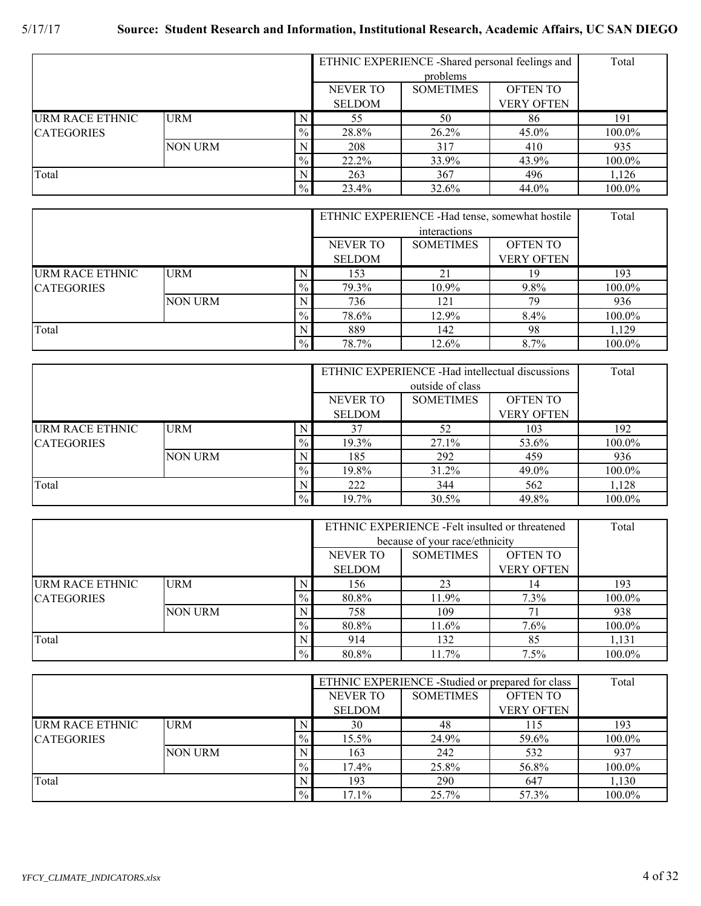|                        |                |               |               | ETHNIC EXPERIENCE - Shared personal feelings and |                   |        |  |  |  |
|------------------------|----------------|---------------|---------------|--------------------------------------------------|-------------------|--------|--|--|--|
|                        |                |               |               | problems                                         |                   |        |  |  |  |
|                        |                |               | NEVER TO      | <b>SOMETIMES</b>                                 | <b>OFTEN TO</b>   |        |  |  |  |
|                        |                |               | <b>SELDOM</b> |                                                  | <b>VERY OFTEN</b> |        |  |  |  |
| <b>URM RACE ETHNIC</b> | <b>URM</b>     |               | 55            | 50                                               | 86                | 191    |  |  |  |
| <b>CATEGORIES</b>      |                | $\frac{0}{0}$ | 28.8%         | $26.2\%$                                         | $45.0\%$          | 100.0% |  |  |  |
|                        | <b>NON URM</b> |               | 208           | 317                                              | 410               | 935    |  |  |  |
|                        |                | $\frac{0}{0}$ | 22.2%         | 33.9%                                            | 43.9%             | 100.0% |  |  |  |
| Total                  |                |               | 263           | 367                                              | 496               | 1,126  |  |  |  |
|                        |                | $\frac{0}{0}$ | 23.4%         | 32.6%                                            | 44.0%             | 100.0% |  |  |  |

|                               |                |               | ETHNIC EXPERIENCE - Had tense, somewhat hostile | Total           |                   |        |
|-------------------------------|----------------|---------------|-------------------------------------------------|-----------------|-------------------|--------|
|                               |                |               |                                                 |                 |                   |        |
|                               |                | NEVER TO      | <b>SOMETIMES</b>                                | <b>OFTEN TO</b> |                   |        |
|                               |                |               | <b>SELDOM</b>                                   |                 | <b>VERY OFTEN</b> |        |
| <b>URM RACE ETHNIC</b><br>URM |                |               | 153                                             | 21              |                   | 193    |
| <b>CATEGORIES</b>             |                | $\frac{0}{0}$ | 79.3%                                           | 10.9%           | $9.8\%$           | 100.0% |
|                               | <b>NON URM</b> |               | 736                                             | 121             | 79                | 936    |
|                               |                | $\frac{0}{0}$ | 78.6%                                           | 12.9%           | 8.4%              | 100.0% |
| Total                         |                |               | 889                                             | 142             | 98                | 1.129  |
| $\frac{0}{0}$                 |                |               | 78.7%                                           | 12.6%           | 8.7%              | 100.0% |

|                        |                |               | ETHNIC EXPERIENCE - Had intellectual discussions | Total            |                   |        |  |  |  |
|------------------------|----------------|---------------|--------------------------------------------------|------------------|-------------------|--------|--|--|--|
|                        |                |               |                                                  | outside of class |                   |        |  |  |  |
|                        |                |               | <b>NEVER TO</b>                                  | <b>SOMETIMES</b> | <b>OFTEN TO</b>   |        |  |  |  |
|                        |                |               | <b>SELDOM</b>                                    |                  | <b>VERY OFTEN</b> |        |  |  |  |
| <b>URM RACE ETHNIC</b> | <b>URM</b>     |               | 37                                               | 52               | 103               | 192    |  |  |  |
| <b>CATEGORIES</b>      |                | $\frac{0}{2}$ | 19.3%                                            | 27.1%            | 53.6%             | 100.0% |  |  |  |
|                        | <b>NON URM</b> |               | 185                                              | 292              | 459               | 936    |  |  |  |
|                        |                | $\frac{0}{0}$ | 19.8%                                            | 31.2%            | 49.0%             | 100.0% |  |  |  |
| Total                  |                |               | 222                                              | 344              | 562               | 1,128  |  |  |  |
| $\frac{0}{0}$          |                |               | 19.7%                                            | $30.5\%$         | 49.8%             | 100.0% |  |  |  |

|                        |                |                | ETHNIC EXPERIENCE - Felt insulted or threatened | Total            |                   |        |
|------------------------|----------------|----------------|-------------------------------------------------|------------------|-------------------|--------|
|                        |                |                | because of your race/ethnicity                  |                  |                   |        |
|                        |                |                | NEVER TO                                        | <b>SOMETIMES</b> | <b>OFTEN TO</b>   |        |
|                        |                |                | <b>SELDOM</b>                                   |                  | <b>VERY OFTEN</b> |        |
| <b>URM RACE ETHNIC</b> | <b>URM</b>     | N <sub>1</sub> | 156                                             | 23               | 14                | 193    |
| <b>CATEGORIES</b>      |                | $\frac{0}{0}$  | 80.8%                                           | 11.9%            | $7.3\%$           | 100.0% |
|                        | <b>NON URM</b> | N              | 758                                             | 109              |                   | 938    |
|                        |                | $\frac{0}{0}$  | 80.8%                                           | 11.6%            | 7.6%              | 100.0% |
| Total                  |                |                | 914                                             | 132              | 85                | 1,131  |
|                        |                | $\frac{0}{0}$  | 80.8%                                           | 11.7%            | 7.5%              | 100.0% |

|                        |                |               | ETHNIC EXPERIENCE - Studied or prepared for class |                  | Total             |        |
|------------------------|----------------|---------------|---------------------------------------------------|------------------|-------------------|--------|
|                        |                |               | <b>NEVER TO</b>                                   | <b>SOMETIMES</b> | <b>OFTEN TO</b>   |        |
|                        |                |               | <b>SELDOM</b>                                     |                  | <b>VERY OFTEN</b> |        |
| <b>URM RACE ETHNIC</b> | <b>URM</b>     |               | 30                                                | 48               | 115               | 193    |
| <b>CATEGORIES</b>      |                | $\frac{0}{0}$ | 15.5%                                             | 24.9%            | 59.6%             | 100.0% |
|                        | <b>NON URM</b> |               | 163                                               | 242              | 532               | 937    |
|                        |                | $\frac{0}{0}$ | 17.4%                                             | 25.8%            | 56.8%             | 100.0% |
| Total                  |                | 193           | 290                                               | 647              | 1,130             |        |
|                        |                | $\frac{0}{0}$ | $17.1\%$                                          | 25.7%            | 57.3%             | 100.0% |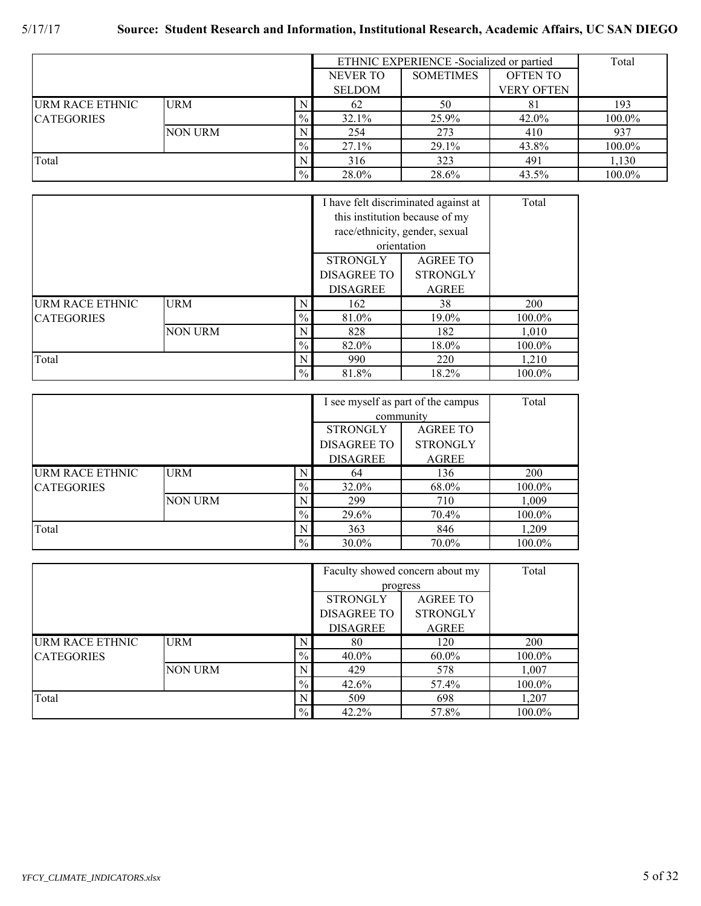|                        |                |      | ETHNIC EXPERIENCE -Socialized or partied | Total            |                   |        |
|------------------------|----------------|------|------------------------------------------|------------------|-------------------|--------|
|                        |                |      | <b>NEVER TO</b>                          | <b>SOMETIMES</b> | <b>OFTEN TO</b>   |        |
|                        |                |      | <b>SELDOM</b>                            |                  | <b>VERY OFTEN</b> |        |
| <b>URM RACE ETHNIC</b> | URM            |      | 62                                       | 50               | 81                | 193    |
| <b>CATEGORIES</b>      |                | $\%$ | 32.1%                                    | 25.9%            | 42.0%             | 100.0% |
|                        | <b>NON URM</b> |      | 254                                      | 273              | 410               | 937    |
|                        |                | $\%$ | 27.1%                                    | 29.1%            | 43.8%             | 100.0% |
| Total                  |                | 316  | 323                                      | 491              | 1.130             |        |
|                        |                | $\%$ | 28.0%                                    | 28.6%            | 43.5%             | 100.0% |

|                        |                |               |                                | I have felt discriminated against at | Total  |
|------------------------|----------------|---------------|--------------------------------|--------------------------------------|--------|
|                        |                |               | this institution because of my |                                      |        |
|                        |                |               | race/ethnicity, gender, sexual |                                      |        |
|                        |                |               | orientation                    |                                      |        |
|                        |                |               | <b>STRONGLY</b>                | <b>AGREE TO</b>                      |        |
|                        |                |               | <b>DISAGREE TO</b>             | <b>STRONGLY</b>                      |        |
|                        |                |               | <b>DISAGREE</b>                | <b>AGREE</b>                         |        |
| <b>URM RACE ETHNIC</b> | <b>URM</b>     | N             | 162                            | 38                                   | 200    |
| <b>CATEGORIES</b>      |                | $\%$          | 81.0%                          | 19.0%                                | 100.0% |
|                        | <b>NON URM</b> | N             | 828                            | 182                                  | 1,010  |
|                        |                | $\frac{0}{0}$ | 82.0%                          | 18.0%                                | 100.0% |
| Total                  |                | N             | 990                            | 220                                  | 1,210  |
|                        |                | $\frac{0}{0}$ | 81.8%                          | 18.2%                                | 100.0% |

|                        |                |                    | I see myself as part of the campus |                 | Total  |
|------------------------|----------------|--------------------|------------------------------------|-----------------|--------|
|                        |                |                    |                                    | community       |        |
|                        |                |                    | <b>STRONGLY</b>                    | <b>AGREE TO</b> |        |
|                        |                | <b>DISAGREE TO</b> | <b>STRONGLY</b>                    |                 |        |
|                        |                |                    | <b>DISAGREE</b>                    | <b>AGREE</b>    |        |
| <b>URM RACE ETHNIC</b> | <b>URM</b>     |                    | 64                                 | 136             | 200    |
| <b>CATEGORIES</b>      |                | $\%$               | 32.0%                              | 68.0%           | 100.0% |
|                        | <b>NON URM</b> | N                  | 299                                | 710             | 1,009  |
|                        |                | $\%$               | 29.6%                              | 70.4%           | 100.0% |
| Total                  |                | N                  | 363                                | 846             | 1,209  |
|                        |                | $\%$               | 30.0%                              | 70.0%           | 100.0% |

|                   |                |               |                    | Faculty showed concern about my | Total  |
|-------------------|----------------|---------------|--------------------|---------------------------------|--------|
|                   |                |               |                    | progress                        |        |
|                   |                |               | <b>STRONGLY</b>    | <b>AGREE TO</b>                 |        |
|                   |                |               | <b>DISAGREE TO</b> | <b>STRONGLY</b>                 |        |
|                   |                |               | <b>DISAGREE</b>    | <b>AGREE</b>                    |        |
| URM RACE ETHNIC   | <b>URM</b>     | N             | 80                 | 120                             | 200    |
| <b>CATEGORIES</b> |                | $\frac{0}{0}$ | $40.0\%$           | $60.0\%$                        | 100.0% |
|                   | <b>NON URM</b> | N             | 429                | 578                             | 1.007  |
|                   |                | $\frac{0}{0}$ | 42.6%              | 57.4%                           | 100.0% |
| Total             |                | N             | 509                | 698                             | 1,207  |
|                   |                | $\%$          | 42.2%              | 57.8%                           | 100.0% |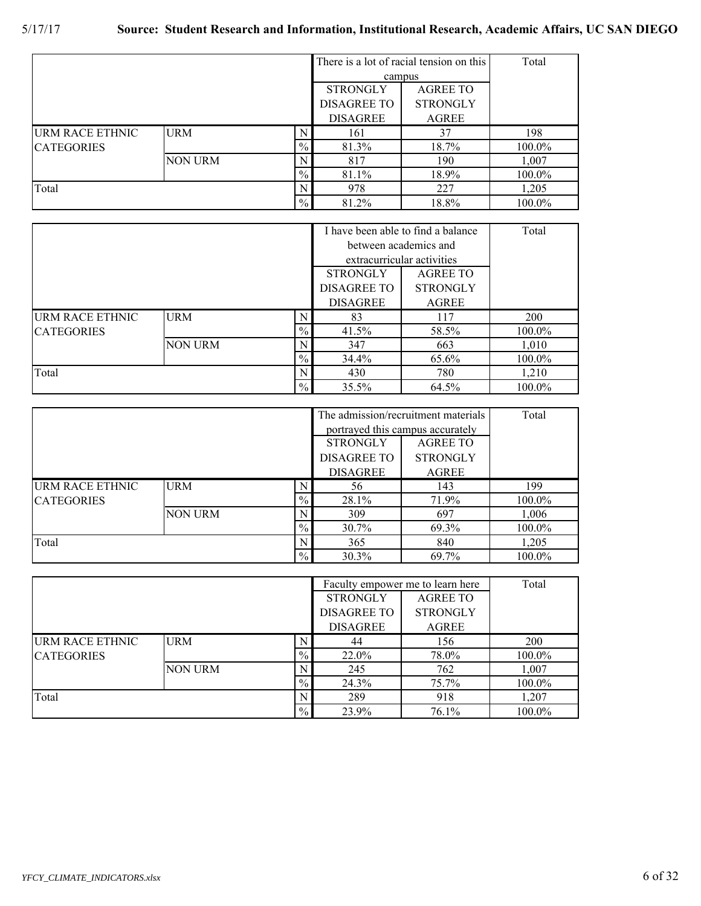|                   |                | There is a lot of racial tension on this |                    | Total           |        |
|-------------------|----------------|------------------------------------------|--------------------|-----------------|--------|
|                   |                |                                          | campus             |                 |        |
|                   |                |                                          | <b>STRONGLY</b>    | <b>AGREE TO</b> |        |
|                   |                |                                          | <b>DISAGREE TO</b> | <b>STRONGLY</b> |        |
|                   |                |                                          | <b>DISAGREE</b>    | AGREE           |        |
| URM RACE ETHNIC   | <b>URM</b>     | N                                        | 161                | 37              | 198    |
| <b>CATEGORIES</b> |                | $\frac{0}{0}$                            | 81.3%              | 18.7%           | 100.0% |
|                   | <b>NON URM</b> | N                                        | 817                | 190             | 1,007  |
|                   |                | $\frac{0}{0}$                            | 81.1%              | 18.9%           | 100.0% |
| Total             |                | N                                        | 978                | 227             | 1,205  |
|                   |                | $\frac{0}{0}$                            | 81.2%              | 18.8%           | 100.0% |

|                   |                | I have been able to find a balance |                 | Total                 |        |
|-------------------|----------------|------------------------------------|-----------------|-----------------------|--------|
|                   |                |                                    |                 | between academics and |        |
|                   |                | extracurricular activities         |                 |                       |        |
|                   |                |                                    | <b>STRONGLY</b> | <b>AGREE TO</b>       |        |
|                   |                |                                    | DISAGREE TO     | <b>STRONGLY</b>       |        |
|                   |                |                                    | <b>DISAGREE</b> | AGREE                 |        |
| URM RACE ETHNIC   | <b>URM</b>     | N                                  | 83              | 117                   | 200    |
| <b>CATEGORIES</b> |                | $\%$                               | 41.5%           | 58.5%                 | 100.0% |
|                   | <b>NON URM</b> | N                                  | 347             | 663                   | 1,010  |
|                   |                | $\frac{0}{0}$                      | 34.4%           | 65.6%                 | 100.0% |
| Total             |                | N                                  | 430             | 780                   | 1,210  |
|                   |                | $\frac{0}{6}$                      | 35.5%           | 64.5%                 | 100.0% |

|                        |                | The admission/recruitment materials |                                  | Total           |        |
|------------------------|----------------|-------------------------------------|----------------------------------|-----------------|--------|
|                        |                |                                     | portrayed this campus accurately |                 |        |
|                        |                | <b>STRONGLY</b>                     | <b>AGREE TO</b>                  |                 |        |
|                        |                |                                     | <b>DISAGREE TO</b>               | <b>STRONGLY</b> |        |
|                        |                |                                     | <b>DISAGREE</b>                  | AGREE           |        |
| <b>URM RACE ETHNIC</b> | URM            |                                     | 56                               | 143             | 199    |
| <b>CATEGORIES</b>      |                | $\%$                                | 28.1%                            | 71.9%           | 100.0% |
|                        | <b>NON URM</b> | N                                   | 309                              | 697             | 1.006  |
|                        |                | $\%$                                | 30.7%                            | 69.3%           | 100.0% |
| Total                  |                | N                                   | 365                              | 840             | 1.205  |
|                        |                | $\frac{0}{0}$                       | 30.3%                            | 69.7%           | 100.0% |

|                        |                |               | Faculty empower me to learn here | Total           |        |
|------------------------|----------------|---------------|----------------------------------|-----------------|--------|
|                        |                |               | <b>STRONGLY</b>                  | <b>AGREE TO</b> |        |
|                        |                |               | DISAGREE TO                      | <b>STRONGLY</b> |        |
|                        |                |               | <b>DISAGREE</b>                  | <b>AGREE</b>    |        |
| <b>URM RACE ETHNIC</b> | <b>URM</b>     | N             | 44                               | 156             | 200    |
| <b>CATEGORIES</b>      |                | $\%$          | 22.0%                            | 78.0%           | 100.0% |
|                        | <b>NON URM</b> | N             | 245                              | 762             | 1.007  |
|                        |                | $\%$          | 24.3%                            | 75.7%           | 100.0% |
| Total                  |                | N             | 289                              | 918             | 1,207  |
|                        |                | $\frac{0}{0}$ | 23.9%                            | 76.1%           | 100.0% |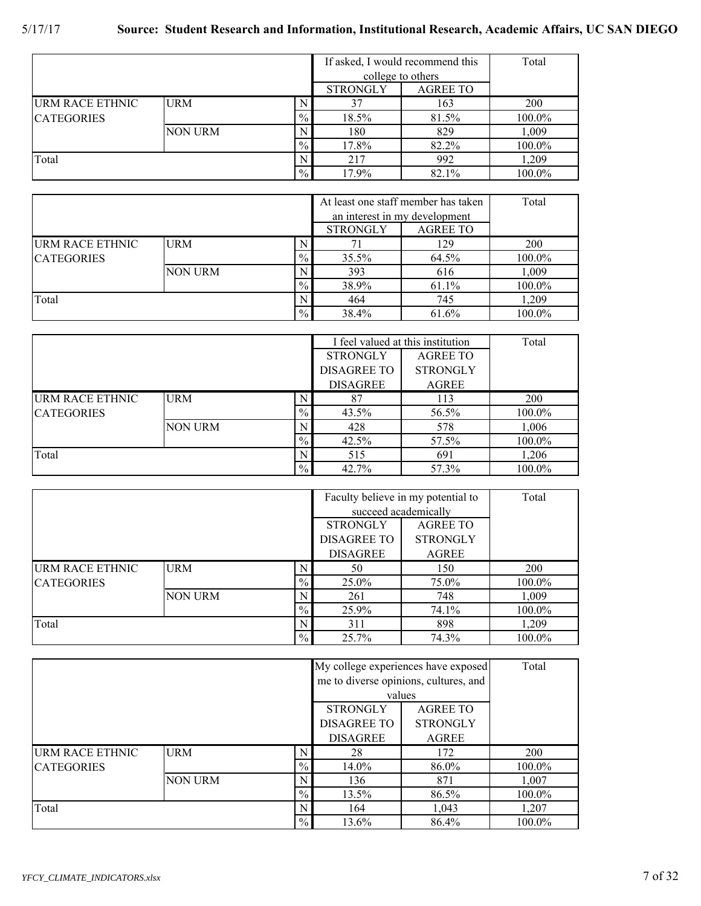|                   |                | If asked, I would recommend this |                 | Total           |        |
|-------------------|----------------|----------------------------------|-----------------|-----------------|--------|
|                   |                | college to others                |                 |                 |        |
|                   |                |                                  | <b>STRONGLY</b> | <b>AGREE TO</b> |        |
| URM RACE ETHNIC   | <b>URM</b>     |                                  | 37              | 163             | 200    |
| <b>CATEGORIES</b> |                | $\frac{0}{6}$                    | 18.5%           | 81.5%           | 100.0% |
|                   | <b>NON URM</b> |                                  | 180             | 829             | 1,009  |
|                   |                | $\%$                             | 17.8%           | 82.2%           | 100.0% |
| Total             |                |                                  | 217             | 992             | 1,209  |
|                   |                | $\%$                             | 17.9%           | 82.1%           | 100.0% |

|                        |                | At least one staff member has taken<br>an interest in my development |                 | Total           |        |
|------------------------|----------------|----------------------------------------------------------------------|-----------------|-----------------|--------|
|                        |                |                                                                      | <b>STRONGLY</b> | <b>AGREE TO</b> |        |
| URM<br>URM RACE ETHNIC |                |                                                                      |                 | 129             | 200    |
| <b>CATEGORIES</b>      |                | $\frac{0}{6}$                                                        | 35.5%           | 64.5%           | 100.0% |
|                        | <b>NON URM</b> |                                                                      | 393             | 616             | 1.009  |
|                        |                | $\frac{0}{6}$                                                        | 38.9%           | 61.1%           | 100.0% |
| Total                  |                |                                                                      | 464             | 745             | 1,209  |
|                        |                | $\frac{0}{0}$                                                        | 38.4%           | 61.6%           | 100.0% |

|                        |                |      | I feel valued at this institution |                 | Total  |
|------------------------|----------------|------|-----------------------------------|-----------------|--------|
|                        |                |      | <b>STRONGLY</b>                   | <b>AGREE TO</b> |        |
|                        |                |      | <b>DISAGREE TO</b>                | <b>STRONGLY</b> |        |
|                        |                |      | <b>DISAGREE</b>                   | <b>AGREE</b>    |        |
| <b>URM RACE ETHNIC</b> | <b>URM</b>     |      | 87                                | 113             | 200    |
| <b>CATEGORIES</b>      |                | $\%$ | 43.5%                             | 56.5%           | 100.0% |
|                        | <b>NON URM</b> | N    | 428                               | 578             | 1,006  |
|                        |                | $\%$ | 42.5%                             | 57.5%           | 100.0% |
| Total                  |                |      | 515                               | 691             | 1,206  |
|                        |                | $\%$ | 42.7%                             | 57.3%           | 100.0% |

|                        |                |      | Faculty believe in my potential to | Total           |        |
|------------------------|----------------|------|------------------------------------|-----------------|--------|
|                        |                |      | succeed academically               |                 |        |
|                        |                |      | <b>STRONGLY</b>                    | <b>AGREE TO</b> |        |
|                        |                |      | <b>DISAGREE TO</b>                 | <b>STRONGLY</b> |        |
|                        |                |      | <b>DISAGREE</b>                    | <b>AGREE</b>    |        |
| <b>URM RACE ETHNIC</b> | <b>URM</b>     |      | 50                                 | 150             | 200    |
| <b>CATEGORIES</b>      |                | $\%$ | 25.0%                              | 75.0%           | 100.0% |
|                        | <b>NON URM</b> |      | 261                                | 748             | 1,009  |
|                        |                | $\%$ | 25.9%                              | 74.1%           | 100.0% |
| Total                  |                | N    | 311                                | 898             | 1,209  |
|                        |                | $\%$ | 25.7%                              | 74.3%           | 100.0% |

|                        |                | My college experiences have exposed |                    | Total                                 |        |
|------------------------|----------------|-------------------------------------|--------------------|---------------------------------------|--------|
|                        |                |                                     |                    | me to diverse opinions, cultures, and |        |
|                        |                |                                     | values             |                                       |        |
|                        |                |                                     | <b>STRONGLY</b>    | <b>AGREE TO</b>                       |        |
|                        |                |                                     | <b>DISAGREE TO</b> | <b>STRONGLY</b>                       |        |
|                        |                |                                     | <b>DISAGREE</b>    | AGREE                                 |        |
| <b>URM RACE ETHNIC</b> | <b>URM</b>     | N                                   | 28                 | 172                                   | 200    |
| <b>CATEGORIES</b>      |                | $\%$                                | 14.0%              | 86.0%                                 | 100.0% |
|                        | <b>NON URM</b> | N                                   | 136                | 871                                   | 1,007  |
|                        |                | $\%$                                | 13.5%              | 86.5%                                 | 100.0% |
| Total                  |                | N                                   | 164                | 1,043                                 | 1,207  |
|                        |                | $\%$                                | 13.6%              | 86.4%                                 | 100.0% |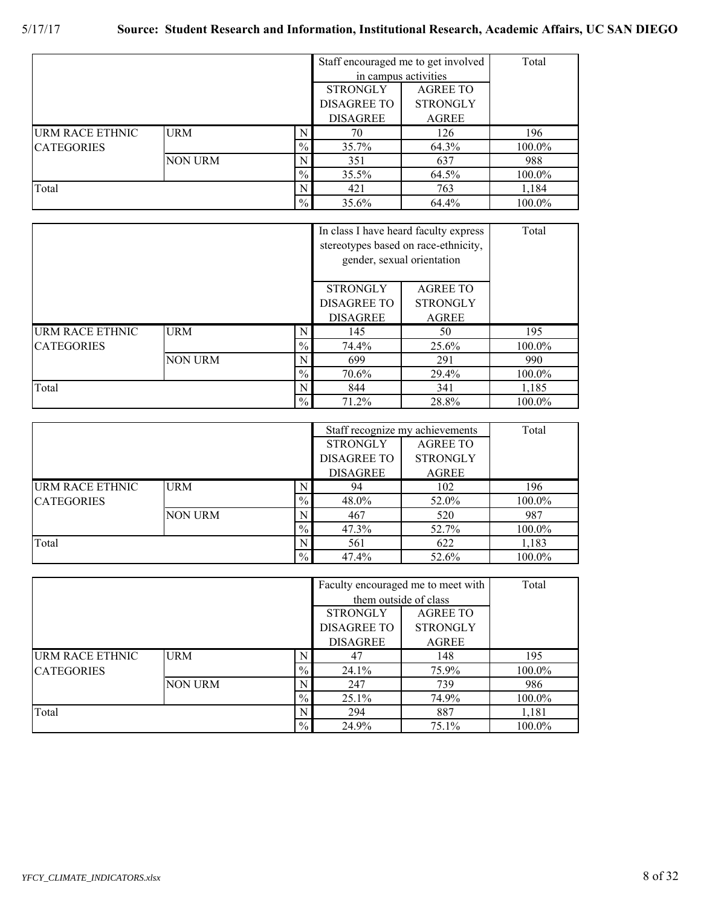|                   |                | Staff encouraged me to get involved |                      | Total           |        |
|-------------------|----------------|-------------------------------------|----------------------|-----------------|--------|
|                   |                |                                     | in campus activities |                 |        |
|                   |                |                                     | <b>STRONGLY</b>      | <b>AGREE TO</b> |        |
|                   |                |                                     | <b>DISAGREE TO</b>   | <b>STRONGLY</b> |        |
|                   |                |                                     | <b>DISAGREE</b>      | <b>AGREE</b>    |        |
| URM RACE ETHNIC   | <b>URM</b>     | N                                   | 70                   | 126             | 196    |
| <b>CATEGORIES</b> |                | $\%$                                | 35.7%                | 64.3%           | 100.0% |
|                   | <b>NON URM</b> | N                                   | 351                  | 637             | 988    |
|                   |                | $\%$                                | 35.5%                | 64.5%           | 100.0% |
| Total             |                | N                                   | 421                  | 763             | 1,184  |
|                   |                | $\frac{0}{6}$                       | 35.6%                | 64.4%           | 100.0% |

|                        |                | In class I have heard faculty express<br>stereotypes based on race-ethnicity,<br>gender, sexual orientation |                                                          | Total                                              |        |
|------------------------|----------------|-------------------------------------------------------------------------------------------------------------|----------------------------------------------------------|----------------------------------------------------|--------|
|                        |                |                                                                                                             | <b>STRONGLY</b><br><b>DISAGREE TO</b><br><b>DISAGREE</b> | <b>AGREE TO</b><br><b>STRONGLY</b><br><b>AGREE</b> |        |
| <b>URM RACE ETHNIC</b> | <b>URM</b>     | N                                                                                                           | 145                                                      | 50                                                 | 195    |
| <b>CATEGORIES</b>      |                | $\%$                                                                                                        | 74.4%                                                    | 25.6%                                              | 100.0% |
|                        | <b>NON URM</b> | N                                                                                                           | 699                                                      | 291                                                | 990    |
|                        |                | $\%$                                                                                                        | 70.6%                                                    | 29.4%                                              | 100.0% |
| Total                  |                | N                                                                                                           | 844                                                      | 341                                                | 1,185  |
|                        |                | $\frac{0}{0}$                                                                                               | 71.2%                                                    | 28.8%                                              | 100.0% |

|                        |                | Staff recognize my achievements |                    | Total           |        |
|------------------------|----------------|---------------------------------|--------------------|-----------------|--------|
|                        |                |                                 | <b>STRONGLY</b>    | <b>AGREE TO</b> |        |
|                        |                |                                 | <b>DISAGREE TO</b> | <b>STRONGLY</b> |        |
|                        |                |                                 | <b>DISAGREE</b>    | <b>AGREE</b>    |        |
| <b>URM RACE ETHNIC</b> | <b>URM</b>     |                                 | 94                 | 102             | 196    |
| <b>CATEGORIES</b>      |                | $\%$                            | 48.0%              | 52.0%           | 100.0% |
|                        | <b>NON URM</b> |                                 | 467                | 520             | 987    |
|                        |                | $\frac{0}{0}$                   | 47.3%              | 52.7%           | 100.0% |
| Total                  |                | N                               | 561                | 622             | 1,183  |
|                        |                | $\frac{0}{6}$                   | 47.4%              | 52.6%           | 100.0% |

|                        |                | Faculty encouraged me to meet with | Total                 |                 |        |
|------------------------|----------------|------------------------------------|-----------------------|-----------------|--------|
|                        |                |                                    | them outside of class |                 |        |
|                        |                |                                    | <b>STRONGLY</b>       | <b>AGREE TO</b> |        |
|                        |                |                                    | <b>DISAGREE TO</b>    | <b>STRONGLY</b> |        |
|                        |                |                                    | <b>DISAGREE</b>       | <b>AGREE</b>    |        |
| <b>URM RACE ETHNIC</b> | <b>URM</b>     |                                    | 47                    | 148             | 195    |
| <b>CATEGORIES</b>      |                | $\%$                               | 24.1%                 | 75.9%           | 100.0% |
|                        | <b>NON URM</b> | N                                  | 247                   | 739             | 986    |
|                        |                | $\%$                               | 25.1%                 | 74.9%           | 100.0% |
| Total                  |                |                                    | 294                   | 887             | 1,181  |
|                        |                | $\frac{0}{6}$                      | 24.9%                 | 75.1%           | 100.0% |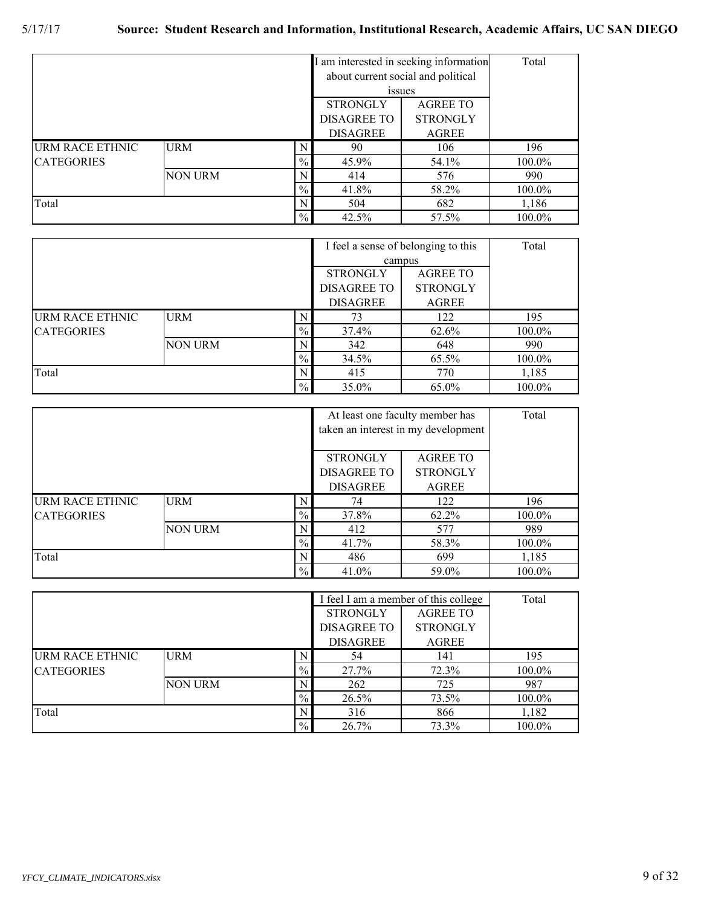|                        |                | I am interested in seeking information |                    | Total           |        |
|------------------------|----------------|----------------------------------------|--------------------|-----------------|--------|
|                        |                | about current social and political     |                    |                 |        |
|                        |                |                                        | <i>ssues</i>       |                 |        |
|                        |                |                                        | <b>STRONGLY</b>    | <b>AGREE TO</b> |        |
|                        |                |                                        | <b>DISAGREE TO</b> | <b>STRONGLY</b> |        |
|                        |                |                                        | <b>DISAGREE</b>    | <b>AGREE</b>    |        |
| <b>URM RACE ETHNIC</b> | <b>URM</b>     | N                                      | 90                 | 106             | 196    |
| <b>CATEGORIES</b>      |                | $\%$                                   | 45.9%              | 54.1%           | 100.0% |
|                        | <b>NON URM</b> | N                                      | 414                | 576             | 990    |
|                        |                | $\%$                                   | 41.8%              | 58.2%           | 100.0% |
| Total                  |                | N                                      | 504                | 682             | 1,186  |
|                        |                | $\frac{0}{0}$                          | 42.5%              | 57.5%           | 100.0% |

|                        |                |               | I feel a sense of belonging to this | Total           |        |
|------------------------|----------------|---------------|-------------------------------------|-----------------|--------|
|                        |                |               | campus                              |                 |        |
|                        |                |               | <b>STRONGLY</b>                     | <b>AGREE TO</b> |        |
|                        |                |               | <b>DISAGREE TO</b>                  | <b>STRONGLY</b> |        |
|                        |                |               | <b>DISAGREE</b>                     | <b>AGREE</b>    |        |
| <b>URM RACE ETHNIC</b> | <b>URM</b>     | N             | 73                                  | 122             | 195    |
| <b>CATEGORIES</b>      |                | $\frac{0}{6}$ | 37.4%                               | 62.6%           | 100.0% |
|                        | <b>NON URM</b> | N             | 342                                 | 648             | 990    |
|                        |                | $\%$          | 34.5%                               | 65.5%           | 100.0% |
| Total                  |                | N             | 415                                 | 770             | 1,185  |
|                        |                | $\%$          | 35.0%                               | 65.0%           | 100.0% |

|                        |                |                                     |                    | At least one faculty member has | Total  |
|------------------------|----------------|-------------------------------------|--------------------|---------------------------------|--------|
|                        |                | taken an interest in my development |                    |                                 |        |
|                        |                |                                     |                    |                                 |        |
|                        |                |                                     | <b>STRONGLY</b>    | <b>AGREE TO</b>                 |        |
|                        |                |                                     | <b>DISAGREE TO</b> | <b>STRONGLY</b>                 |        |
|                        |                |                                     | <b>DISAGREE</b>    | AGREE                           |        |
| <b>URM RACE ETHNIC</b> | <b>URM</b>     | N                                   | 74                 | 122                             | 196    |
| <b>CATEGORIES</b>      |                | $\frac{0}{0}$                       | 37.8%              | 62.2%                           | 100.0% |
|                        | <b>NON URM</b> | N                                   | 412                | 577                             | 989    |
|                        |                | $\frac{0}{0}$                       | 41.7%              | 58.3%                           | 100.0% |
| Total                  |                | N                                   | 486                | 699                             | 1,185  |
|                        |                | $\%$                                | 41.0%              | 59.0%                           | 100.0% |

|                        |                |               |                    | I feel I am a member of this college |        |  |
|------------------------|----------------|---------------|--------------------|--------------------------------------|--------|--|
|                        |                |               | <b>STRONGLY</b>    | <b>AGREE TO</b>                      |        |  |
|                        |                |               | <b>DISAGREE TO</b> | <b>STRONGLY</b>                      |        |  |
|                        |                |               | <b>DISAGREE</b>    | <b>AGREE</b>                         |        |  |
| <b>URM RACE ETHNIC</b> | <b>URM</b>     |               | 54                 | 141                                  | 195    |  |
| <b>CATEGORIES</b>      |                | $\%$          | 27.7%              | 72.3%                                | 100.0% |  |
|                        | <b>NON URM</b> | N             | 262                | 725                                  | 987    |  |
|                        |                | $\%$          | 26.5%              | 73.5%                                | 100.0% |  |
| Total                  |                | N             | 316                | 866                                  | 1,182  |  |
|                        |                | $\frac{0}{6}$ | 26.7%              | 73.3%                                | 100.0% |  |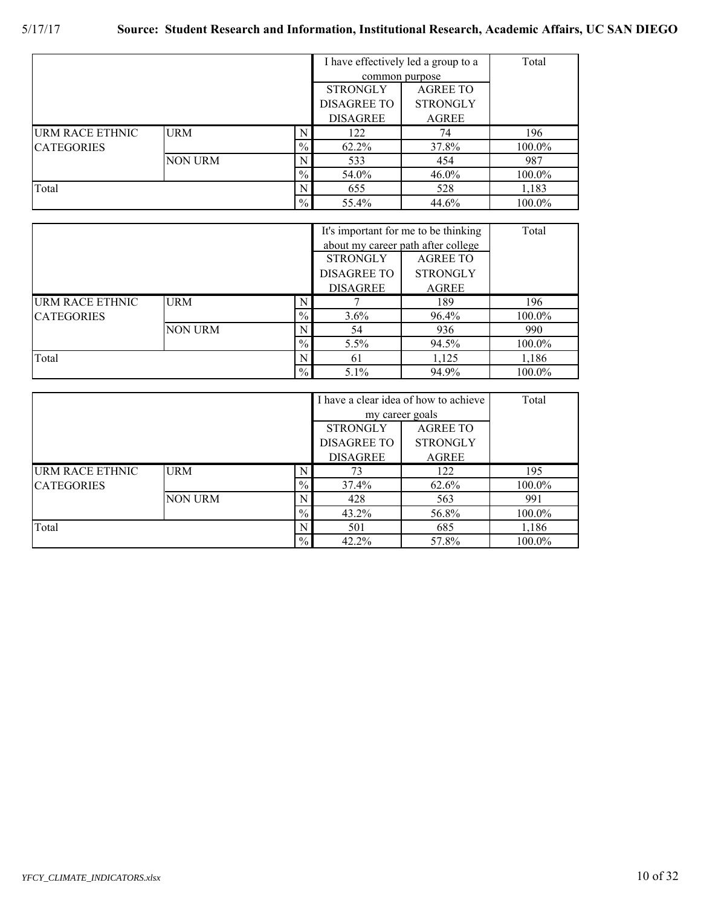|                   |                | I have effectively led a group to a | Total              |                 |        |
|-------------------|----------------|-------------------------------------|--------------------|-----------------|--------|
|                   |                |                                     | common purpose     |                 |        |
|                   |                |                                     | <b>STRONGLY</b>    | <b>AGREE TO</b> |        |
|                   |                |                                     | <b>DISAGREE TO</b> | <b>STRONGLY</b> |        |
|                   |                |                                     | <b>DISAGREE</b>    | AGREE           |        |
| URM RACE ETHNIC   | <b>URM</b>     | N                                   | 122                | 74              | 196    |
| <b>CATEGORIES</b> |                | $\frac{0}{0}$                       | 62.2%              | 37.8%           | 100.0% |
|                   | <b>NON URM</b> | N                                   | 533                | 454             | 987    |
|                   |                | $\%$                                | 54.0%              | $46.0\%$        | 100.0% |
| Total             |                | N                                   | 655                | 528             | 1,183  |
|                   |                | $\frac{0}{6}$                       | 55.4%              | 44.6%           | 100.0% |

|                        |                | It's important for me to be thinking | Total                              |                 |        |
|------------------------|----------------|--------------------------------------|------------------------------------|-----------------|--------|
|                        |                |                                      | about my career path after college |                 |        |
|                        |                |                                      | <b>STRONGLY</b>                    | <b>AGREE TO</b> |        |
|                        |                |                                      | <b>DISAGREE TO</b>                 | <b>STRONGLY</b> |        |
|                        |                |                                      | <b>DISAGREE</b>                    | <b>AGREE</b>    |        |
| <b>URM RACE ETHNIC</b> | <b>URM</b>     | N                                    |                                    | 189             | 196    |
| <b>CATEGORIES</b>      |                | $\%$                                 | $3.6\%$                            | 96.4%           | 100.0% |
|                        | <b>NON URM</b> | N                                    | 54                                 | 936             | 990    |
|                        |                | $\frac{0}{0}$                        | $5.5\%$                            | 94.5%           | 100.0% |
| Total                  |                | N                                    | 61                                 | 1.125           | 1,186  |
|                        |                | $\%$                                 | 5.1%                               | 94.9%           | 100.0% |

|                        |                | I have a clear idea of how to achieve | Total              |                 |        |
|------------------------|----------------|---------------------------------------|--------------------|-----------------|--------|
|                        |                |                                       | my career goals    |                 |        |
|                        |                |                                       | <b>STRONGLY</b>    | <b>AGREE TO</b> |        |
|                        |                |                                       | <b>DISAGREE TO</b> | <b>STRONGLY</b> |        |
|                        |                |                                       | <b>DISAGREE</b>    | <b>AGREE</b>    |        |
| <b>URM RACE ETHNIC</b> | <b>URM</b>     | N                                     | 73                 | 122             | 195    |
| <b>CATEGORIES</b>      |                | $\%$                                  | 37.4%              | 62.6%           | 100.0% |
|                        | <b>NON URM</b> | N                                     | 428                | 563             | 991    |
|                        |                | $\%$                                  | 43.2%              | 56.8%           | 100.0% |
| Total                  |                | N                                     | 501                | 685             | 1,186  |
| $\%$                   |                | 42.2%                                 | 57.8%              | 100.0%          |        |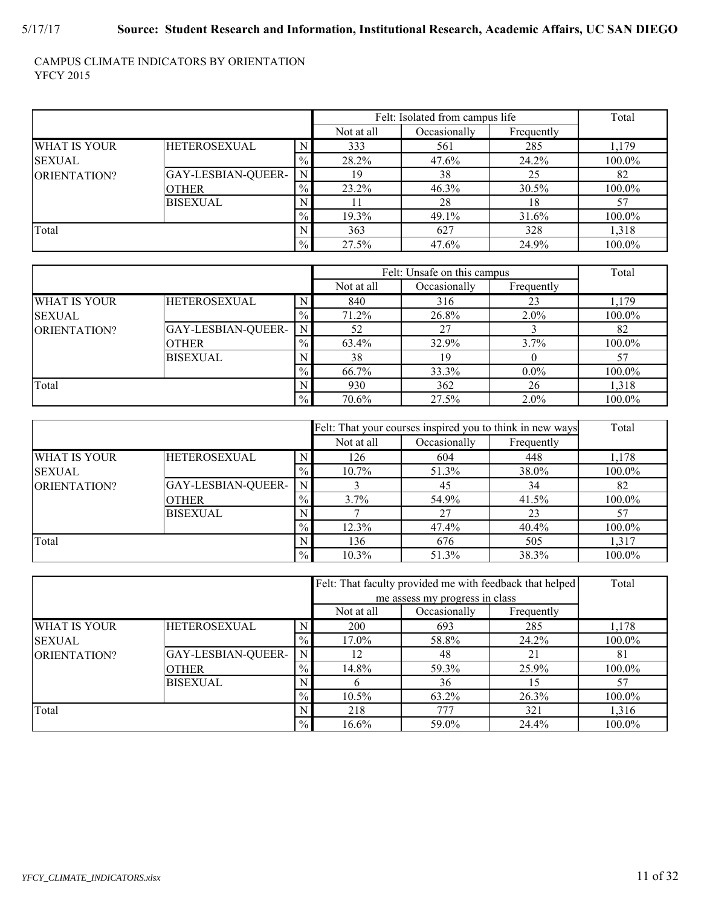#### CAMPUS CLIMATE INDICATORS BY ORIENTATION YFCY 2015

|                     |                     |               | Felt: Isolated from campus life | Total        |            |        |
|---------------------|---------------------|---------------|---------------------------------|--------------|------------|--------|
|                     |                     |               | Not at all                      | Occasionally | Frequently |        |
| <b>WHAT IS YOUR</b> | <b>HETEROSEXUAL</b> |               | 333                             | 561          | 285        | 1.179  |
| <b>SEXUAL</b>       |                     | $\frac{0}{2}$ | 28.2%                           | 47.6%        | 24.2%      | 100.0% |
| ORIENTATION?        | GAY-LESBIAN-QUEER-  | l N           | 19                              | 38           | 25         | 82     |
|                     | <b>OTHER</b>        | $\frac{0}{2}$ | 23.2%                           | 46.3%        | $30.5\%$   | 100.0% |
|                     | <b>BISEXUAL</b>     |               |                                 | 28           | 18         | 57     |
|                     |                     | $\frac{0}{6}$ | 19.3%                           | 49.1%        | 31.6%      | 100.0% |
| Total               |                     | N             | 363                             | 627          | 328        | 1,318  |
|                     |                     | $\frac{0}{0}$ | 27.5%                           | 47.6%        | 24.9%      | 100.0% |

|                     |                     |               | Felt: Unsafe on this campus | Total        |            |        |
|---------------------|---------------------|---------------|-----------------------------|--------------|------------|--------|
|                     |                     |               | Not at all                  | Occasionally | Frequently |        |
| <b>WHAT IS YOUR</b> | <b>HETEROSEXUAL</b> |               | 840                         | 316          | 23         | 1,179  |
| <b>SEXUAL</b>       |                     | $\frac{0}{2}$ | 71.2%                       | 26.8%        | $2.0\%$    | 100.0% |
| <b>ORIENTATION?</b> | GAY-LESBIAN-QUEER-  |               | 52                          | 27           |            | 82     |
|                     | <b>OTHER</b>        | $\frac{0}{2}$ | 63.4%                       | 32.9%        | 3.7%       | 100.0% |
|                     | <b>BISEXUAL</b>     |               | 38                          | 19           |            | 57     |
|                     |                     | $\frac{0}{0}$ | 66.7%                       | 33.3%        | $0.0\%$    | 100.0% |
| Total               |                     |               | 930                         | 362          | 26         | 1,318  |
|                     |                     | $\frac{0}{0}$ | 70.6%                       | 27.5%        | $2.0\%$    | 100.0% |

|               |                     |               |            | Felt: That your courses inspired you to think in new ways |            | Total  |
|---------------|---------------------|---------------|------------|-----------------------------------------------------------|------------|--------|
|               |                     |               | Not at all | Occasionally                                              | Frequently |        |
| WHAT IS YOUR  | <b>HETEROSEXUAL</b> |               | 126        | 604                                                       | 448        | 1,178  |
| <b>SEXUAL</b> |                     | $\frac{0}{0}$ | $10.7\%$   | 51.3%                                                     | 38.0%      | 100.0% |
| ORIENTATION?  | GAY-LESBIAN-QUEER-  | IN.           |            | 45                                                        | 34         | 82     |
|               | <b>OTHER</b>        | $\frac{0}{6}$ | $3.7\%$    | 54.9%                                                     | 41.5%      | 100.0% |
|               | <b>BISEXUAL</b>     |               |            | 27                                                        |            | 57     |
|               |                     | $\frac{0}{0}$ | 12.3%      | 47.4%                                                     | $40.4\%$   | 100.0% |
| Total         |                     |               | 136        | 676                                                       | 505        | 1,317  |
|               |                     | $\frac{0}{0}$ | $10.3\%$   | 51.3%                                                     | 38.3%      | 100.0% |

|                     |                     |                |            | Felt: That faculty provided me with feedback that helped<br>me assess my progress in class |            |        |  |  |
|---------------------|---------------------|----------------|------------|--------------------------------------------------------------------------------------------|------------|--------|--|--|
|                     |                     |                | Not at all | Occasionally                                                                               | Frequently |        |  |  |
| <b>WHAT IS YOUR</b> | <b>HETEROSEXUAL</b> | $\mathbf{N}$   | 200        | 693                                                                                        | 285        | 1,178  |  |  |
| <b>SEXUAL</b>       |                     | $\%$           | 17.0%      | 58.8%                                                                                      | 24.2%      | 100.0% |  |  |
| ORIENTATION?        | GAY-LESBIAN-QUEER-  | $\overline{N}$ | 12         | 48                                                                                         | 21         | 81     |  |  |
|                     | <b>OTHER</b>        | $\%$           | 14.8%      | 59.3%                                                                                      | 25.9%      | 100.0% |  |  |
|                     | <b>BISEXUAL</b>     | N              |            | 36                                                                                         |            | 57     |  |  |
|                     |                     | $\frac{0}{0}$  | 10.5%      | 63.2%                                                                                      | 26.3%      | 100.0% |  |  |
| Total               |                     | N              | 218        | 777                                                                                        | 321        | 1,316  |  |  |
|                     |                     | $\frac{0}{0}$  | 16.6%      | 59.0%                                                                                      | 24.4%      | 100.0% |  |  |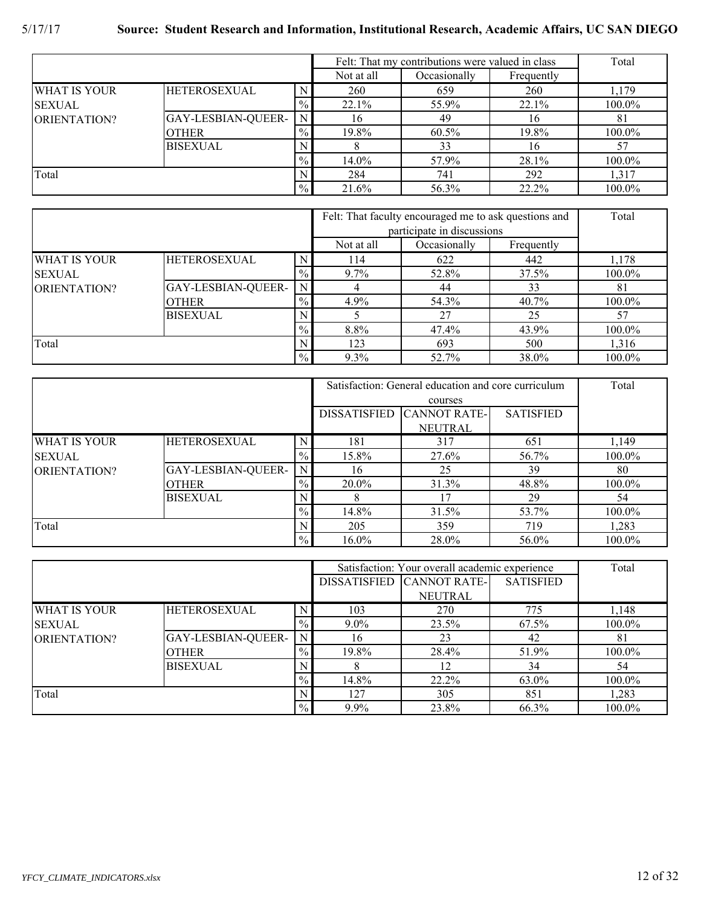# 5/17/17 **Source: Student Research and Information, Institutional Research, Academic Affairs, UC SAN DIEGO**

|                     |                     |               | Felt: That my contributions were valued in class | Total        |            |        |
|---------------------|---------------------|---------------|--------------------------------------------------|--------------|------------|--------|
|                     |                     |               | Not at all                                       | Occasionally | Frequently |        |
| <b>WHAT IS YOUR</b> | <b>HETEROSEXUAL</b> | N.            | 260                                              | 659          | 260        | 1,179  |
| <b>SEXUAL</b>       |                     | $\%$          | 22.1%                                            | 55.9%        | 22.1%      | 100.0% |
| <b>ORIENTATION?</b> | GAY-LESBIAN-QUEER-  | N             | 16                                               | 49           | 16         | 81     |
|                     | <b>OTHER</b>        | $\frac{0}{0}$ | 19.8%                                            | $60.5\%$     | 19.8%      | 100.0% |
|                     | <b>BISEXUAL</b>     |               |                                                  | 33           | l b        | 57     |
|                     |                     | $\%$          | 14.0%                                            | 57.9%        | 28.1%      | 100.0% |
| Total               |                     |               | 284                                              | 741          | 292        | 1.317  |
|                     |                     | $\%$          | 21.6%                                            | 56.3%        | 22.2%      | 100.0% |

|               |                     |               |                            | Felt: That faculty encouraged me to ask questions and |            |        |  |
|---------------|---------------------|---------------|----------------------------|-------------------------------------------------------|------------|--------|--|
|               |                     |               | participate in discussions |                                                       |            |        |  |
|               |                     |               | Not at all                 | Occasionally                                          | Frequently |        |  |
| WHAT IS YOUR  | <b>HETEROSEXUAL</b> | N.            | 114                        | 622                                                   | 442        | 1,178  |  |
| <b>SEXUAL</b> |                     | $\frac{0}{0}$ | $9.7\%$                    | 52.8%                                                 | 37.5%      | 100.0% |  |
| ORIENTATION?  | GAY-LESBIAN-QUEER-  | N.            |                            | 44                                                    | 33         | 81     |  |
|               | <b>OTHER</b>        | $\frac{0}{0}$ | $4.9\%$                    | 54.3%                                                 | 40.7%      | 100.0% |  |
|               | <b>BISEXUAL</b>     | N             |                            | 27                                                    | 25         | 57     |  |
|               |                     | $\%$          | 8.8%                       | 47.4%                                                 | 43.9%      | 100.0% |  |
| Total         |                     | N             | 123                        | 693                                                   | 500        | 1,316  |  |
|               |                     | $\frac{0}{0}$ | 9.3%                       | 52.7%                                                 | 38.0%      | 100.0% |  |

|                     |                     |                |                     | Satisfaction: General education and core curriculum |                  |        |  |  |
|---------------------|---------------------|----------------|---------------------|-----------------------------------------------------|------------------|--------|--|--|
|                     |                     |                |                     |                                                     |                  |        |  |  |
|                     |                     |                | <b>DISSATISFIED</b> | <b>CANNOT RATE-</b>                                 | <b>SATISFIED</b> |        |  |  |
|                     |                     |                |                     | <b>NEUTRAL</b>                                      |                  |        |  |  |
| <b>WHAT IS YOUR</b> | <b>HETEROSEXUAL</b> | N <sub>1</sub> | 181                 | 317                                                 | 651              | 1,149  |  |  |
| <b>SEXUAL</b>       |                     | $\%$           | 15.8%               | 27.6%                                               | 56.7%            | 100.0% |  |  |
| ORIENTATION?        | GAY-LESBIAN-QUEER-  | N.             | 16                  | 25                                                  | 39               | 80     |  |  |
|                     | <b>OTHER</b>        | $\%$           | 20.0%               | 31.3%                                               | 48.8%            | 100.0% |  |  |
|                     | <b>BISEXUAL</b>     | N <sub>1</sub> |                     |                                                     | 29               | 54     |  |  |
|                     |                     | $\%$           | 14.8%               | 31.5%                                               | 53.7%            | 100.0% |  |  |
| Total               |                     |                | 205                 | 359                                                 | 719              | 1,283  |  |  |
|                     |                     | $\%$           | $16.0\%$            | 28.0%                                               | 56.0%            | 100.0% |  |  |

|                     |                     |               |         | Satisfaction: Your overall academic experience |                  |        |  |  |
|---------------------|---------------------|---------------|---------|------------------------------------------------|------------------|--------|--|--|
|                     |                     |               |         | DISSATISFIED CANNOT RATE-                      | <b>SATISFIED</b> |        |  |  |
|                     |                     |               |         | <b>NEUTRAL</b>                                 |                  |        |  |  |
| <b>WHAT IS YOUR</b> | <b>HETEROSEXUAL</b> | N             | 103     | 270                                            | 775              | 1,148  |  |  |
| <b>SEXUAL</b>       |                     | $\frac{0}{0}$ | $9.0\%$ | 23.5%                                          | 67.5%            | 100.0% |  |  |
| <b>ORIENTATION?</b> | GAY-LESBIAN-QUEER-  | l N           | 16      | 23                                             | 42               | 81     |  |  |
|                     | <b>OTHER</b>        | $\frac{0}{0}$ | 19.8%   | 28.4%                                          | 51.9%            | 100.0% |  |  |
|                     | <b>BISEXUAL</b>     |               |         | 12                                             | 34               | 54     |  |  |
|                     |                     | $\frac{0}{0}$ | 14.8%   | 22.2%                                          | 63.0%            | 100.0% |  |  |
| Total               |                     |               | 127     | 305                                            | 851              | 1,283  |  |  |
|                     |                     | $\frac{0}{0}$ | 9.9%    | 23.8%                                          | 66.3%            | 100.0% |  |  |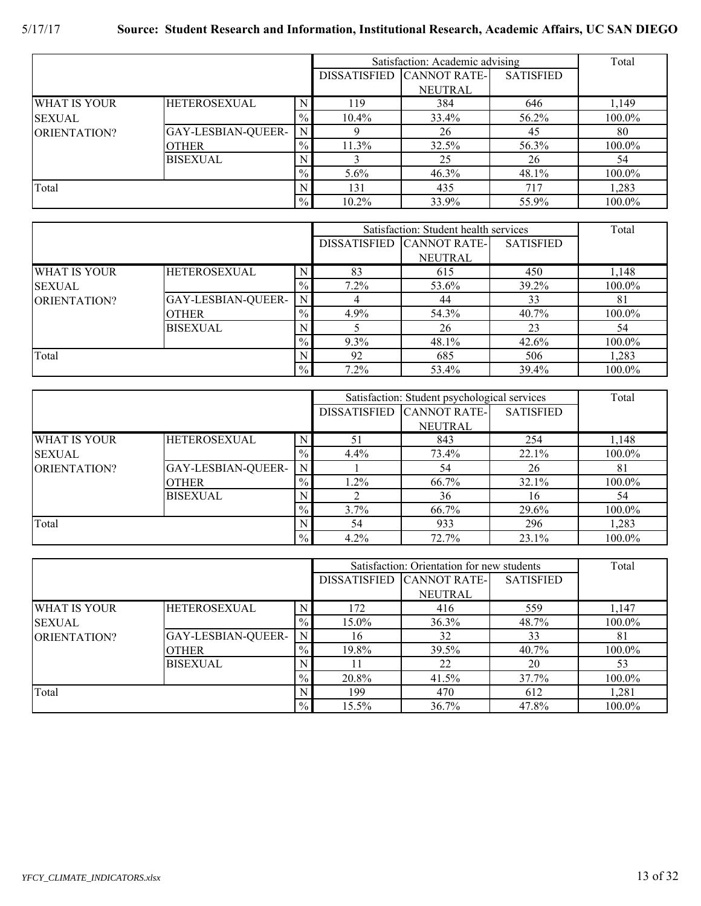|                     |                     |               | Satisfaction: Academic advising |                           | Total            |        |
|---------------------|---------------------|---------------|---------------------------------|---------------------------|------------------|--------|
|                     |                     |               |                                 | DISSATISFIED CANNOT RATE- | <b>SATISFIED</b> |        |
|                     |                     |               |                                 | <b>NEUTRAL</b>            |                  |        |
| <b>WHAT IS YOUR</b> | <b>HETEROSEXUAL</b> | N             | 119                             | 384                       | 646              | 1.149  |
| <b>SEXUAL</b>       |                     | $\frac{0}{0}$ | $10.4\%$                        | 33.4%                     | 56.2%            | 100.0% |
| <b>ORIENTATION?</b> | GAY-LESBIAN-QUEER-  |               |                                 | 26                        | 45               | 80     |
|                     | <b>OTHER</b>        | $\frac{0}{0}$ | 11.3%                           | 32.5%                     | 56.3%            | 100.0% |
|                     | <b>BISEXUAL</b>     |               |                                 | 25                        | 26               | 54     |
|                     |                     | $\frac{0}{0}$ | 5.6%                            | 46.3%                     | 48.1%            | 100.0% |
| Total               |                     |               | 131                             | 435                       | 717              | 1.283  |
|                     |                     | $\frac{0}{0}$ | 10.2%                           | 33.9%                     | 55.9%            | 100.0% |

|                     |                     |               |         | Satisfaction: Student health services |                  |        |  |  |
|---------------------|---------------------|---------------|---------|---------------------------------------|------------------|--------|--|--|
|                     |                     |               |         | DISSATISFIED CANNOT RATE-             | <b>SATISFIED</b> |        |  |  |
|                     |                     |               |         | <b>NEUTRAL</b>                        |                  |        |  |  |
| <b>WHAT IS YOUR</b> | <b>HETEROSEXUAL</b> | N             | 83      | 615                                   | 450              | 1,148  |  |  |
| <b>SEXUAL</b>       |                     | $\frac{0}{0}$ | $7.2\%$ | 53.6%                                 | 39.2%            | 100.0% |  |  |
| ORIENTATION?        | GAY-LESBIAN-QUEER-  | N             |         | 44                                    | 33               | 81     |  |  |
|                     | <b>OTHER</b>        | $\frac{0}{0}$ | $4.9\%$ | 54.3%                                 | 40.7%            | 100.0% |  |  |
|                     | <b>BISEXUAL</b>     | N             |         | 26                                    | 23               | 54     |  |  |
|                     |                     | $\frac{0}{0}$ | $9.3\%$ | 48.1%                                 | 42.6%            | 100.0% |  |  |
| Total               |                     |               | 92      | 685                                   | 506              | 1,283  |  |  |
|                     |                     | $\%$          | $7.2\%$ | 53.4%                                 | 39.4%            | 100.0% |  |  |

|                     |                     |               | Satisfaction: Student psychological services | Total                     |                  |        |
|---------------------|---------------------|---------------|----------------------------------------------|---------------------------|------------------|--------|
|                     |                     |               |                                              | DISSATISFIED CANNOT RATE- | <b>SATISFIED</b> |        |
|                     |                     |               |                                              | <b>NEUTRAL</b>            |                  |        |
| <b>WHAT IS YOUR</b> | <b>HETEROSEXUAL</b> | N             | 51                                           | 843                       | 254              | 1,148  |
| <b>SEXUAL</b>       |                     | $\frac{0}{0}$ | $4.4\%$                                      | 73.4%                     | 22.1%            | 100.0% |
| ORIENTATION?        | GAY-LESBIAN-QUEER-  | i N           |                                              | 54                        | 26               | 81     |
|                     | <b>OTHER</b>        | $\frac{0}{0}$ | 1.2%                                         | 66.7%                     | 32.1%            | 100.0% |
|                     | <b>BISEXUAL</b>     |               |                                              | 36                        | 16               | 54     |
|                     |                     | $\frac{0}{0}$ | $3.7\%$                                      | 66.7%                     | 29.6%            | 100.0% |
| Total               |                     |               | 54                                           | 933                       | 296              | 1,283  |
|                     |                     | $\frac{0}{0}$ | $4.2\%$                                      | 72.7%                     | 23.1%            | 100.0% |

|                     |                     |                |       | Satisfaction: Orientation for new students |                  |        |  |  |
|---------------------|---------------------|----------------|-------|--------------------------------------------|------------------|--------|--|--|
|                     |                     |                |       | DISSATISFIED CANNOT RATE-                  | <b>SATISFIED</b> |        |  |  |
|                     |                     |                |       | <b>NEUTRAL</b>                             |                  |        |  |  |
| <b>WHAT IS YOUR</b> | <b>HETEROSEXUAL</b> |                | 172   | 416                                        | 559              | 1.147  |  |  |
| <b>SEXUAL</b>       |                     | $\%$           | 15.0% | 36.3%                                      | 48.7%            | 100.0% |  |  |
| ORIENTATION?        | GAY-LESBIAN-QUEER-  | $\overline{N}$ | 16    | 32                                         | 33               | 81     |  |  |
|                     | <b>OTHER</b>        | $\frac{0}{0}$  | 19.8% | 39.5%                                      | 40.7%            | 100.0% |  |  |
|                     | <b>BISEXUAL</b>     |                |       | 22                                         | 20               | 53     |  |  |
|                     |                     | $\frac{0}{0}$  | 20.8% | 41.5%                                      | 37.7%            | 100.0% |  |  |
| Total               |                     |                | 199   | 470                                        | 612              | 1,281  |  |  |
|                     |                     | $\frac{0}{0}$  | 15.5% | 36.7%                                      | 47.8%            | 100.0% |  |  |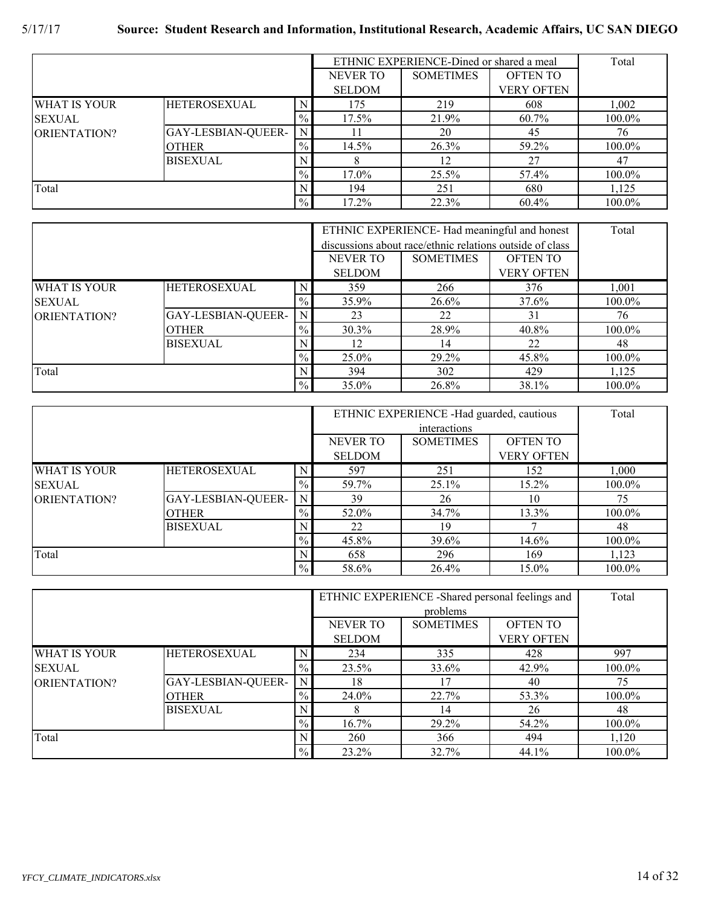# 5/17/17 **Source: Student Research and Information, Institutional Research, Academic Affairs, UC SAN DIEGO**

|                     |                     |               |               | ETHNIC EXPERIENCE-Dined or shared a meal |                   |        |  |  |
|---------------------|---------------------|---------------|---------------|------------------------------------------|-------------------|--------|--|--|
|                     |                     |               | NEVER TO      | <b>SOMETIMES</b>                         | <b>OFTEN TO</b>   |        |  |  |
|                     |                     |               | <b>SELDOM</b> |                                          | <b>VERY OFTEN</b> |        |  |  |
| <b>WHAT IS YOUR</b> | <b>HETEROSEXUAL</b> | N             | 175           | 219                                      | 608               | 1,002  |  |  |
| <b>SEXUAL</b>       |                     | $\frac{0}{0}$ | 17.5%         | 21.9%                                    | 60.7%             | 100.0% |  |  |
| <b>ORIENTATION?</b> | GAY-LESBIAN-QUEER-  |               |               | 20                                       | 45                | 76     |  |  |
|                     | <b>OTHER</b>        | $\frac{0}{2}$ | 14.5%         | 26.3%                                    | 59.2%             | 100.0% |  |  |
|                     | <b>BISEXUAL</b>     |               |               | 12                                       | 27                | 47     |  |  |
|                     |                     | $\frac{0}{2}$ | $17.0\%$      | $25.5\%$                                 | 57.4%             | 100.0% |  |  |
| Total               |                     |               | 194           | 251                                      | 680               | 1.125  |  |  |
|                     |                     | $\frac{0}{0}$ | 17.2%         | 22.3%                                    | $60.4\%$          | 100.0% |  |  |

|                     |                     |               |                 | ETHNIC EXPERIENCE-Had meaningful and honest              |                   |           |  |  |
|---------------------|---------------------|---------------|-----------------|----------------------------------------------------------|-------------------|-----------|--|--|
|                     |                     |               |                 | discussions about race/ethnic relations outside of class |                   |           |  |  |
|                     |                     |               | <b>NEVER TO</b> | <b>SOMETIMES</b>                                         | <b>OFTEN TO</b>   |           |  |  |
|                     |                     |               | <b>SELDOM</b>   |                                                          | <b>VERY OFTEN</b> |           |  |  |
| <b>WHAT IS YOUR</b> | <b>HETEROSEXUAL</b> |               | 359             | 266                                                      | 376               | 1,001     |  |  |
| <b>SEXUAL</b>       |                     | $\%$          | 35.9%           | 26.6%                                                    | 37.6%             | $100.0\%$ |  |  |
| <b>ORIENTATION?</b> | GAY-LESBIAN-QUEER-  | N             | 23              | 22                                                       | 31                | 76        |  |  |
|                     | <b>OTHER</b>        | $\%$          | 30.3%           | 28.9%                                                    | 40.8%             | 100.0%    |  |  |
|                     | <b>BISEXUAL</b>     |               | 12              | 14                                                       | 22                | 48        |  |  |
|                     |                     | $\%$          | 25.0%           | 29.2%                                                    | 45.8%             | 100.0%    |  |  |
| Total               |                     |               | 394             | 302                                                      | 429               | 1.125     |  |  |
|                     |                     | $\frac{0}{0}$ | 35.0%           | 26.8%                                                    | 38.1%             | 100.0%    |  |  |

|                     |                     |               |                 | ETHNIC EXPERIENCE - Had guarded, cautious |                   |        |  |  |
|---------------------|---------------------|---------------|-----------------|-------------------------------------------|-------------------|--------|--|--|
|                     |                     |               |                 |                                           |                   |        |  |  |
|                     |                     |               | <b>NEVER TO</b> | <b>SOMETIMES</b>                          | <b>OFTEN TO</b>   |        |  |  |
|                     |                     |               | <b>SELDOM</b>   |                                           | <b>VERY OFTEN</b> |        |  |  |
| <b>WHAT IS YOUR</b> | <b>HETEROSEXUAL</b> | $\mathbf{N}$  | 597             | 251                                       | 152               | 1,000  |  |  |
| <b>SEXUAL</b>       |                     | $\%$          | 59.7%           | 25.1%                                     | 15.2%             | 100.0% |  |  |
| ORIENTATION?        | GAY-LESBIAN-QUEER-  | $\mathbf{N}$  | 39              | 26                                        | 10                | 75     |  |  |
|                     | <b>OTHER</b>        | $\frac{0}{0}$ | 52.0%           | 34.7%                                     | 13.3%             | 100.0% |  |  |
|                     | <b>BISEXUAL</b>     |               | 22              | 19                                        |                   | 48     |  |  |
|                     |                     | $\frac{0}{0}$ | 45.8%           | 39.6%                                     | $14.6\%$          | 100.0% |  |  |
| Total               |                     | N             | 658             | 296                                       | 169               | 1,123  |  |  |
|                     |                     | $\frac{0}{0}$ | 58.6%           | 26.4%                                     | 15.0%             | 100.0% |  |  |

|                     |                     |                | ETHNIC EXPERIENCE -Shared personal feelings and | Total            |                   |        |
|---------------------|---------------------|----------------|-------------------------------------------------|------------------|-------------------|--------|
|                     |                     |                |                                                 | problems         |                   |        |
|                     |                     |                | <b>NEVER TO</b>                                 | <b>SOMETIMES</b> | <b>OFTEN TO</b>   |        |
|                     |                     |                | <b>SELDOM</b>                                   |                  | <b>VERY OFTEN</b> |        |
| <b>WHAT IS YOUR</b> | <b>HETEROSEXUAL</b> | N <sub>1</sub> | 234                                             | 335              | 428               | 997    |
| <b>SEXUAL</b>       |                     | $\frac{0}{0}$  | 23.5%                                           | 33.6%            | 42.9%             | 100.0% |
| ORIENTATION?        | GAY-LESBIAN-QUEER-  |                | 18                                              |                  | 40                | 75     |
|                     | <b>OTHER</b>        | $\frac{0}{0}$  | 24.0%                                           | 22.7%            | 53.3%             | 100.0% |
|                     | <b>BISEXUAL</b>     |                |                                                 | 14               | 26                | 48     |
|                     |                     | $\frac{0}{0}$  | $16.7\%$                                        | 29.2%            | 54.2%             | 100.0% |
| Total               |                     | N <sub>1</sub> | 260                                             | 366              | 494               | 1,120  |
|                     |                     | $\frac{0}{0}$  | 23.2%                                           | 32.7%            | 44.1%             | 100.0% |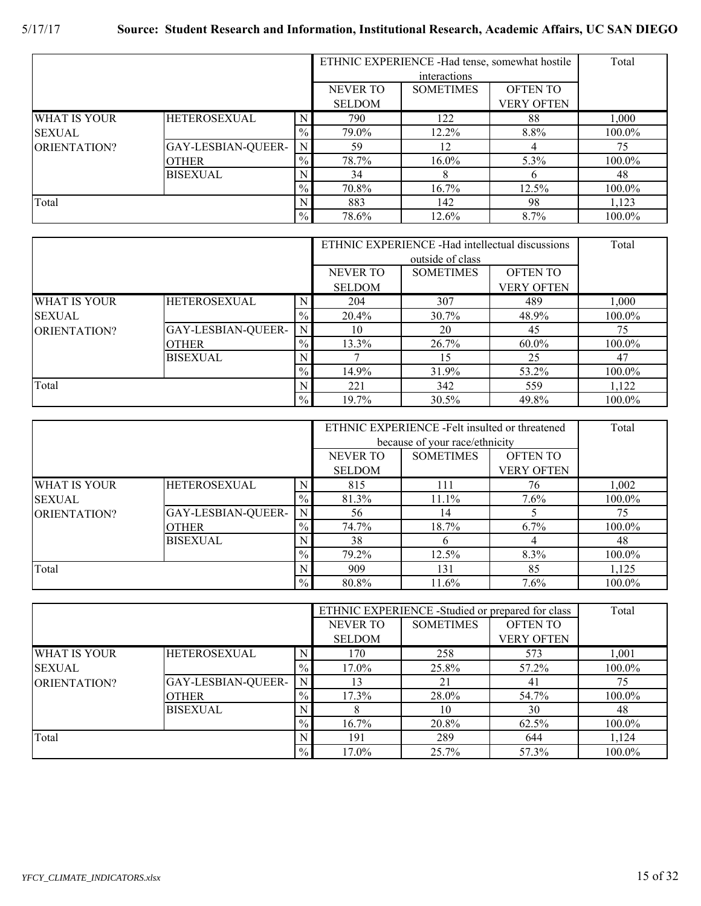|                     |                     |               |                 | ETHNIC EXPERIENCE - Had tense, somewhat hostile |                   | Total  |
|---------------------|---------------------|---------------|-----------------|-------------------------------------------------|-------------------|--------|
|                     |                     |               |                 | interactions                                    |                   |        |
|                     |                     |               | <b>NEVER TO</b> | <b>SOMETIMES</b>                                | <b>OFTEN TO</b>   |        |
|                     |                     |               | <b>SELDOM</b>   |                                                 | <b>VERY OFTEN</b> |        |
| <b>WHAT IS YOUR</b> | <b>HETEROSEXUAL</b> | N             | 790             | 122                                             | 88                | 1,000  |
| <b>SEXUAL</b>       |                     | $\%$          | 79.0%           | 12.2%                                           | 8.8%              | 100.0% |
| ORIENTATION?        | GAY-LESBIAN-QUEER-  | N             | 59              | 12                                              |                   | 75     |
|                     | <b>OTHER</b>        | $\frac{0}{0}$ | 78.7%           | $16.0\%$                                        | 5.3%              | 100.0% |
|                     | <b>BISEXUAL</b>     | N             | 34              | 8                                               |                   | 48     |
|                     |                     | $\frac{0}{0}$ | 70.8%           | 16.7%                                           | 12.5%             | 100.0% |
| Total<br>N          |                     | 883           | 142             | 98                                              | 1,123             |        |
|                     |                     | $\frac{0}{0}$ | 78.6%           | 12.6%                                           | 8.7%              | 100.0% |

|                     |                     |               |                 | ETHNIC EXPERIENCE - Had intellectual discussions |                   |        |  |  |  |
|---------------------|---------------------|---------------|-----------------|--------------------------------------------------|-------------------|--------|--|--|--|
|                     |                     |               |                 | outside of class                                 |                   |        |  |  |  |
|                     |                     |               | <b>NEVER TO</b> | <b>SOMETIMES</b>                                 | <b>OFTEN TO</b>   |        |  |  |  |
|                     |                     |               | <b>SELDOM</b>   |                                                  | <b>VERY OFTEN</b> |        |  |  |  |
| <b>WHAT IS YOUR</b> | <b>HETEROSEXUAL</b> | $N_{\perp}$   | 204             | 307                                              | 489               | 1,000  |  |  |  |
| <b>SEXUAL</b>       |                     | $\frac{0}{0}$ | 20.4%           | $30.7\%$                                         | 48.9%             | 100.0% |  |  |  |
| <b>ORIENTATION?</b> | GAY-LESBIAN-QUEER-  | N             | 10              | 20                                               | 45                | 75     |  |  |  |
|                     | <b>OTHER</b>        | $\%$          | 13.3%           | 26.7%                                            | $60.0\%$          | 100.0% |  |  |  |
|                     | <b>BISEXUAL</b>     | N             |                 | 15                                               | 25                | 47     |  |  |  |
|                     |                     | $\%$          | 14.9%           | 31.9%                                            | 53.2%             | 100.0% |  |  |  |
| Total               |                     | N             | 221             | 342                                              | 559               | 1,122  |  |  |  |
|                     |                     | $\frac{0}{0}$ | 19.7%           | 30.5%                                            | 49.8%             | 100.0% |  |  |  |

|                     |                     |               |               | ETHNIC EXPERIENCE - Felt insulted or threatened |                   |        |  |  |  |
|---------------------|---------------------|---------------|---------------|-------------------------------------------------|-------------------|--------|--|--|--|
|                     |                     |               |               | because of your race/ethnicity                  |                   |        |  |  |  |
|                     |                     |               | NEVER TO      | <b>SOMETIMES</b>                                | <b>OFTEN TO</b>   |        |  |  |  |
|                     |                     |               | <b>SELDOM</b> |                                                 | <b>VERY OFTEN</b> |        |  |  |  |
| <b>WHAT IS YOUR</b> | <b>HETEROSEXUAL</b> | N             | 815           | 111                                             | 76                | 1.002  |  |  |  |
| <b>SEXUAL</b>       |                     | $\frac{0}{0}$ | 81.3%         | $11.1\%$                                        | $7.6\%$           | 100.0% |  |  |  |
| ORIENTATION?        | GAY-LESBIAN-QUEER-  | N             | 56            | 14                                              |                   | 75     |  |  |  |
|                     | <b>OTHER</b>        | $\%$          | 74.7%         | 18.7%                                           | $6.7\%$           | 100.0% |  |  |  |
|                     | <b>BISEXUAL</b>     | N             | 38            | h                                               |                   | 48     |  |  |  |
|                     |                     | $\frac{0}{0}$ | 79.2%         | 12.5%                                           | 8.3%              | 100.0% |  |  |  |
| Total<br>N          |                     | 909           | 131           | 85                                              | 1,125             |        |  |  |  |
|                     |                     | $\frac{0}{0}$ | 80.8%         | 11.6%                                           | 7.6%              | 100.0% |  |  |  |

|                     |                     |               |                  | ETHNIC EXPERIENCE -Studied or prepared for class |                   | Total  |
|---------------------|---------------------|---------------|------------------|--------------------------------------------------|-------------------|--------|
|                     |                     | NEVER TO      | <b>SOMETIMES</b> | <b>OFTEN TO</b>                                  |                   |        |
|                     |                     |               | <b>SELDOM</b>    |                                                  | <b>VERY OFTEN</b> |        |
| <b>WHAT IS YOUR</b> | <b>HETEROSEXUAL</b> |               | 170              | 258                                              | 573               | 1.001  |
| <b>SEXUAL</b>       |                     | $\frac{0}{2}$ | 17.0%            | 25.8%                                            | 57.2%             | 100.0% |
| ORIENTATION?        | GAY-LESBIAN-QUEER-  | N             | 13               | 21                                               | 4                 | 75     |
|                     | <b>OTHER</b>        | $\frac{0}{2}$ | 17.3%            | 28.0%                                            | 54.7%             | 100.0% |
|                     | <b>BISEXUAL</b>     |               | x                | 10                                               | 30                | 48     |
|                     |                     | $\frac{0}{0}$ | $16.7\%$         | 20.8%                                            | 62.5%             | 100.0% |
| Total               |                     |               | 191              | 289                                              | 644               | 1,124  |
|                     |                     | $\frac{0}{0}$ | 17.0%            | 25.7%                                            | 57.3%             | 100.0% |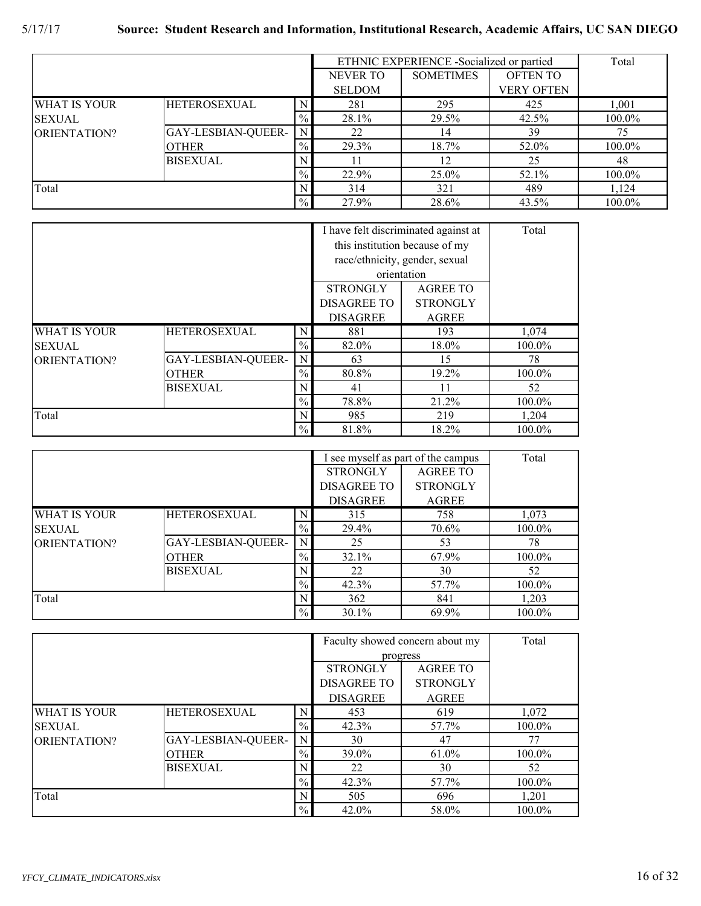# 5/17/17 **Source: Student Research and Information, Institutional Research, Academic Affairs, UC SAN DIEGO**

|                     |                     |               |               | ETHNIC EXPERIENCE -Socialized or partied |                   | Total  |
|---------------------|---------------------|---------------|---------------|------------------------------------------|-------------------|--------|
|                     |                     |               | NEVER TO      | <b>SOMETIMES</b>                         | <b>OFTEN TO</b>   |        |
|                     |                     |               | <b>SELDOM</b> |                                          | <b>VERY OFTEN</b> |        |
| <b>WHAT IS YOUR</b> | <b>HETEROSEXUAL</b> | N             | 281           | 295                                      | 425               | 1,001  |
| <b>SEXUAL</b>       |                     | $\%$          | 28.1%         | 29.5%                                    | 42.5%             | 100.0% |
| <b>ORIENTATION?</b> | GAY-LESBIAN-QUEER-  |               | 22            | 14                                       | 39                | 75     |
|                     | <b>OTHER</b>        | $\frac{0}{0}$ | 29.3%         | 18.7%                                    | 52.0%             | 100.0% |
|                     | <b>BISEXUAL</b>     |               |               | 12                                       | 25                | 48     |
|                     |                     | $\frac{0}{0}$ | 22.9%         | 25.0%                                    | 52.1%             | 100.0% |
| Total               |                     |               | 314           | 321                                      | 489               | 1.124  |
|                     |                     | $\frac{0}{0}$ | 27.9%         | 28.6%                                    | 43.5%             | 100.0% |

|                     |                     |               |                    | I have felt discriminated against at | Total  |
|---------------------|---------------------|---------------|--------------------|--------------------------------------|--------|
|                     |                     |               |                    | this institution because of my       |        |
|                     |                     |               |                    | race/ethnicity, gender, sexual       |        |
|                     |                     |               |                    | orientation                          |        |
|                     |                     |               | <b>STRONGLY</b>    | <b>AGREE TO</b>                      |        |
|                     |                     |               | <b>DISAGREE TO</b> | <b>STRONGLY</b>                      |        |
|                     |                     |               | <b>DISAGREE</b>    | <b>AGREE</b>                         |        |
| <b>WHAT IS YOUR</b> | <b>HETEROSEXUAL</b> | N             | 881                | 193                                  | 1,074  |
| <b>SEXUAL</b>       |                     | $\frac{0}{0}$ | 82.0%              | 18.0%                                | 100.0% |
| ORIENTATION?        | GAY-LESBIAN-QUEER-  | N             | 63                 | 15                                   | 78     |
|                     | OTHER               | $\%$          | 80.8%              | 19.2%                                | 100.0% |
|                     | <b>BISEXUAL</b>     | N             | 41                 | 11                                   | 52     |
|                     |                     | $\%$          | 78.8%              | 21.2%                                | 100.0% |
| Total               |                     | N             | 985                | 219                                  | 1,204  |
|                     |                     | $\%$          | 81.8%              | 18.2%                                | 100.0% |

|                     |                     |      |                    | I see myself as part of the campus | Total  |
|---------------------|---------------------|------|--------------------|------------------------------------|--------|
|                     |                     |      | <b>STRONGLY</b>    | <b>AGREE TO</b>                    |        |
|                     |                     |      | <b>DISAGREE TO</b> | <b>STRONGLY</b>                    |        |
|                     |                     |      | <b>DISAGREE</b>    | AGREE                              |        |
| <b>WHAT IS YOUR</b> | <b>HETEROSEXUAL</b> | N    | 315                | 758                                | 1,073  |
| <b>SEXUAL</b>       |                     | $\%$ | 29.4%              | 70.6%                              | 100.0% |
| <b>ORIENTATION?</b> | GAY-LESBIAN-QUEER-  | N    | 25                 | 53                                 | 78     |
|                     | <b>OTHER</b>        | $\%$ | 32.1%              | 67.9%                              | 100.0% |
|                     | <b>BISEXUAL</b>     | N    | 22                 | 30                                 | 52     |
|                     |                     | $\%$ | 42.3%              | 57.7%                              | 100.0% |
| Total               |                     | N    | 362                | 841                                | 1,203  |
|                     |                     | $\%$ | $30.1\%$           | 69.9%                              | 100.0% |

|                     |                     |               | Faculty showed concern about my | Total           |        |
|---------------------|---------------------|---------------|---------------------------------|-----------------|--------|
|                     |                     |               | progress                        |                 |        |
|                     |                     |               | <b>STRONGLY</b>                 | <b>AGREE TO</b> |        |
|                     |                     |               | <b>DISAGREE TO</b>              | <b>STRONGLY</b> |        |
|                     |                     |               | <b>DISAGREE</b>                 | <b>AGREE</b>    |        |
| <b>WHAT IS YOUR</b> | <b>HETEROSEXUAL</b> | N             | 453                             | 619             | 1,072  |
| <b>SEXUAL</b>       |                     | $\%$          | 42.3%                           | 57.7%           | 100.0% |
| ORIENTATION?        | GAY-LESBIAN-QUEER-  | N             | 30                              | 47              | 77     |
|                     | <b>OTHER</b>        | $\%$          | 39.0%                           | 61.0%           | 100.0% |
|                     | <b>BISEXUAL</b>     | N             | 22                              | 30              | 52     |
|                     |                     | $\frac{0}{0}$ | 42.3%                           | 57.7%           | 100.0% |
| Total               |                     | N             | 505                             | 696             | 1,201  |
|                     |                     | $\frac{0}{0}$ | 42.0%                           | 58.0%           | 100.0% |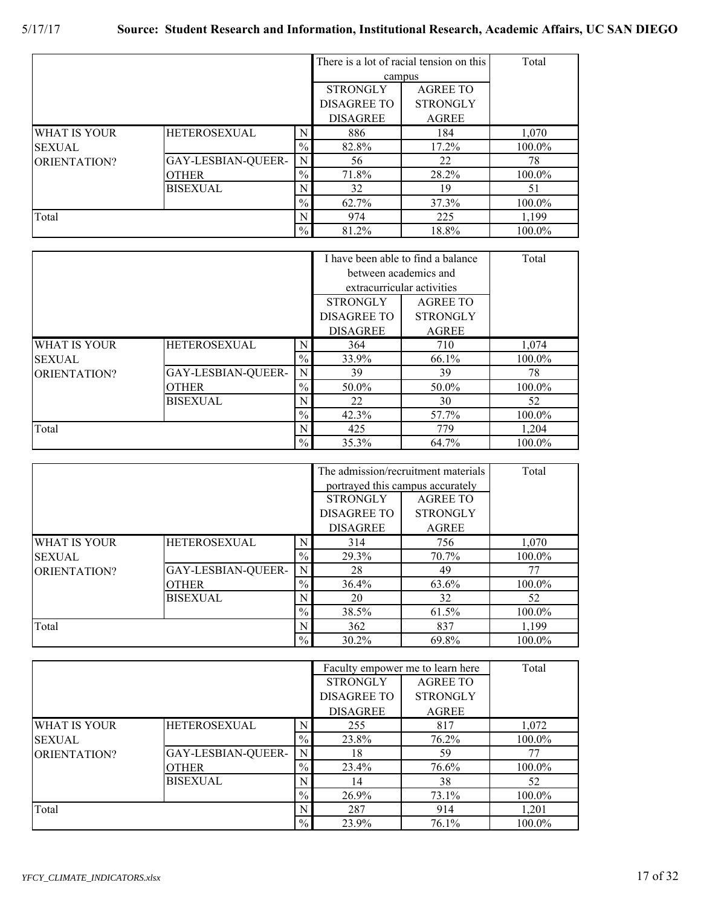|                     |                     |               |                    | There is a lot of racial tension on this | Total  |
|---------------------|---------------------|---------------|--------------------|------------------------------------------|--------|
|                     |                     |               | campus             |                                          |        |
|                     |                     |               | <b>STRONGLY</b>    | <b>AGREE TO</b>                          |        |
|                     |                     |               | <b>DISAGREE TO</b> | <b>STRONGLY</b>                          |        |
|                     |                     |               | <b>DISAGREE</b>    | <b>AGREE</b>                             |        |
| <b>WHAT IS YOUR</b> | <b>HETEROSEXUAL</b> | N             | 886                | 184                                      | 1,070  |
| <b>SEXUAL</b>       |                     | $\frac{0}{0}$ | 82.8%              | $17.2\%$                                 | 100.0% |
| ORIENTATION?        | GAY-LESBIAN-QUEER-  | N             | 56                 | 22                                       | 78     |
|                     | <b>OTHER</b>        | $\%$          | 71.8%              | 28.2%                                    | 100.0% |
|                     | <b>BISEXUAL</b>     | N             | 32                 | 19                                       | 51     |
|                     |                     | $\%$          | 62.7%              | 37.3%                                    | 100.0% |
| Total               |                     | N             | 974                | 225                                      | 1,199  |
|                     |                     | $\frac{0}{0}$ | 81.2%              | 18.8%                                    | 100.0% |

|                     |                     |               | I have been able to find a balance |                 | Total  |
|---------------------|---------------------|---------------|------------------------------------|-----------------|--------|
|                     |                     |               | between academics and              |                 |        |
|                     |                     |               | extracurricular activities         |                 |        |
|                     |                     |               | <b>STRONGLY</b>                    | <b>AGREE TO</b> |        |
|                     |                     |               | <b>DISAGREE TO</b>                 | <b>STRONGLY</b> |        |
|                     |                     |               | <b>DISAGREE</b>                    | <b>AGREE</b>    |        |
| <b>WHAT IS YOUR</b> | <b>HETEROSEXUAL</b> |               | 364                                | 710             | 1,074  |
| <b>SEXUAL</b>       |                     | $\%$          | 33.9%                              | 66.1%           | 100.0% |
| <b>ORIENTATION?</b> | GAY-LESBIAN-QUEER-  | N             | 39                                 | 39              | 78     |
|                     | OTHER               | $\%$          | 50.0%                              | 50.0%           | 100.0% |
|                     | <b>BISEXUAL</b>     |               | 22                                 | 30              | 52     |
|                     |                     | $\frac{0}{0}$ | 42.3%                              | 57.7%           | 100.0% |
| Total               |                     | N             | 425                                | 779             | 1,204  |
|                     |                     | $\frac{0}{0}$ | 35.3%                              | 64.7%           | 100.0% |

|                     |                     |      | The admission/recruitment materials | Total           |        |
|---------------------|---------------------|------|-------------------------------------|-----------------|--------|
|                     |                     |      | portrayed this campus accurately    |                 |        |
|                     |                     |      | <b>STRONGLY</b>                     | <b>AGREE TO</b> |        |
|                     |                     |      | <b>DISAGREE TO</b>                  | <b>STRONGLY</b> |        |
|                     |                     |      | <b>DISAGREE</b>                     | AGREE           |        |
| <b>WHAT IS YOUR</b> | <b>HETEROSEXUAL</b> | N    | 314                                 | 756             | 1,070  |
| <b>SEXUAL</b>       |                     | $\%$ | 29.3%                               | 70.7%           | 100.0% |
| ORIENTATION?        | GAY-LESBIAN-QUEER-  | N    | 28                                  | 49              | 77     |
|                     | <b>OTHER</b>        | $\%$ | 36.4%                               | 63.6%           | 100.0% |
|                     | <b>BISEXUAL</b>     | N    | 20                                  | 32              | 52     |
|                     |                     | $\%$ | 38.5%                               | 61.5%           | 100.0% |
| Total               |                     | N    | 362                                 | 837             | 1,199  |
|                     |                     | $\%$ | 30.2%                               | 69.8%           | 100.0% |

|               |                     |               |                 | Faculty empower me to learn here | Total  |
|---------------|---------------------|---------------|-----------------|----------------------------------|--------|
|               |                     |               | <b>STRONGLY</b> | <b>AGREE TO</b>                  |        |
|               |                     |               | DISAGREE TO     | <b>STRONGLY</b>                  |        |
|               |                     |               | <b>DISAGREE</b> | AGREE                            |        |
| WHAT IS YOUR  | <b>HETEROSEXUAL</b> | N             | 255             | 817                              | 1,072  |
| <b>SEXUAL</b> |                     | $\%$          | 23.8%           | 76.2%                            | 100.0% |
| ORIENTATION?  | GAY-LESBIAN-QUEER-  | N             | 18              | 59                               | 77     |
|               | <b>OTHER</b>        | $\%$          | 23.4%           | 76.6%                            | 100.0% |
|               | <b>BISEXUAL</b>     | N             | 14              | 38                               | 52     |
|               |                     | $\%$          | 26.9%           | 73.1%                            | 100.0% |
| Total         |                     | N             | 287             | 914                              | 1.201  |
|               |                     | $\frac{0}{6}$ | 23.9%           | 76.1%                            | 100.0% |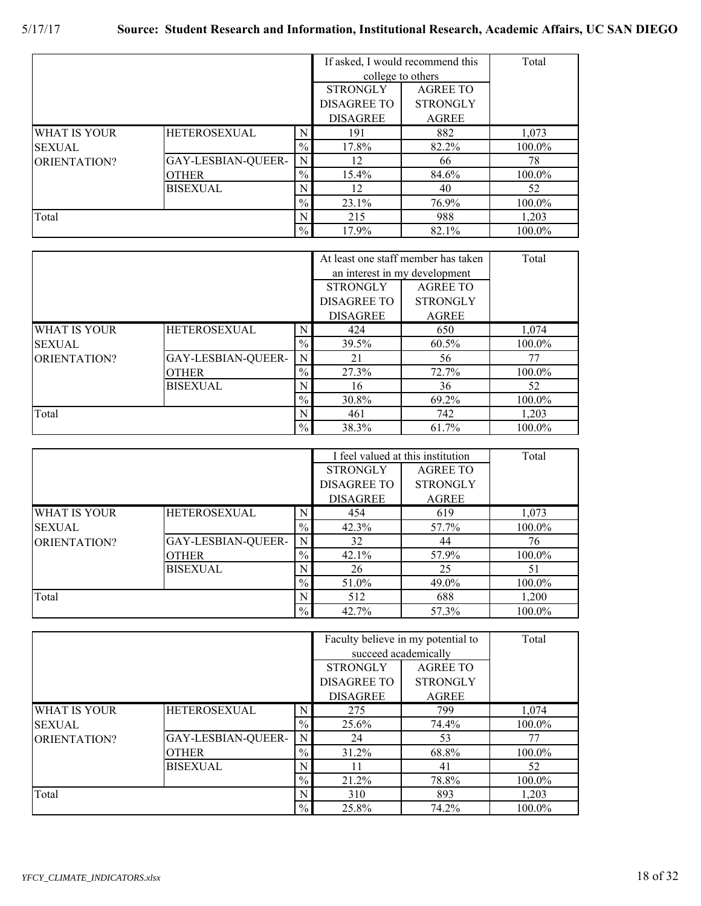|                     |                     | If asked, I would recommend this |                   | Total           |        |
|---------------------|---------------------|----------------------------------|-------------------|-----------------|--------|
|                     |                     |                                  | college to others |                 |        |
|                     |                     |                                  | <b>STRONGLY</b>   | <b>AGREE TO</b> |        |
|                     |                     |                                  | DISAGREE TO       | <b>STRONGLY</b> |        |
|                     |                     |                                  | <b>DISAGREE</b>   | <b>AGREE</b>    |        |
| <b>WHAT IS YOUR</b> | <b>HETEROSEXUAL</b> | N                                | 191               | 882             | 1,073  |
| <b>SEXUAL</b>       |                     | $\frac{0}{0}$                    | 17.8%             | 82.2%           | 100.0% |
| ORIENTATION?        | GAY-LESBIAN-QUEER-  | N                                | 12                | 66              | 78     |
|                     | <b>OTHER</b>        | $\%$                             | 15.4%             | 84.6%           | 100.0% |
|                     | <b>BISEXUAL</b>     | N                                | 12                | 40              | 52     |
|                     |                     | $\%$                             | 23.1%             | 76.9%           | 100.0% |
| Total               |                     | N                                | 215               | 988             | 1,203  |
|                     |                     | $\%$                             | 17.9%             | 82.1%           | 100.0% |

|                     |                     |               | At least one staff member has taken | Total           |        |
|---------------------|---------------------|---------------|-------------------------------------|-----------------|--------|
|                     |                     |               | an interest in my development       |                 |        |
|                     |                     |               | <b>STRONGLY</b>                     | <b>AGREE TO</b> |        |
|                     |                     |               | <b>DISAGREE TO</b>                  | <b>STRONGLY</b> |        |
|                     |                     |               | <b>DISAGREE</b>                     | <b>AGREE</b>    |        |
| <b>WHAT IS YOUR</b> | <b>HETEROSEXUAL</b> | N             | 424                                 | 650             | 1,074  |
| <b>SEXUAL</b>       |                     | $\%$          | 39.5%                               | $60.5\%$        | 100.0% |
| ORIENTATION?        | GAY-LESBIAN-QUEER-  | N             | 21                                  | 56              |        |
|                     | <b>OTHER</b>        | $\%$          | 27.3%                               | 72.7%           | 100.0% |
|                     | <b>BISEXUAL</b>     |               | 16                                  | 36              | 52     |
|                     |                     | $\%$          | 30.8%                               | 69.2%           | 100.0% |
| Total               |                     | N             | 461                                 | 742             | 1,203  |
|                     |                     | $\frac{0}{0}$ | 38.3%                               | 61.7%           | 100.0% |

|                     |                     |      | I feel valued at this institution |                 |        |
|---------------------|---------------------|------|-----------------------------------|-----------------|--------|
|                     |                     |      | <b>STRONGLY</b>                   | <b>AGREE TO</b> |        |
|                     |                     |      | DISAGREE TO                       | <b>STRONGLY</b> |        |
|                     |                     |      | <b>DISAGREE</b>                   | <b>AGREE</b>    |        |
| <b>WHAT IS YOUR</b> | <b>HETEROSEXUAL</b> | N    | 454                               | 619             | 1,073  |
| <b>SEXUAL</b>       |                     | $\%$ | 42.3%                             | 57.7%           | 100.0% |
| ORIENTATION?        | GAY-LESBIAN-QUEER-  | N    | 32                                | 44              | 76     |
|                     | <b>OTHER</b>        | $\%$ | 42.1%                             | 57.9%           | 100.0% |
|                     | <b>BISEXUAL</b>     | N    | 26                                | 25              | 51     |
|                     |                     | $\%$ | 51.0%                             | 49.0%           | 100.0% |
| Total               |                     | N    | 512                               | 688             | 1,200  |
|                     |                     | $\%$ | 42.7%                             | 57.3%           | 100.0% |

|                     |                     | Faculty believe in my potential to |                      | Total           |        |
|---------------------|---------------------|------------------------------------|----------------------|-----------------|--------|
|                     |                     |                                    | succeed academically |                 |        |
|                     |                     |                                    | <b>STRONGLY</b>      | <b>AGREE TO</b> |        |
|                     |                     |                                    | <b>DISAGREE TO</b>   | <b>STRONGLY</b> |        |
|                     |                     |                                    | <b>DISAGREE</b>      | <b>AGREE</b>    |        |
| <b>WHAT IS YOUR</b> | <b>HETEROSEXUAL</b> | N                                  | 275                  | 799             | 1,074  |
| <b>SEXUAL</b>       |                     | $\%$                               | 25.6%                | 74.4%           | 100.0% |
| ORIENTATION?        | GAY-LESBIAN-QUEER-  | N                                  | 24                   | 53              | 77     |
|                     | <b>OTHER</b>        | $\%$                               | 31.2%                | 68.8%           | 100.0% |
|                     | <b>BISEXUAL</b>     | N                                  | 11                   | 41              | 52     |
|                     |                     | $\%$                               | 21.2%                | 78.8%           | 100.0% |
| Total               |                     | N                                  | 310                  | 893             | 1,203  |
|                     |                     | $\%$                               | 25.8%                | 74.2%           | 100.0% |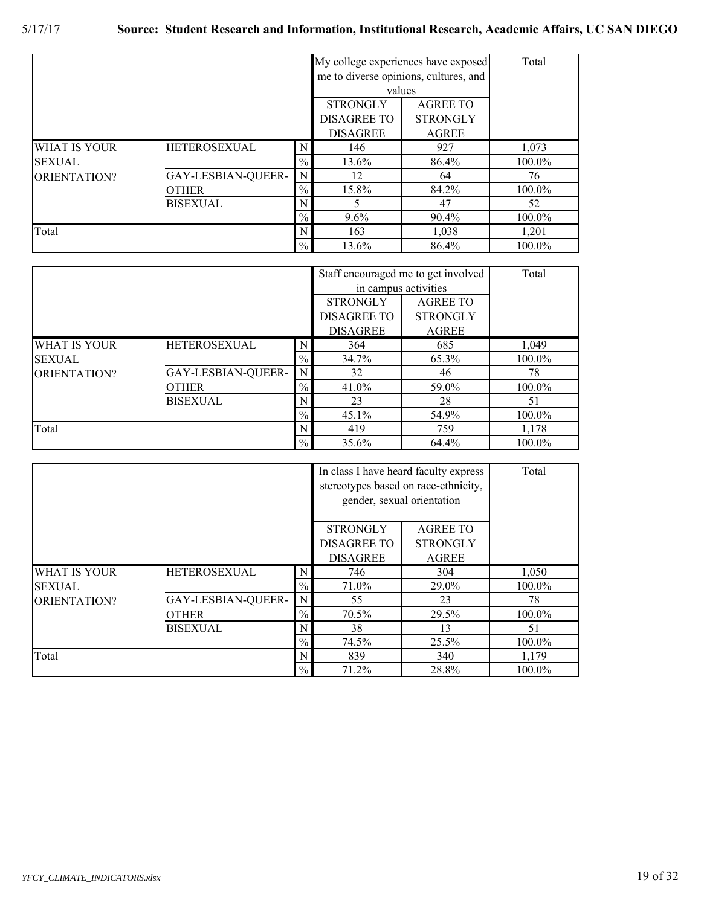|                     |                     |               | My college experiences have exposed |                                       | Total  |
|---------------------|---------------------|---------------|-------------------------------------|---------------------------------------|--------|
|                     |                     |               |                                     | me to diverse opinions, cultures, and |        |
|                     |                     |               | values                              |                                       |        |
|                     |                     |               | <b>STRONGLY</b>                     | <b>AGREE TO</b>                       |        |
|                     |                     |               | <b>DISAGREE TO</b>                  | <b>STRONGLY</b>                       |        |
|                     |                     |               | <b>DISAGREE</b>                     | <b>AGREE</b>                          |        |
| <b>WHAT IS YOUR</b> | <b>HETEROSEXUAL</b> | N             | 146                                 | 927                                   | 1.073  |
| <b>SEXUAL</b>       |                     | $\%$          | 13.6%                               | 86.4%                                 | 100.0% |
| ORIENTATION?        | GAY-LESBIAN-QUEER-  | N             | 12                                  | 64                                    | 76     |
|                     | <b>OTHER</b>        | $\%$          | 15.8%                               | 84.2%                                 | 100.0% |
|                     | <b>BISEXUAL</b>     | N             |                                     | 47                                    | 52     |
|                     |                     | $\%$          | $9.6\%$                             | 90.4%                                 | 100.0% |
| Total               |                     | N             | 163                                 | 1,038                                 | 1,201  |
|                     |                     | $\frac{0}{0}$ | 13.6%                               | 86.4%                                 | 100.0% |

|                     |                     |               |                      | Staff encouraged me to get involved | Total  |
|---------------------|---------------------|---------------|----------------------|-------------------------------------|--------|
|                     |                     |               | in campus activities |                                     |        |
|                     |                     |               | <b>STRONGLY</b>      | <b>AGREE TO</b>                     |        |
|                     |                     |               | <b>DISAGREE TO</b>   | <b>STRONGLY</b>                     |        |
|                     |                     |               | <b>DISAGREE</b>      | <b>AGREE</b>                        |        |
| <b>WHAT IS YOUR</b> | <b>HETEROSEXUAL</b> | N             | 364                  | 685                                 | 1,049  |
| <b>SEXUAL</b>       |                     | $\frac{0}{0}$ | 34.7%                | 65.3%                               | 100.0% |
| ORIENTATION?        | GAY-LESBIAN-QUEER-  | N             | 32                   | 46                                  | 78     |
|                     | <b>OTHER</b>        | $\frac{0}{0}$ | 41.0%                | 59.0%                               | 100.0% |
|                     | <b>BISEXUAL</b>     | N             | 23                   | 28                                  | 51     |
|                     |                     | $\%$          | $45.1\%$             | 54.9%                               | 100.0% |
| Total               |                     | N             | 419                  | 759                                 | 1,178  |
|                     |                     | $\frac{0}{0}$ | 35.6%                | 64.4%                               | 100.0% |

|                     |                     | In class I have heard faculty express<br>stereotypes based on race-ethnicity,<br>gender, sexual orientation |                                                          | Total                                              |        |
|---------------------|---------------------|-------------------------------------------------------------------------------------------------------------|----------------------------------------------------------|----------------------------------------------------|--------|
|                     |                     |                                                                                                             | <b>STRONGLY</b><br><b>DISAGREE TO</b><br><b>DISAGREE</b> | <b>AGREE TO</b><br><b>STRONGLY</b><br><b>AGREE</b> |        |
| <b>WHAT IS YOUR</b> | <b>HETEROSEXUAL</b> | N                                                                                                           | 746                                                      | 304                                                | 1,050  |
| <b>SEXUAL</b>       |                     | $\%$                                                                                                        | 71.0%                                                    | 29.0%                                              | 100.0% |
| ORIENTATION?        | GAY-LESBIAN-QUEER-  | N                                                                                                           | 55                                                       | 23                                                 | 78     |
|                     | <b>OTHER</b>        | $\%$                                                                                                        | 70.5%                                                    | 29.5%                                              | 100.0% |
|                     | <b>BISEXUAL</b>     | N                                                                                                           | 38                                                       | 13                                                 | 51     |
|                     |                     | $\frac{0}{0}$                                                                                               | 74.5%                                                    | 25.5%                                              | 100.0% |
| Total               |                     | N                                                                                                           | 839                                                      | 340                                                | 1.179  |
|                     |                     | $\frac{0}{0}$                                                                                               | 71.2%                                                    | 28.8%                                              | 100.0% |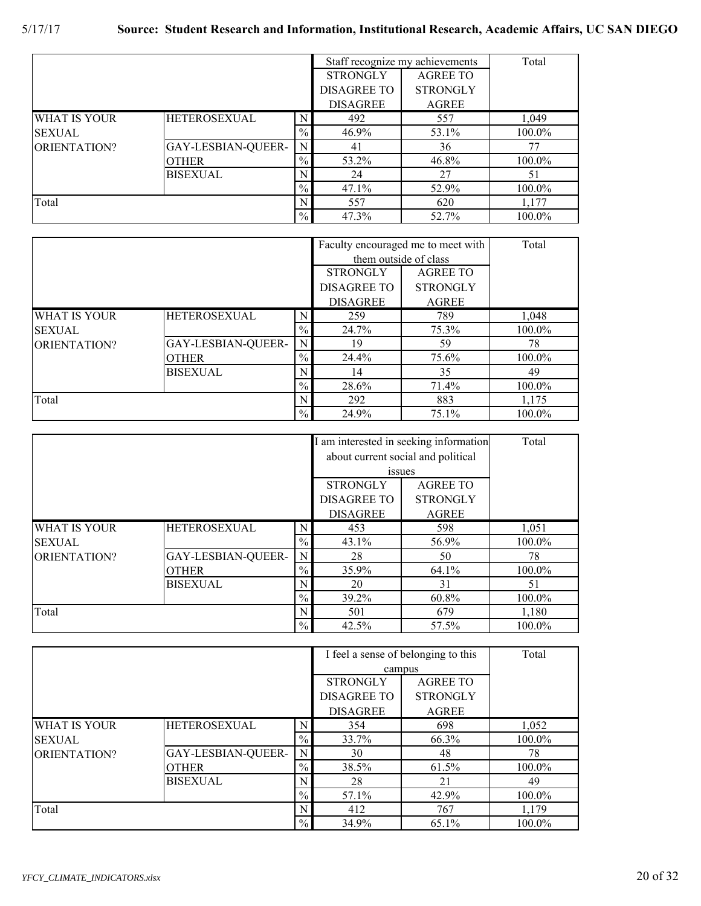|                     |                     |               | Total<br>Staff recognize my achievements |                 |        |
|---------------------|---------------------|---------------|------------------------------------------|-----------------|--------|
|                     |                     |               | <b>STRONGLY</b>                          | <b>AGREE TO</b> |        |
|                     |                     |               | DISAGREE TO                              | <b>STRONGLY</b> |        |
|                     |                     |               | <b>DISAGREE</b>                          | <b>AGREE</b>    |        |
| <b>WHAT IS YOUR</b> | <b>HETEROSEXUAL</b> | N             | 492                                      | 557             | 1,049  |
| <b>SEXUAL</b>       |                     | $\%$          | 46.9%                                    | 53.1%           | 100.0% |
| ORIENTATION?        | GAY-LESBIAN-QUEER-  | N             | 41                                       | 36              | 77     |
|                     | <b>OTHER</b>        | $\%$          | 53.2%                                    | 46.8%           | 100.0% |
|                     | <b>BISEXUAL</b>     | N             | 24                                       | 27              | 51     |
|                     |                     | $\%$          | $47.1\%$                                 | 52.9%           | 100.0% |
| Total               |                     | N             | 557                                      | 620             | 1,177  |
|                     |                     | $\frac{0}{0}$ | 47.3%                                    | 52.7%           | 100.0% |

|                     |                             |               | Faculty encouraged me to meet with | Total           |        |
|---------------------|-----------------------------|---------------|------------------------------------|-----------------|--------|
|                     |                             |               | them outside of class              |                 |        |
|                     |                             |               | <b>STRONGLY</b>                    | <b>AGREE TO</b> |        |
|                     |                             |               | <b>DISAGREE TO</b>                 | <b>STRONGLY</b> |        |
|                     |                             |               | <b>DISAGREE</b>                    | <b>AGREE</b>    |        |
| <b>WHAT IS YOUR</b> | <b>HETEROSEXUAL</b>         | N             | 259                                | 789             | 1,048  |
| <b>SEXUAL</b>       |                             | $\frac{0}{0}$ | 24.7%                              | 75.3%           | 100.0% |
| <b>ORIENTATION?</b> | GAY-LESBIAN-QUEER-<br>OTHER | N             | 19                                 | 59              | 78     |
|                     |                             | $\%$          | 24.4%                              | 75.6%           | 100.0% |
|                     | <b>BISEXUAL</b>             |               | 14                                 | 35              | 49     |
|                     |                             | $\%$          | 28.6%                              | 71.4%           | 100.0% |
| Total               |                             | N             | 292                                | 883             | 1,175  |
|                     |                             | $\frac{0}{0}$ | 24.9%                              | 75.1%           | 100.0% |

|                     |                     |                                    |                    | I am interested in seeking information | Total  |
|---------------------|---------------------|------------------------------------|--------------------|----------------------------------------|--------|
|                     |                     | about current social and political |                    |                                        |        |
|                     |                     |                                    | issues             |                                        |        |
|                     |                     |                                    | <b>STRONGLY</b>    | <b>AGREE TO</b>                        |        |
|                     |                     |                                    | <b>DISAGREE TO</b> | <b>STRONGLY</b>                        |        |
|                     |                     |                                    | <b>DISAGREE</b>    | <b>AGREE</b>                           |        |
| <b>WHAT IS YOUR</b> | <b>HETEROSEXUAL</b> | N                                  | 453                | 598                                    | 1,051  |
| <b>SEXUAL</b>       |                     | $\frac{0}{0}$                      | 43.1%              | 56.9%                                  | 100.0% |
| ORIENTATION?        | GAY-LESBIAN-QUEER-  | N                                  | 28                 | 50                                     | 78     |
|                     | <b>OTHER</b>        | $\frac{0}{0}$                      | 35.9%              | 64.1%                                  | 100.0% |
|                     | <b>BISEXUAL</b>     | N                                  | 20                 | 31                                     | 51     |
|                     |                     | $\%$                               | 39.2%              | 60.8%                                  | 100.0% |
| Total               |                     | N                                  | 501                | 679                                    | 1,180  |
|                     |                     | $\frac{0}{0}$                      | 42.5%              | 57.5%                                  | 100.0% |

|                     |                     | I feel a sense of belonging to this | Total           |                 |        |
|---------------------|---------------------|-------------------------------------|-----------------|-----------------|--------|
|                     |                     |                                     | campus          |                 |        |
|                     |                     |                                     | <b>STRONGLY</b> | <b>AGREE TO</b> |        |
|                     |                     |                                     | DISAGREE TO     | <b>STRONGLY</b> |        |
|                     |                     |                                     | <b>DISAGREE</b> | <b>AGREE</b>    |        |
| <b>WHAT IS YOUR</b> | <b>HETEROSEXUAL</b> | N                                   | 354             | 698             | 1,052  |
| <b>SEXUAL</b>       |                     | $\%$                                | 33.7%           | 66.3%           | 100.0% |
| ORIENTATION?        | GAY-LESBIAN-QUEER-  | N                                   | 30              | 48              | 78     |
|                     | <b>OTHER</b>        | $\frac{0}{0}$                       | 38.5%           | 61.5%           | 100.0% |
|                     | <b>BISEXUAL</b>     | N                                   | 28              | 21              | 49     |
|                     |                     | $\%$                                | 57.1%           | 42.9%           | 100.0% |
| Total               |                     | N                                   | 412             | 767             | 1,179  |
|                     |                     | $\%$                                | 34.9%           | 65.1%           | 100.0% |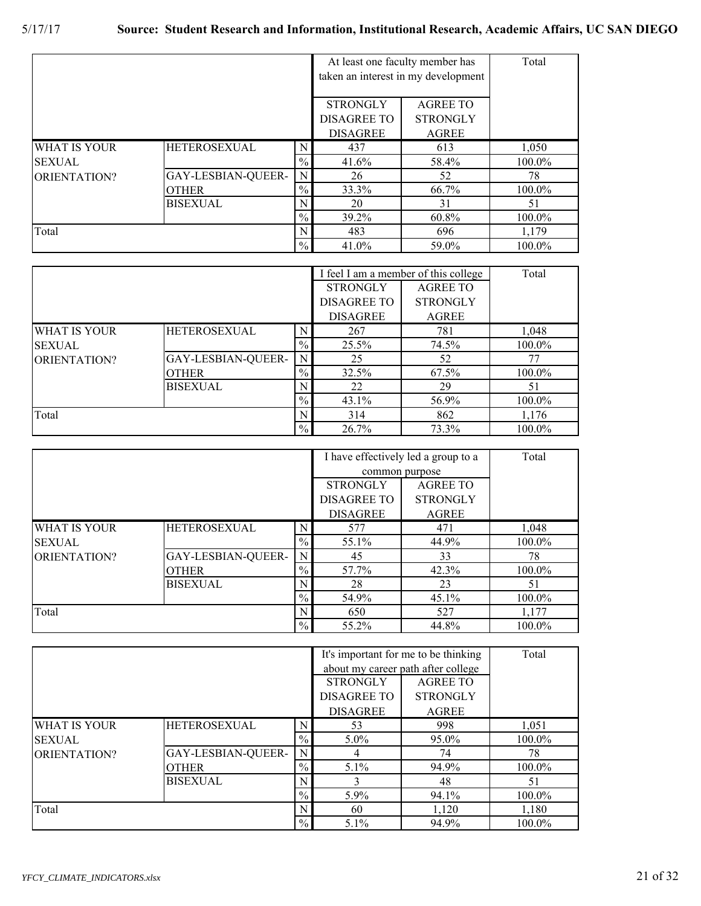|                     |                     | At least one faculty member has |                 | Total                               |        |
|---------------------|---------------------|---------------------------------|-----------------|-------------------------------------|--------|
|                     |                     |                                 |                 | taken an interest in my development |        |
|                     |                     |                                 |                 |                                     |        |
|                     |                     |                                 | <b>STRONGLY</b> | <b>AGREE TO</b>                     |        |
|                     |                     |                                 | DISAGREE TO     | <b>STRONGLY</b>                     |        |
|                     |                     |                                 | <b>DISAGREE</b> | <b>AGREE</b>                        |        |
| <b>WHAT IS YOUR</b> | <b>HETEROSEXUAL</b> | N                               | 437             | 613                                 | 1,050  |
| <b>SEXUAL</b>       |                     | $\%$                            | 41.6%           | 58.4%                               | 100.0% |
| ORIENTATION?        | GAY-LESBIAN-QUEER-  | N                               | 26              | 52                                  | 78     |
|                     | <b>OTHER</b>        | $\%$                            | 33.3%           | 66.7%                               | 100.0% |
|                     | <b>BISEXUAL</b>     | N                               | 20              | 31                                  | 51     |
|                     |                     | $\%$                            | 39.2%           | 60.8%                               | 100.0% |
| Total               |                     | N                               | 483             | 696                                 | 1,179  |
|                     |                     | $\frac{0}{0}$                   | 41.0%           | 59.0%                               | 100.0% |

|                     |                     |               |                    | I feel I am a member of this college | Total  |
|---------------------|---------------------|---------------|--------------------|--------------------------------------|--------|
|                     |                     |               | <b>STRONGLY</b>    | <b>AGREE TO</b>                      |        |
|                     |                     |               | <b>DISAGREE TO</b> | <b>STRONGLY</b>                      |        |
|                     |                     |               | <b>DISAGREE</b>    | <b>AGREE</b>                         |        |
| <b>WHAT IS YOUR</b> | <b>HETEROSEXUAL</b> | N             | 267                | 781                                  | 1,048  |
| <b>SEXUAL</b>       |                     | $\%$          | 25.5%              | 74.5%                                | 100.0% |
| <b>ORIENTATION?</b> | GAY-LESBIAN-QUEER-  | N             | 25                 | 52                                   | 77     |
|                     | OTHER               | $\%$          | 32.5%              | 67.5%                                | 100.0% |
|                     | <b>BISEXUAL</b>     | N             | 22                 | 29                                   | 51     |
|                     |                     | $\%$          | $43.1\%$           | 56.9%                                | 100.0% |
| Total               |                     | N             | 314                | 862                                  | 1,176  |
|                     |                     | $\frac{0}{0}$ | 26.7%              | 73.3%                                | 100.0% |

|                     |                     |               |                 | I have effectively led a group to a | Total     |
|---------------------|---------------------|---------------|-----------------|-------------------------------------|-----------|
|                     |                     |               |                 | common purpose                      |           |
|                     |                     |               | <b>STRONGLY</b> | <b>AGREE TO</b>                     |           |
|                     |                     |               | DISAGREE TO     | <b>STRONGLY</b>                     |           |
|                     |                     |               | <b>DISAGREE</b> | <b>AGREE</b>                        |           |
| <b>WHAT IS YOUR</b> | <b>HETEROSEXUAL</b> | N             | 577             | 471                                 | 1,048     |
| <b>SEXUAL</b>       |                     | $\frac{0}{0}$ | 55.1%           | 44.9%                               | $100.0\%$ |
| <b>ORIENTATION?</b> | GAY-LESBIAN-QUEER-  | N             | 45              | 33                                  | 78        |
|                     | <b>OTHER</b>        | $\%$          | 57.7%           | 42.3%                               | 100.0%    |
|                     | <b>BISEXUAL</b>     | N             | 28              | 23                                  | 51        |
|                     |                     | $\frac{0}{0}$ | 54.9%           | 45.1%                               | 100.0%    |
| Total               |                     | N             | 650             | 527                                 | 1,177     |
|                     |                     | $\frac{0}{0}$ | 55.2%           | 44.8%                               | $100.0\%$ |

|                     |                     |               |                    | It's important for me to be thinking | Total  |
|---------------------|---------------------|---------------|--------------------|--------------------------------------|--------|
|                     |                     |               |                    | about my career path after college   |        |
|                     |                     |               | <b>STRONGLY</b>    | <b>AGREE TO</b>                      |        |
|                     |                     |               | <b>DISAGREE TO</b> | <b>STRONGLY</b>                      |        |
|                     |                     |               | <b>DISAGREE</b>    | <b>AGREE</b>                         |        |
| <b>WHAT IS YOUR</b> | <b>HETEROSEXUAL</b> | N             | 53                 | 998                                  | 1,051  |
| <b>SEXUAL</b>       |                     | $\%$          | $5.0\%$            | 95.0%                                | 100.0% |
| ORIENTATION?        | GAY-LESBIAN-QUEER-  | N             | 4                  | 74                                   | 78     |
|                     | <b>OTHER</b>        | $\%$          | $5.1\%$            | 94.9%                                | 100.0% |
|                     | <b>BISEXUAL</b>     | N             | 3                  | 48                                   | 51     |
|                     |                     | $\%$          | 5.9%               | 94.1%                                | 100.0% |
| Total               |                     | N             | 60                 | 1,120                                | 1,180  |
|                     |                     | $\frac{0}{0}$ | $5.1\%$            | 94.9%                                | 100.0% |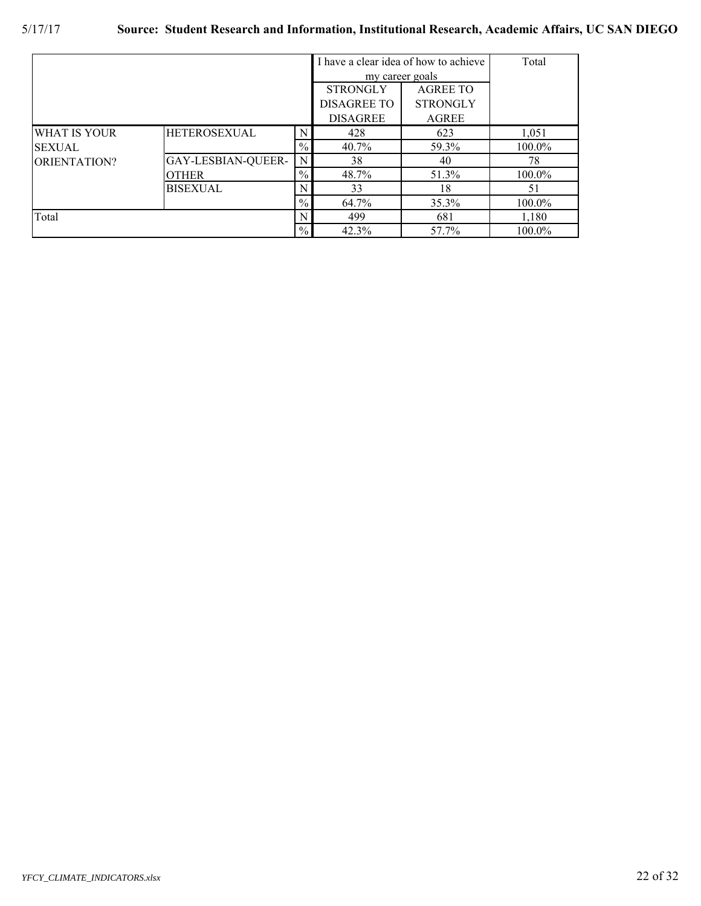|                     |                     |               |                 | I have a clear idea of how to achieve | Total     |
|---------------------|---------------------|---------------|-----------------|---------------------------------------|-----------|
|                     |                     |               | my career goals |                                       |           |
|                     |                     |               | <b>STRONGLY</b> | <b>AGREE TO</b>                       |           |
|                     |                     |               | DISAGREE TO     | <b>STRONGLY</b>                       |           |
|                     |                     |               | <b>DISAGREE</b> | <b>AGREE</b>                          |           |
| <b>WHAT IS YOUR</b> | <b>HETEROSEXUAL</b> | N             | 428             | 623                                   | 1,051     |
| <b>SEXUAL</b>       |                     | $\frac{0}{0}$ | 40.7%           | 59.3%                                 | 100.0%    |
| ORIENTATION?        | GAY-LESBIAN-QUEER-  | N             | 38              | 40                                    | 78        |
|                     | OTHER               | $\%$          | 48.7%           | 51.3%                                 | 100.0%    |
|                     | <b>BISEXUAL</b>     |               | 33              | 18                                    | 51        |
|                     |                     | $\%$          | 64.7%           | 35.3%                                 | 100.0%    |
| Total               |                     | N             | 499             | 681                                   | 1,180     |
|                     |                     | $\%$          | 42.3%           | 57.7%                                 | $100.0\%$ |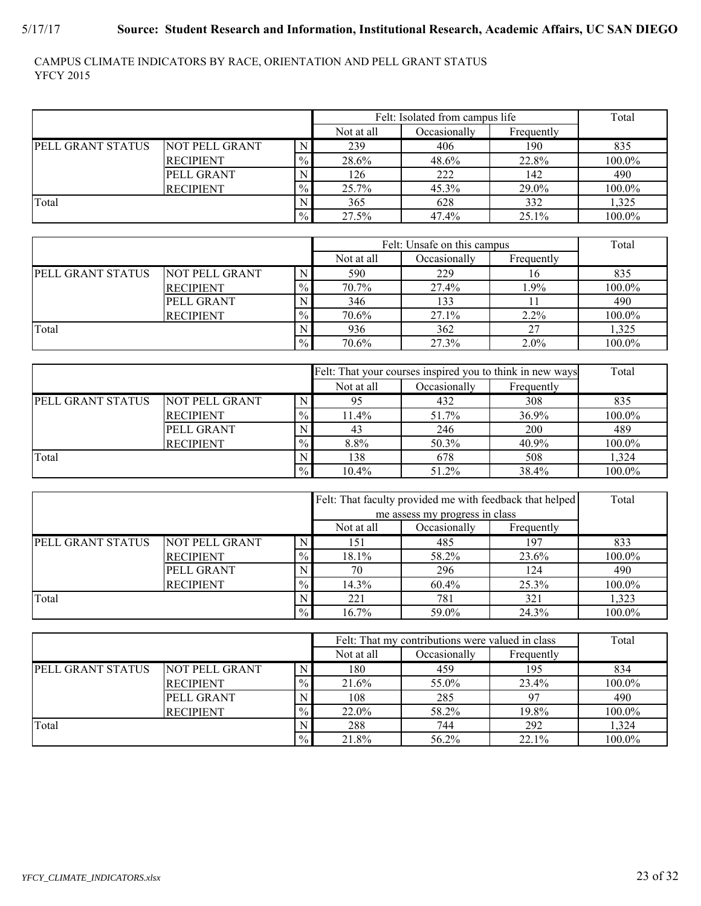### CAMPUS CLIMATE INDICATORS BY RACE, ORIENTATION AND PELL GRANT STATUS YFCY 2015

|                   |                   |               | Felt: Isolated from campus life |              |            | Total  |
|-------------------|-------------------|---------------|---------------------------------|--------------|------------|--------|
|                   |                   |               | Not at all                      | Occasionally | Frequently |        |
| PELL GRANT STATUS | NOT PELL GRANT    |               | 239                             | 406          | 190        | 835    |
|                   | <b>RECIPIENT</b>  | $\frac{0}{0}$ | 28.6%                           | 48.6%        | 22.8%      | 100.0% |
|                   | <b>PELL GRANT</b> |               | 126                             | 222          | 142        | 490    |
|                   | <b>RECIPIENT</b>  | $\frac{0}{0}$ | 25.7%                           | 45.3%        | 29.0%      | 100.0% |
| Total             |                   |               | 365                             | 628          | 332        | 1,325  |
|                   |                   | $\frac{0}{0}$ | 27.5%                           | 47.4%        | 25.1%      | 100.0% |

|                   |                       |               | Felt: Unsafe on this campus |              |            | Total  |
|-------------------|-----------------------|---------------|-----------------------------|--------------|------------|--------|
|                   |                       |               | Not at all                  | Occasionally | Frequently |        |
| PELL GRANT STATUS | <b>NOT PELL GRANT</b> |               | 590                         | 229          | 16         | 835    |
|                   | <b>RECIPIENT</b>      | $\frac{0}{6}$ | 70.7%                       | 27.4%        | 1.9%       | 100.0% |
|                   | <b>PELL GRANT</b>     |               | 346                         | 133          |            | 490    |
|                   | <b>RECIPIENT</b>      | $\frac{9}{6}$ | 70.6%                       | 27.1%        | $2.2\%$    | 100.0% |
| Total             |                       |               | 936                         | 362          |            | 1,325  |
|                   |                       | $\%$          | 70.6%                       | 27.3%        | $2.0\%$    | 100.0% |

|                          |                   |               |            | Felt: That your courses inspired you to think in new ways |            |        |  |
|--------------------------|-------------------|---------------|------------|-----------------------------------------------------------|------------|--------|--|
|                          |                   |               | Not at all | Occasionally                                              | Frequently |        |  |
| <b>PELL GRANT STATUS</b> | NOT PELL GRANT    |               | 95         | 432                                                       | 308        | 835    |  |
|                          | <b>RECIPIENT</b>  | $\frac{9}{6}$ | 11.4%      | 51.7%                                                     | 36.9%      | 100.0% |  |
|                          | <b>PELL GRANT</b> |               | 43         | 246                                                       | <b>200</b> | 489    |  |
|                          | <b>RECIPIENT</b>  | $\frac{0}{0}$ | 8.8%       | 50.3%                                                     | 40.9%      | 100.0% |  |
| Total                    |                   |               | 138        | 678                                                       | 508        | 1,324  |  |
|                          |                   | $\frac{0}{0}$ | 10.4%      | 51.2%                                                     | 38.4%      | 100.0% |  |

|                   |                       |               | Felt: That faculty provided me with feedback that helped |                                | Total      |        |
|-------------------|-----------------------|---------------|----------------------------------------------------------|--------------------------------|------------|--------|
|                   |                       |               |                                                          | me assess my progress in class |            |        |
|                   |                       |               | Not at all                                               | Occasionally                   | Frequently |        |
| PELL GRANT STATUS | <b>NOT PELL GRANT</b> | $\mathbf{N}$  | 151                                                      | 485                            | 197        | 833    |
|                   | <b>RECIPIENT</b>      | $\frac{0}{0}$ | 18.1%                                                    | 58.2%                          | 23.6%      | 100.0% |
|                   | PELL GRANT            | $\mathbf{N}$  | 70                                                       | 296                            | 124        | 490    |
|                   | <b>RECIPIENT</b>      | $\frac{0}{0}$ | 14.3%                                                    | 60.4%                          | 25.3%      | 100.0% |
| Total             |                       | N             | 221                                                      | 781                            | 321        | 1,323  |
|                   |                       | $\frac{0}{0}$ | $16.7\%$                                                 | 59.0%                          | 24.3%      | 100.0% |

|                   |                   |               |            | Felt: That my contributions were valued in class |            |        |
|-------------------|-------------------|---------------|------------|--------------------------------------------------|------------|--------|
|                   |                   |               | Not at all | Occasionally                                     | Frequently |        |
| PELL GRANT STATUS | NOT PELL GRANT    |               | 180        | 459                                              | 195        | 834    |
|                   | <b>RECIPIENT</b>  | $\%$          | 21.6%      | 55.0%                                            | 23.4%      | 100.0% |
|                   | <b>PELL GRANT</b> |               | 108        | 285                                              | 97         | 490    |
|                   | <b>RECIPIENT</b>  | $\frac{0}{6}$ | 22.0%      | 58.2%                                            | 19.8%      | 100.0% |
| Total             |                   |               | 288        | 744                                              | 292        | 1.324  |
|                   |                   | $\%$ .        | 21.8%      | 56.2%                                            | 22.1%      | 100.0% |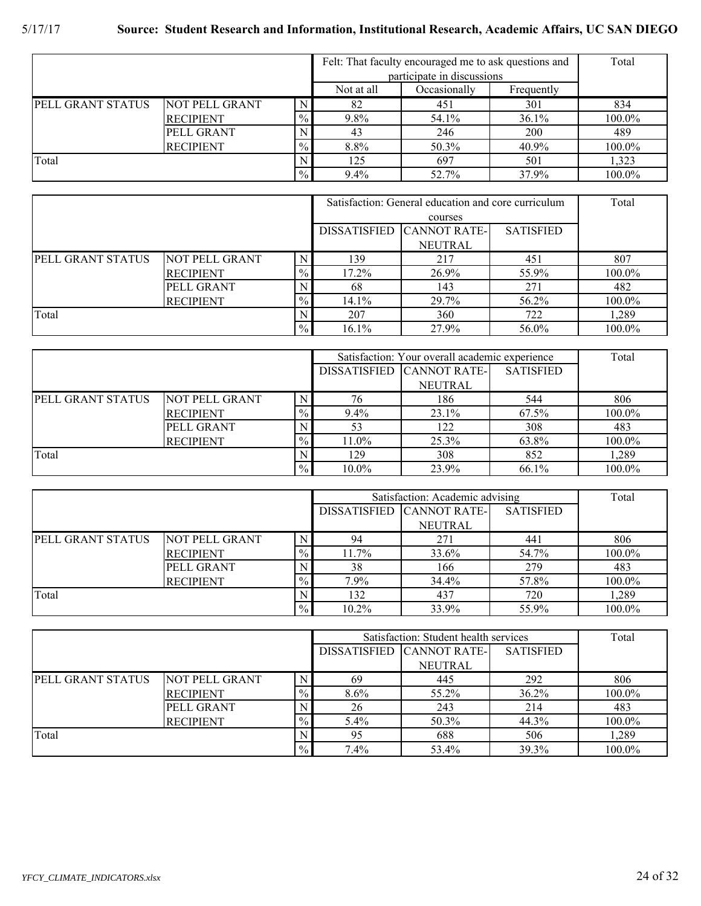|                   |                       |               | Felt: That faculty encouraged me to ask questions and | Total                                                    |          |        |  |  |
|-------------------|-----------------------|---------------|-------------------------------------------------------|----------------------------------------------------------|----------|--------|--|--|
|                   |                       |               | Not at all                                            | participate in discussions<br>Occasionally<br>Frequently |          |        |  |  |
| PELL GRANT STATUS | <b>NOT PELL GRANT</b> |               | 82                                                    | 451                                                      | 301      | 834    |  |  |
|                   | <b>RECIPIENT</b>      | $\%$          | 9.8%                                                  | 54.1%                                                    | $36.1\%$ | 100.0% |  |  |
|                   | PELL GRANT            |               | 43                                                    | 246                                                      | 200      | 489    |  |  |
|                   | <b>RECIPIENT</b>      | $\frac{0}{0}$ | 8.8%                                                  | 50.3%                                                    | $40.9\%$ | 100.0% |  |  |
| Total             |                       |               | 125                                                   | 697                                                      | 501      | 1,323  |  |  |
|                   |                       | $\frac{0}{0}$ | 9.4%                                                  | 52.7%                                                    | 37.9%    | 100.0% |  |  |

|                          |                  |               |                           | Satisfaction: General education and core curriculum |       |        |  |  |  |
|--------------------------|------------------|---------------|---------------------------|-----------------------------------------------------|-------|--------|--|--|--|
|                          |                  |               |                           | courses                                             |       |        |  |  |  |
|                          |                  |               | DISSATISFIED CANNOT RATE- | <b>SATISFIED</b>                                    |       |        |  |  |  |
|                          |                  |               |                           | <b>NEUTRAL</b>                                      |       |        |  |  |  |
| <b>PELL GRANT STATUS</b> | NOT PELL GRANT   | N             | 139                       | 217                                                 | 451   | 807    |  |  |  |
|                          | <b>RECIPIENT</b> | $\%$          | 17.2%                     | 26.9%                                               | 55.9% | 100.0% |  |  |  |
|                          | PELL GRANT       |               | 68                        | 143                                                 | 271   | 482    |  |  |  |
|                          | <b>RECIPIENT</b> | $\frac{0}{0}$ | 14.1%                     | 29.7%                                               | 56.2% | 100.0% |  |  |  |
| Total                    |                  |               | 207                       | 360                                                 | 722   | 1.289  |  |  |  |
|                          |                  | $\frac{0}{0}$ | 16.1%                     | 27.9%                                               | 56.0% | 100.0% |  |  |  |

|                          |                   |               | Satisfaction: Your overall academic experience | Total                     |                  |        |
|--------------------------|-------------------|---------------|------------------------------------------------|---------------------------|------------------|--------|
|                          |                   |               |                                                | DISSATISFIED CANNOT RATE- | <b>SATISFIED</b> |        |
|                          |                   |               |                                                | <b>NEUTRAL</b>            |                  |        |
| <b>PELL GRANT STATUS</b> | NOT PELL GRANT    |               | 76                                             | 186                       | 544              | 806    |
|                          | <b>RECIPIENT</b>  | $\frac{0}{0}$ | $9.4\%$                                        | 23.1%                     | 67.5%            | 100.0% |
|                          | <b>PELL GRANT</b> |               | 53                                             | 122                       | 308              | 483    |
|                          | <b>RECIPIENT</b>  | $\frac{0}{0}$ | 11.0%                                          | 25.3%                     | 63.8%            | 100.0% |
| Total                    |                   |               | 129                                            | 308                       | 852              | 1,289  |
|                          |                   | $\%$          | $10.0\%$                                       | 23.9%                     | 66.1%            | 100.0% |

|                   |                       |               |       | Satisfaction: Academic advising |                  |        |  |
|-------------------|-----------------------|---------------|-------|---------------------------------|------------------|--------|--|
|                   |                       |               |       | DISSATISFIED CANNOT RATE-       | <b>SATISFIED</b> |        |  |
|                   |                       |               |       | NEUTRAL                         |                  |        |  |
| PELL GRANT STATUS | <b>NOT PELL GRANT</b> |               | 94    | 271                             | 441              | 806    |  |
|                   | <b>RECIPIENT</b>      | $\frac{9}{6}$ | 11.7% | 33.6%                           | 54.7%            | 100.0% |  |
|                   | <b>PELL GRANT</b>     |               | 38    | 166                             | 279              | 483    |  |
|                   | <b>RECIPIENT</b>      | $\frac{0}{2}$ | 7.9%  | 34.4%                           | 57.8%            | 100.0% |  |
| Total             |                       |               | 132   | 437                             | 720              | 1,289  |  |
|                   |                       | $\frac{0}{0}$ | 10.2% | 33.9%                           | 55.9%            | 100.0% |  |

|                   |                       |               |      | Satisfaction: Student health services |                  |        |
|-------------------|-----------------------|---------------|------|---------------------------------------|------------------|--------|
|                   |                       |               |      | DISSATISFIED CANNOT RATE-             | <b>SATISFIED</b> |        |
|                   |                       |               |      | <b>NEUTRAL</b>                        |                  |        |
| PELL GRANT STATUS | <b>NOT PELL GRANT</b> |               | 69   | 445                                   | 292              | 806    |
|                   | <b>RECIPIENT</b>      | $\frac{0}{2}$ | 8.6% | 55.2%                                 | $36.2\%$         | 100.0% |
|                   | PELL GRANT            |               | 26   | 243                                   | 214              | 483    |
|                   | <b>RECIPIENT</b>      | $\frac{0}{6}$ | 5.4% | 50.3%                                 | 44.3%            | 100.0% |
| Total             |                       |               | 95   | 688                                   | 506              | 1,289  |
|                   |                       | $\%$          | 7.4% | 53.4%                                 | 39.3%            | 100.0% |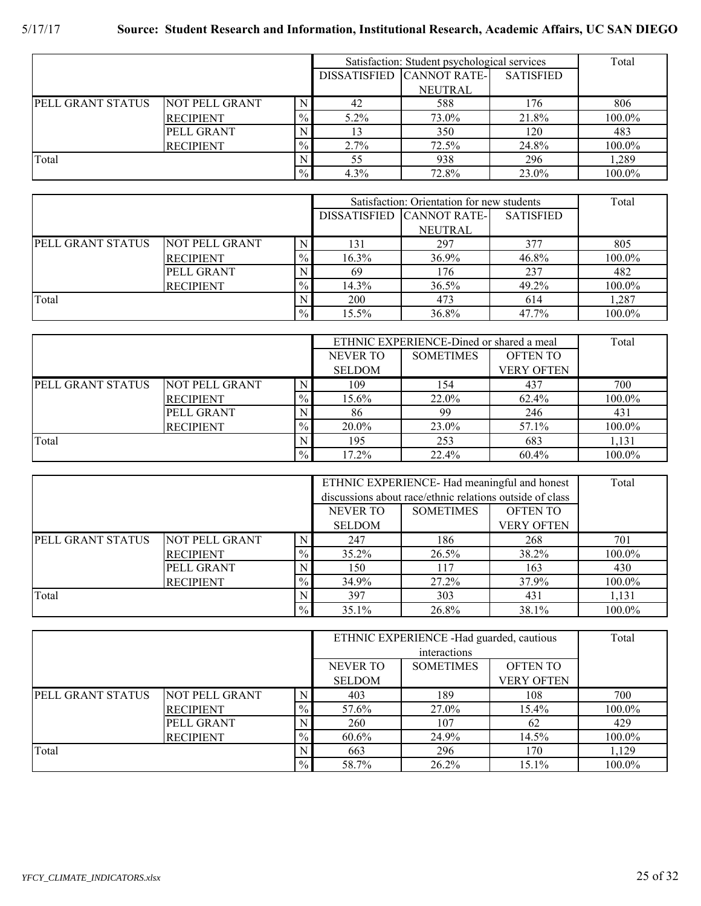|                   |                   |               |         | Satisfaction: Student psychological services |                  |        |
|-------------------|-------------------|---------------|---------|----------------------------------------------|------------------|--------|
|                   |                   |               |         | DISSATISFIED CANNOT RATE-                    | <b>SATISFIED</b> |        |
|                   |                   |               |         | <b>NEUTRAL</b>                               |                  |        |
| PELL GRANT STATUS | NOT PELL GRANT    |               | 42      | 588                                          | 176              | 806    |
|                   | <b>RECIPIENT</b>  | $\frac{0}{2}$ | $5.2\%$ | 73.0%                                        | 21.8%            | 100.0% |
|                   | <b>PELL GRANT</b> |               | 13      | 350                                          | 120              | 483    |
|                   | <b>RECIPIENT</b>  | $\frac{0}{0}$ | 2.7%    | 72.5%                                        | 24.8%            | 100.0% |
| Total             |                   |               | 55      | 938                                          | 296              | 1,289  |
|                   |                   | $\frac{0}{0}$ | 4.3%    | 72.8%                                        | 23.0%            | 100.0% |

|                   |                       |      |          | Satisfaction: Orientation for new students |                  |        |  |  |
|-------------------|-----------------------|------|----------|--------------------------------------------|------------------|--------|--|--|
|                   |                       |      |          | DISSATISFIED CANNOT RATE-                  | <b>SATISFIED</b> |        |  |  |
|                   |                       |      |          | <b>NEUTRAL</b>                             |                  |        |  |  |
| PELL GRANT STATUS | <b>NOT PELL GRANT</b> | N    | 131      | 297                                        | 377              | 805    |  |  |
|                   | <b>RECIPIENT</b>      | $\%$ | $16.3\%$ | 36.9%                                      | 46.8%            | 100.0% |  |  |
|                   | <b>PELL GRANT</b>     |      | 69       | 176                                        | 237              | 482    |  |  |
|                   | <b>RECIPIENT</b>      | $\%$ | 14.3%    | 36.5%                                      | 49.2%            | 100.0% |  |  |
| Total             |                       |      | 200      | 473                                        | 614              | 1,287  |  |  |
|                   |                       | $\%$ | 15.5%    | 36.8%                                      | 47.7%            | 100.0% |  |  |

|                          |                   |               |               | ETHNIC EXPERIENCE-Dined or shared a meal |                   |        |
|--------------------------|-------------------|---------------|---------------|------------------------------------------|-------------------|--------|
|                          |                   |               | NEVER TO      | <b>SOMETIMES</b>                         | <b>OFTEN TO</b>   |        |
|                          |                   |               | <b>SELDOM</b> |                                          | <b>VERY OFTEN</b> |        |
| <b>PELL GRANT STATUS</b> | NOT PELL GRANT    |               | 109           | 154                                      | 437               | 700    |
|                          | <b>RECIPIENT</b>  | $\frac{0}{2}$ | 15.6%         | 22.0%                                    | 62.4%             | 100.0% |
|                          | <b>PELL GRANT</b> |               | 86            | 99                                       | 246               | 431    |
|                          | <b>RECIPIENT</b>  | $\frac{0}{2}$ | 20.0%         | 23.0%                                    | 57.1%             | 100.0% |
| Total                    |                   |               | 195           | 253                                      | 683               | 1,131  |
|                          |                   | $\frac{0}{2}$ | 17.2%         | 22.4%                                    | 60.4%             | 100.0% |

|                   |                       |               |                 | ETHNIC EXPERIENCE-Had meaningful and honest              |                   |        |  |  |
|-------------------|-----------------------|---------------|-----------------|----------------------------------------------------------|-------------------|--------|--|--|
|                   |                       |               |                 | discussions about race/ethnic relations outside of class |                   |        |  |  |
|                   |                       |               | <b>NEVER TO</b> | <b>SOMETIMES</b>                                         | <b>OFTEN TO</b>   |        |  |  |
|                   |                       |               | <b>SELDOM</b>   |                                                          | <b>VERY OFTEN</b> |        |  |  |
| PELL GRANT STATUS | <b>NOT PELL GRANT</b> |               | 247             | 186                                                      | 268               | 701    |  |  |
|                   | <b>RECIPIENT</b>      | $\frac{0}{0}$ | 35.2%           | 26.5%                                                    | 38.2%             | 100.0% |  |  |
|                   | PELL GRANT            |               | 150             | 117                                                      | 163               | 430    |  |  |
|                   | <b>RECIPIENT</b>      | $\%$          | 34.9%           | 27.2%                                                    | 37.9%             | 100.0% |  |  |
| Total             |                       |               | 397             | 303                                                      | 431               | 1,131  |  |  |
|                   |                       | $\frac{0}{0}$ | 35.1%           | 26.8%                                                    | 38.1%             | 100.0% |  |  |

|                   |                       |      |               | ETHNIC EXPERIENCE - Had guarded, cautious |                   |        |  |  |  |
|-------------------|-----------------------|------|---------------|-------------------------------------------|-------------------|--------|--|--|--|
|                   |                       |      |               | interactions                              |                   |        |  |  |  |
|                   |                       |      | NEVER TO      | <b>SOMETIMES</b>                          | <b>OFTEN TO</b>   |        |  |  |  |
|                   |                       |      | <b>SELDOM</b> |                                           | <b>VERY OFTEN</b> |        |  |  |  |
| PELL GRANT STATUS | <b>NOT PELL GRANT</b> |      | 403           | 189                                       | 108               | 700    |  |  |  |
|                   | <b>RECIPIENT</b>      | $\%$ | 57.6%         | 27.0%                                     | 15.4%             | 100.0% |  |  |  |
|                   | PELL GRANT            |      | 260           | 107                                       | 62                | 429    |  |  |  |
|                   | <b>RECIPIENT</b>      | $\%$ | 60.6%         | 24.9%                                     | 14.5%             | 100.0% |  |  |  |
| Total             |                       |      | 663           | 296                                       | 170               | 1,129  |  |  |  |
|                   |                       | $\%$ | 58.7%         | 26.2%                                     | 15.1%             | 100.0% |  |  |  |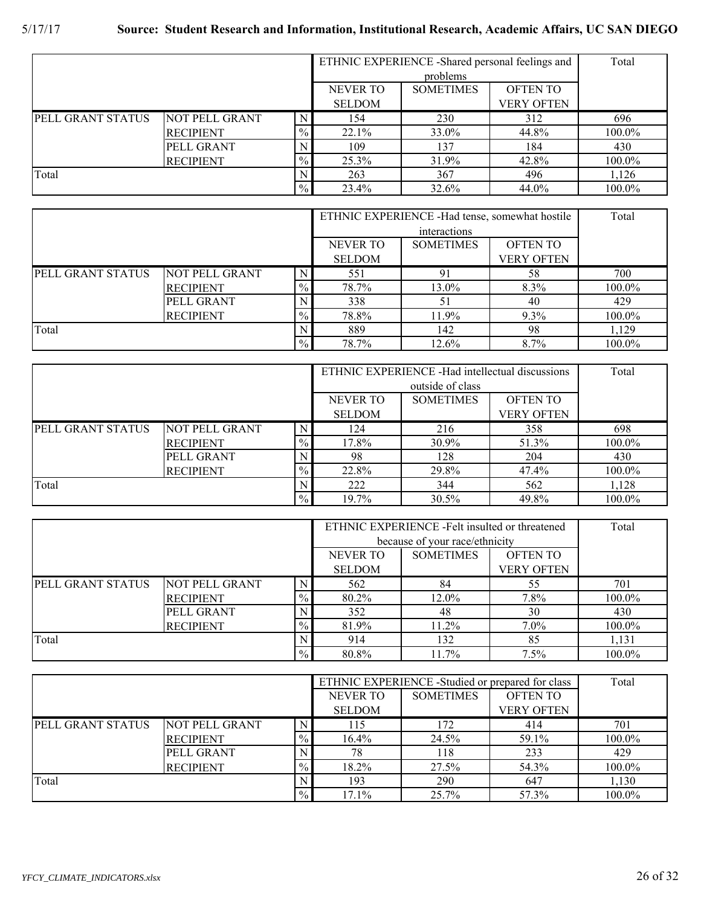|                   |                  |               | ETHNIC EXPERIENCE - Shared personal feelings and |                  | Total             |        |  |  |  |
|-------------------|------------------|---------------|--------------------------------------------------|------------------|-------------------|--------|--|--|--|
|                   |                  |               |                                                  | problems         |                   |        |  |  |  |
|                   |                  |               | <b>NEVER TO</b>                                  | <b>SOMETIMES</b> | <b>OFTEN TO</b>   |        |  |  |  |
|                   |                  |               | <b>SELDOM</b>                                    |                  | <b>VERY OFTEN</b> |        |  |  |  |
| PELL GRANT STATUS | NOT PELL GRANT   |               | 154                                              | 230              | 312               | 696    |  |  |  |
|                   | <b>RECIPIENT</b> | $\frac{0}{6}$ | 22.1%                                            | 33.0%            | 44.8%             | 100.0% |  |  |  |
|                   | PELL GRANT       |               | 109                                              | 137              | 184               | 430    |  |  |  |
|                   | <b>RECIPIENT</b> | $\frac{0}{0}$ | 25.3%                                            | 31.9%            | 42.8%             | 100.0% |  |  |  |
| Total             |                  |               | 263                                              | 367              | 496               | 1,126  |  |  |  |
|                   |                  | $\frac{0}{0}$ | 23.4%                                            | 32.6%            | 44.0%             | 100.0% |  |  |  |

|                   |                  |               |               | ETHNIC EXPERIENCE - Had tense, somewhat hostile |                   |        |  |  |  |
|-------------------|------------------|---------------|---------------|-------------------------------------------------|-------------------|--------|--|--|--|
|                   |                  |               |               | interactions                                    |                   |        |  |  |  |
|                   |                  |               | NEVER TO      | <b>SOMETIMES</b>                                | <b>OFTEN TO</b>   |        |  |  |  |
|                   |                  |               | <b>SELDOM</b> |                                                 | <b>VERY OFTEN</b> |        |  |  |  |
| PELL GRANT STATUS | NOT PELL GRANT   |               | 551           | 91                                              | 58                | 700    |  |  |  |
|                   | <b>RECIPIENT</b> | $\frac{0}{0}$ | 78.7%         | 13.0%                                           | 8.3%              | 100.0% |  |  |  |
|                   | PELL GRANT       |               | 338           | 51                                              | 40                | 429    |  |  |  |
|                   | <b>RECIPIENT</b> | $\frac{9}{6}$ | 78.8%         | 11.9%                                           | 9.3%              | 100.0% |  |  |  |
| Total             |                  |               | 889           | 142                                             | 98                | 1.129  |  |  |  |
|                   |                  | $\frac{0}{0}$ | 78.7%         | 12.6%                                           | 8.7%              | 100.0% |  |  |  |

|                   |                       |               | ETHNIC EXPERIENCE - Had intellectual discussions | Total            |                   |        |
|-------------------|-----------------------|---------------|--------------------------------------------------|------------------|-------------------|--------|
|                   |                       |               |                                                  | outside of class |                   |        |
|                   |                       |               | <b>NEVER TO</b>                                  | <b>SOMETIMES</b> | <b>OFTEN TO</b>   |        |
|                   |                       |               | <b>SELDOM</b>                                    |                  | <b>VERY OFTEN</b> |        |
| PELL GRANT STATUS | <b>NOT PELL GRANT</b> |               | 124                                              | 216              | 358               | 698    |
|                   | <b>RECIPIENT</b>      | $\%$          | 17.8%                                            | 30.9%            | 51.3%             | 100.0% |
|                   | PELL GRANT            |               | 98                                               | 128              | 204               | 430    |
|                   | <b>RECIPIENT</b>      | $\frac{0}{0}$ | 22.8%                                            | 29.8%            | 47.4%             | 100.0% |
| Total             |                       |               | 222                                              | 344              | 562               | 1,128  |
|                   |                       | $\frac{0}{6}$ | 19.7%                                            | 30.5%            | 49.8%             | 100.0% |

|                   |                       |               |                 | ETHNIC EXPERIENCE - Felt insulted or threatened |                   |        |  |
|-------------------|-----------------------|---------------|-----------------|-------------------------------------------------|-------------------|--------|--|
|                   |                       |               |                 | because of your race/ethnicity                  |                   |        |  |
|                   |                       |               | <b>NEVER TO</b> | <b>SOMETIMES</b>                                | <b>OFTEN TO</b>   |        |  |
|                   |                       |               | <b>SELDOM</b>   |                                                 | <b>VERY OFTEN</b> |        |  |
| PELL GRANT STATUS | <b>NOT PELL GRANT</b> |               | 562             | 84                                              | 55                | 701    |  |
|                   | <b>RECIPIENT</b>      | $\frac{0}{0}$ | 80.2%           | 12.0%                                           | 7.8%              | 100.0% |  |
|                   | PELL GRANT            |               | 352             | 48                                              | 30                | 430    |  |
|                   | <b>RECIPIENT</b>      | $\frac{0}{6}$ | 81.9%           | $11.2\%$                                        | $7.0\%$           | 100.0% |  |
| Total             |                       |               | 914             | 132                                             | 85                | 1,131  |  |
|                   |                       | $\frac{0}{2}$ | 80.8%           | $11.7\%$                                        | 7.5%              | 100.0% |  |

|                   |                       |               | ETHNIC EXPERIENCE - Studied or prepared for class |                  | Total             |        |
|-------------------|-----------------------|---------------|---------------------------------------------------|------------------|-------------------|--------|
|                   |                       |               | <b>NEVER TO</b>                                   | <b>SOMETIMES</b> | <b>OFTEN TO</b>   |        |
|                   |                       |               | <b>SELDOM</b>                                     |                  | <b>VERY OFTEN</b> |        |
| PELL GRANT STATUS | <b>NOT PELL GRANT</b> |               | 115                                               | 172              | 414               | 701    |
|                   | <b>RECIPIENT</b>      | $\frac{0}{2}$ | $16.4\%$                                          | 24.5%            | 59.1%             | 100.0% |
|                   | PELL GRANT            |               | 78                                                | 118              | 233               | 429    |
|                   | <b>RECIPIENT</b>      | $\%$          | 18.2%                                             | 27.5%            | 54.3%             | 100.0% |
| Total             |                       |               | 193                                               | 290              | 647               | 1,130  |
|                   |                       | $\%$          | 17.1%                                             | 25.7%            | 57.3%             | 100.0% |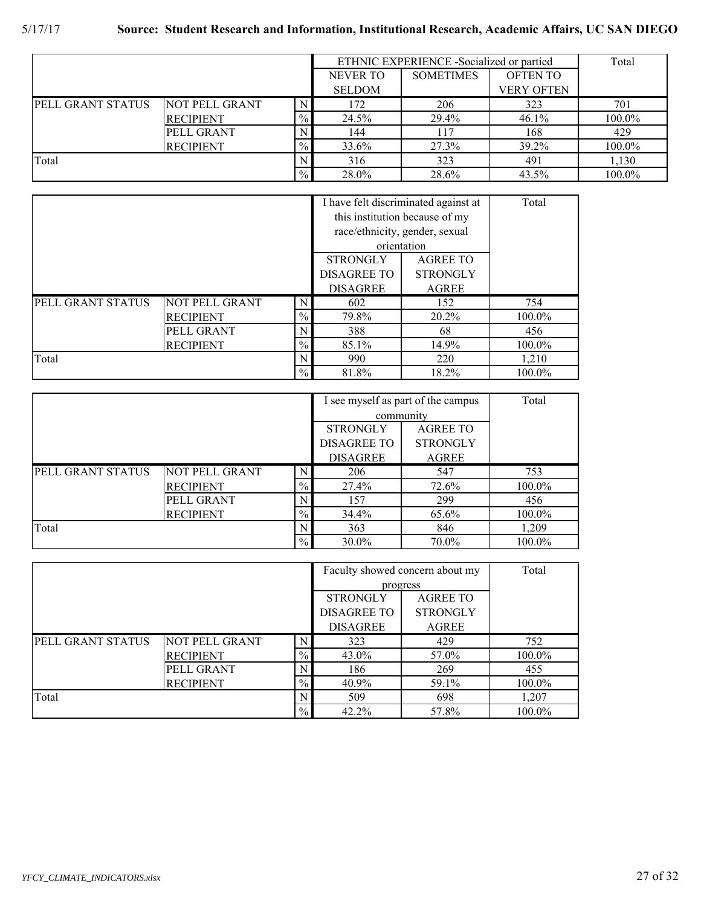|                   |                   |                 |                  | ETHNIC EXPERIENCE -Socialized or partied |                   |        |  |
|-------------------|-------------------|-----------------|------------------|------------------------------------------|-------------------|--------|--|
|                   |                   | <b>NEVER TO</b> | <b>SOMETIMES</b> | <b>OFTEN TO</b>                          |                   |        |  |
|                   |                   |                 | <b>SELDOM</b>    |                                          | <b>VERY OFTEN</b> |        |  |
| PELL GRANT STATUS | NOT PELL GRANT    | N.              | 172              | 206                                      | 323               | 701    |  |
|                   | <b>RECIPIENT</b>  | $\%$            | 24.5%            | 29.4%                                    | 46.1%             | 100.0% |  |
|                   | <b>PELL GRANT</b> |                 | 144              | 117                                      | 168               | 429    |  |
|                   | <b>RECIPIENT</b>  | $\frac{0}{0}$   | 33.6%            | 27.3%                                    | 39.2%             | 100.0% |  |
| Total             |                   |                 | 316              | 323                                      | 491               | 1.130  |  |
|                   |                   | $\%$            | 28.0%            | 28.6%                                    | 43.5%             | 100.0% |  |

|                   |                       |                                |                                | I have felt discriminated against at | Total  |
|-------------------|-----------------------|--------------------------------|--------------------------------|--------------------------------------|--------|
|                   |                       | this institution because of my |                                |                                      |        |
|                   |                       |                                | race/ethnicity, gender, sexual |                                      |        |
|                   |                       |                                | orientation                    |                                      |        |
|                   |                       |                                | <b>STRONGLY</b>                | <b>AGREE TO</b>                      |        |
|                   |                       |                                | <b>DISAGREE TO</b>             | <b>STRONGLY</b>                      |        |
|                   |                       |                                | <b>DISAGREE</b>                | AGREE                                |        |
| PELL GRANT STATUS | <b>NOT PELL GRANT</b> | N                              | 602                            | 152                                  | 754    |
|                   | <b>RECIPIENT</b>      | $\%$                           | 79.8%                          | 20.2%                                | 100.0% |
|                   | PELL GRANT            | N                              | 388                            | 68                                   | 456    |
|                   | <b>RECIPIENT</b>      | $\frac{0}{0}$                  | 85.1%                          | 14.9%                                | 100.0% |
| Total             |                       | N                              | 990                            | 220                                  | 1,210  |
|                   |                       | $\%$                           | 81.8%                          | 18.2%                                | 100.0% |

|                   |                       | I see myself as part of the campus |                    | Total           |        |
|-------------------|-----------------------|------------------------------------|--------------------|-----------------|--------|
|                   |                       |                                    | community          |                 |        |
|                   |                       |                                    | <b>STRONGLY</b>    | <b>AGREE TO</b> |        |
|                   |                       |                                    | <b>DISAGREE TO</b> | <b>STRONGLY</b> |        |
|                   |                       |                                    | <b>DISAGREE</b>    | <b>AGREE</b>    |        |
| PELL GRANT STATUS | <b>NOT PELL GRANT</b> | N                                  | 206                | 547             | 753    |
|                   | <b>RECIPIENT</b>      | $\frac{0}{0}$                      | 27.4%              | 72.6%           | 100.0% |
|                   | PELL GRANT            | N                                  | 157                | 299             | 456    |
|                   | <b>RECIPIENT</b>      | $\%$                               | 34.4%              | 65.6%           | 100.0% |
| Total             |                       | N                                  | 363                | 846             | 1,209  |
|                   |                       | $\%$                               | 30.0%              | 70.0%           | 100.0% |

|                   |                       | Faculty showed concern about my |                    | Total           |        |
|-------------------|-----------------------|---------------------------------|--------------------|-----------------|--------|
|                   |                       |                                 | progress           |                 |        |
|                   |                       |                                 | <b>STRONGLY</b>    | <b>AGREE TO</b> |        |
|                   |                       |                                 | <b>DISAGREE TO</b> | <b>STRONGLY</b> |        |
|                   |                       |                                 | <b>DISAGREE</b>    | <b>AGREE</b>    |        |
| PELL GRANT STATUS | <b>NOT PELL GRANT</b> | N                               | 323                | 429             | 752    |
|                   | <b>RECIPIENT</b>      | $\%$                            | 43.0%              | 57.0%           | 100.0% |
|                   | PELL GRANT            | N                               | 186                | 269             | 455    |
|                   | <b>RECIPIENT</b>      | $\frac{0}{0}$                   | 40.9%              | 59.1%           | 100.0% |
| Total             |                       | N                               | 509                | 698             | 1,207  |
|                   |                       | $\%$                            | 42.2%              | 57.8%           | 100.0% |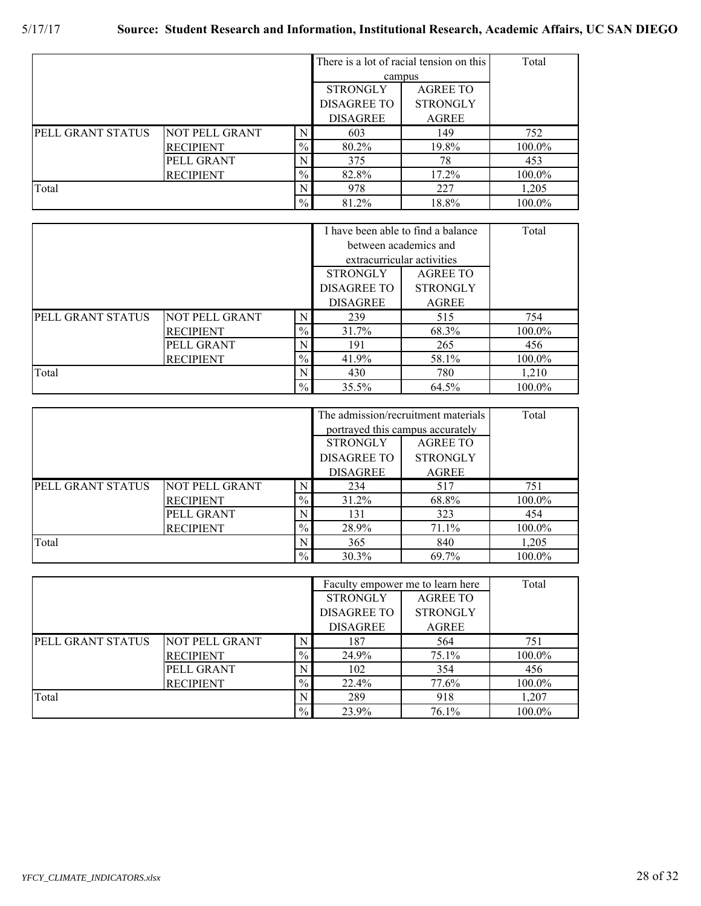|                   |                       | There is a lot of racial tension on this |                    | Total           |        |
|-------------------|-----------------------|------------------------------------------|--------------------|-----------------|--------|
|                   |                       |                                          | campus             |                 |        |
|                   |                       |                                          | <b>STRONGLY</b>    | <b>AGREE TO</b> |        |
|                   |                       |                                          | <b>DISAGREE TO</b> | <b>STRONGLY</b> |        |
|                   |                       |                                          | <b>DISAGREE</b>    | AGREE           |        |
| PELL GRANT STATUS | <b>NOT PELL GRANT</b> | N                                        | 603                | 149             | 752    |
|                   | <b>RECIPIENT</b>      | $\%$                                     | 80.2%              | 19.8%           | 100.0% |
|                   | PELL GRANT            | N                                        | 375                | 78              | 453    |
|                   | <b>RECIPIENT</b>      | $\%$                                     | 82.8%              | $17.2\%$        | 100.0% |
| Total             |                       | N                                        | 978                | 227             | 1,205  |
|                   |                       | $\frac{0}{6}$                            | 81.2%              | 18.8%           | 100.0% |

|                   |                       | I have been able to find a balance |                            | Total           |        |
|-------------------|-----------------------|------------------------------------|----------------------------|-----------------|--------|
|                   |                       |                                    | between academics and      |                 |        |
|                   |                       |                                    | extracurricular activities |                 |        |
|                   |                       |                                    | <b>STRONGLY</b>            | <b>AGREE TO</b> |        |
|                   |                       |                                    | <b>DISAGREE TO</b>         | <b>STRONGLY</b> |        |
|                   |                       |                                    | <b>DISAGREE</b>            | AGREE           |        |
| PELL GRANT STATUS | <b>NOT PELL GRANT</b> | N                                  | 239                        | 515             | 754    |
|                   | <b>RECIPIENT</b>      | $\%$                               | 31.7%                      | 68.3%           | 100.0% |
|                   | PELL GRANT            | N                                  | 191                        | 265             | 456    |
|                   | <b>RECIPIENT</b>      | $\frac{0}{0}$                      | 41.9%                      | 58.1%           | 100.0% |
| Total             |                       | N                                  | 430                        | 780             | 1,210  |
|                   |                       | $\frac{0}{0}$                      | 35.5%                      | 64.5%           | 100.0% |

|                   |                       | The admission/recruitment materials |                                  | Total           |        |
|-------------------|-----------------------|-------------------------------------|----------------------------------|-----------------|--------|
|                   |                       |                                     | portrayed this campus accurately |                 |        |
|                   |                       |                                     | <b>STRONGLY</b>                  | <b>AGREE TO</b> |        |
|                   |                       |                                     | <b>DISAGREE TO</b>               | <b>STRONGLY</b> |        |
|                   |                       |                                     | <b>DISAGREE</b>                  | <b>AGREE</b>    |        |
| PELL GRANT STATUS | <b>NOT PELL GRANT</b> | N                                   | 234                              | 517             | 751    |
|                   | <b>RECIPIENT</b>      | $\%$                                | 31.2%                            | 68.8%           | 100.0% |
|                   | PELL GRANT            | N                                   | 131                              | 323             | 454    |
|                   | <b>RECIPIENT</b>      | $\%$                                | 28.9%                            | 71.1%           | 100.0% |
| Total             |                       |                                     | 365                              | 840             | 1,205  |
|                   |                       | $\frac{0}{0}$                       | 30.3%                            | 69.7%           | 100.0% |

|                          |                       |               | Faculty empower me to learn here | Total           |        |
|--------------------------|-----------------------|---------------|----------------------------------|-----------------|--------|
|                          |                       |               | <b>STRONGLY</b>                  | <b>AGREE TO</b> |        |
|                          |                       |               | DISAGREE TO                      | <b>STRONGLY</b> |        |
|                          |                       |               | <b>DISAGREE</b>                  | <b>AGREE</b>    |        |
| <b>PELL GRANT STATUS</b> | <b>NOT PELL GRANT</b> | N             | 187                              | 564             | 751    |
|                          | <b>RECIPIENT</b>      | $\frac{0}{6}$ | 24.9%                            | 75.1%           | 100.0% |
|                          | PELL GRANT            | N             | 102                              | 354             | 456    |
|                          | <b>RECIPIENT</b>      | $\frac{0}{0}$ | 22.4%                            | 77.6%           | 100.0% |
| Total                    |                       | N             | 289                              | 918             | 1.207  |
|                          |                       | $\frac{0}{6}$ | 23.9%                            | 76.1%           | 100.0% |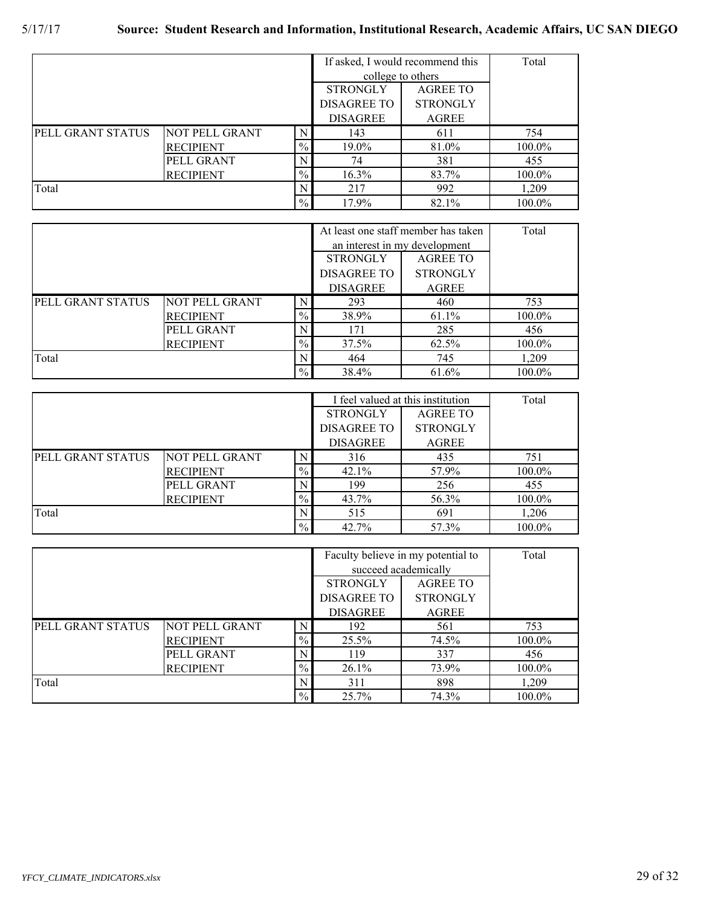|                   |                       | If asked, I would recommend this |                    | Total           |        |
|-------------------|-----------------------|----------------------------------|--------------------|-----------------|--------|
|                   |                       |                                  | college to others  |                 |        |
|                   |                       |                                  | <b>STRONGLY</b>    | <b>AGREE TO</b> |        |
|                   |                       |                                  | <b>DISAGREE TO</b> | <b>STRONGLY</b> |        |
|                   |                       |                                  | <b>DISAGREE</b>    | <b>AGREE</b>    |        |
| PELL GRANT STATUS | <b>NOT PELL GRANT</b> | N                                | 143                | 611             | 754    |
|                   | <b>RECIPIENT</b>      | $\frac{0}{6}$                    | 19.0%              | 81.0%           | 100.0% |
|                   | PELL GRANT            | N                                | 74                 | 381             | 455    |
|                   | <b>RECIPIENT</b>      | $\%$                             | 16.3%              | 83.7%           | 100.0% |
| Total             |                       | N                                | 217                | 992             | 1.209  |
|                   |                       | $\frac{0}{0}$                    | 17.9%              | 82.1%           | 100.0% |

|                   |                       | At least one staff member has taken |                               | Total           |        |
|-------------------|-----------------------|-------------------------------------|-------------------------------|-----------------|--------|
|                   |                       |                                     | an interest in my development |                 |        |
|                   |                       | <b>STRONGLY</b>                     | <b>AGREE TO</b>               |                 |        |
|                   |                       |                                     | <b>DISAGREE TO</b>            | <b>STRONGLY</b> |        |
|                   |                       |                                     | <b>DISAGREE</b>               | <b>AGREE</b>    |        |
| PELL GRANT STATUS | <b>NOT PELL GRANT</b> | N                                   | 293                           | 460             | 753    |
|                   | <b>RECIPIENT</b>      | $\frac{0}{0}$                       | 38.9%                         | 61.1%           | 100.0% |
|                   | PELL GRANT            | N                                   | 171                           | 285             | 456    |
|                   | <b>RECIPIENT</b>      | $\%$                                | 37.5%                         | 62.5%           | 100.0% |
| Total             |                       | N                                   | 464                           | 745             | 1.209  |
|                   |                       | $\frac{0}{6}$                       | 38.4%                         | 61.6%           | 100.0% |

|                   |                       |               | I feel valued at this institution |                 | Total  |
|-------------------|-----------------------|---------------|-----------------------------------|-----------------|--------|
|                   |                       |               | <b>STRONGLY</b>                   | <b>AGREE TO</b> |        |
|                   |                       |               | <b>DISAGREE TO</b>                | <b>STRONGLY</b> |        |
|                   |                       |               | <b>DISAGREE</b>                   | <b>AGREE</b>    |        |
| PELL GRANT STATUS | <b>NOT PELL GRANT</b> | N             | 316                               | 435             | 751    |
|                   | <b>RECIPIENT</b>      | $\%$          | 42.1%                             | 57.9%           | 100.0% |
|                   | PELL GRANT            | N             | 199                               | 256             | 455    |
|                   | <b>RECIPIENT</b>      | $\frac{0}{0}$ | 43.7%                             | 56.3%           | 100.0% |
| Total             |                       | N             | 515                               | 691             | 1.206  |
|                   |                       | $\frac{0}{0}$ | 42.7%                             | 57.3%           | 100.0% |

|                   |                       | Faculty believe in my potential to |                      | Total           |        |
|-------------------|-----------------------|------------------------------------|----------------------|-----------------|--------|
|                   |                       |                                    | succeed academically |                 |        |
|                   |                       |                                    | <b>STRONGLY</b>      | <b>AGREE TO</b> |        |
|                   |                       |                                    | <b>DISAGREE TO</b>   | <b>STRONGLY</b> |        |
|                   |                       |                                    | <b>DISAGREE</b>      | <b>AGREE</b>    |        |
| PELL GRANT STATUS | <b>NOT PELL GRANT</b> | N                                  | 192                  | 561             | 753    |
|                   | <b>RECIPIENT</b>      | $\frac{0}{0}$                      | 25.5%                | 74.5%           | 100.0% |
|                   | PELL GRANT            | N                                  | 119                  | 337             | 456    |
|                   | <b>RECIPIENT</b>      | $\%$                               | 26.1%                | 73.9%           | 100.0% |
| Total             |                       | N                                  | 311                  | 898             | 1,209  |
|                   |                       | $\frac{0}{6}$                      | 25.7%                | 74.3%           | 100.0% |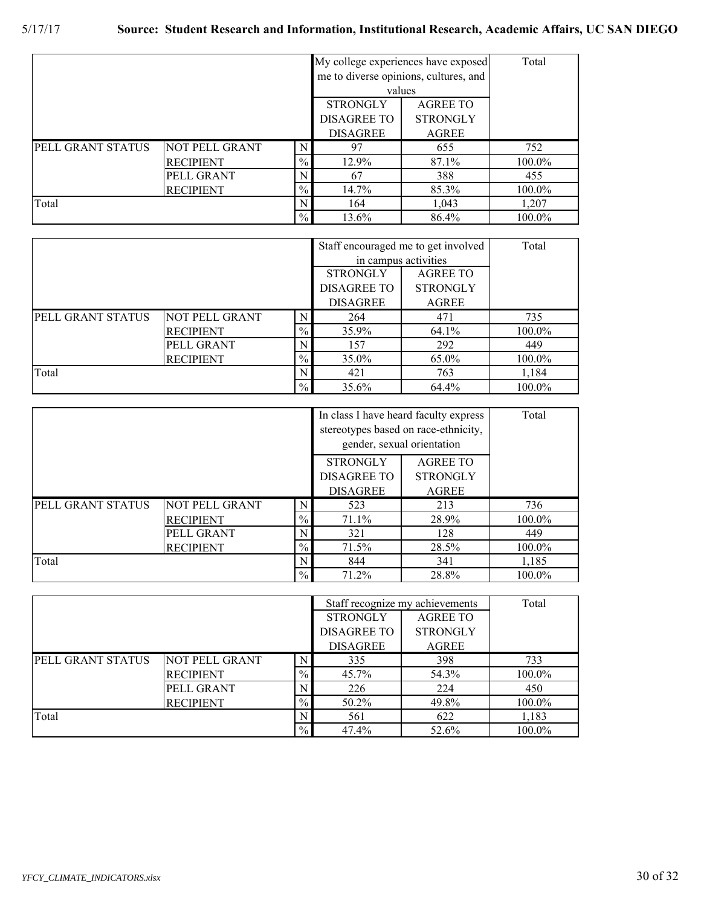|                   |                       | My college experiences have exposed |                                       | Total           |        |
|-------------------|-----------------------|-------------------------------------|---------------------------------------|-----------------|--------|
|                   |                       |                                     | me to diverse opinions, cultures, and |                 |        |
|                   |                       |                                     | values                                |                 |        |
|                   |                       | <b>STRONGLY</b>                     | <b>AGREE TO</b>                       |                 |        |
|                   |                       |                                     | <b>DISAGREE TO</b>                    | <b>STRONGLY</b> |        |
|                   |                       |                                     | <b>DISAGREE</b>                       | <b>AGREE</b>    |        |
| PELL GRANT STATUS | <b>NOT PELL GRANT</b> | N                                   | 97                                    | 655             | 752    |
|                   | <b>RECIPIENT</b>      | $\%$                                | 12.9%                                 | 87.1%           | 100.0% |
|                   | PELL GRANT            | N                                   | 67                                    | 388             | 455    |
|                   | <b>RECIPIENT</b>      | $\%$                                | 14.7%                                 | 85.3%           | 100.0% |
| Total             |                       | N                                   | 164                                   | 1,043           | 1,207  |
|                   |                       | $\%$                                | 13.6%                                 | 86.4%           | 100.0% |

|                   |                  | Staff encouraged me to get involved |                      | Total           |        |
|-------------------|------------------|-------------------------------------|----------------------|-----------------|--------|
|                   |                  |                                     | in campus activities |                 |        |
|                   |                  |                                     | <b>STRONGLY</b>      | <b>AGREE TO</b> |        |
|                   |                  |                                     | <b>DISAGREE TO</b>   | <b>STRONGLY</b> |        |
|                   |                  |                                     | <b>DISAGREE</b>      | <b>AGREE</b>    |        |
| PELL GRANT STATUS | NOT PELL GRANT   | N                                   | 264                  | 471             | 735    |
|                   | <b>RECIPIENT</b> | $\%$                                | 35.9%                | 64.1%           | 100.0% |
|                   | PELL GRANT       | N                                   | 157                  | 292             | 449    |
|                   | <b>RECIPIENT</b> | $\%$                                | 35.0%                | 65.0%           | 100.0% |
| Total             |                  | N                                   | 421                  | 763             | 1,184  |
|                   |                  | $\%$                                | 35.6%                | 64.4%           | 100.0% |

|                   |                  | In class I have heard faculty express |                                      | Total           |        |
|-------------------|------------------|---------------------------------------|--------------------------------------|-----------------|--------|
|                   |                  |                                       | stereotypes based on race-ethnicity, |                 |        |
|                   |                  | gender, sexual orientation            |                                      |                 |        |
|                   |                  | <b>STRONGLY</b>                       | <b>AGREE TO</b>                      |                 |        |
|                   |                  |                                       | <b>DISAGREE TO</b>                   | <b>STRONGLY</b> |        |
|                   |                  |                                       | <b>DISAGREE</b>                      | <b>AGREE</b>    |        |
| PELL GRANT STATUS | NOT PELL GRANT   | N                                     | 523                                  | 213             | 736    |
|                   | <b>RECIPIENT</b> | $\frac{0}{0}$                         | 71.1%                                | 28.9%           | 100.0% |
|                   | PELL GRANT       | N                                     | 321                                  | 128             | 449    |
|                   | <b>RECIPIENT</b> | $\%$                                  | 71.5%                                | 28.5%           | 100.0% |
| Total             |                  | N                                     | 844                                  | 341             | 1,185  |
|                   |                  | $\%$                                  | 71.2%                                | 28.8%           | 100.0% |

|                   |                  | Staff recognize my achievements |                    | Total           |        |
|-------------------|------------------|---------------------------------|--------------------|-----------------|--------|
|                   |                  |                                 | <b>STRONGLY</b>    | <b>AGREE TO</b> |        |
|                   |                  |                                 | <b>DISAGREE TO</b> | <b>STRONGLY</b> |        |
|                   |                  |                                 | <b>DISAGREE</b>    | <b>AGREE</b>    |        |
| PELL GRANT STATUS | NOT PELL GRANT   | N                               | 335                | 398             | 733    |
|                   | <b>RECIPIENT</b> | $\frac{0}{0}$                   | 45.7%              | 54.3%           | 100.0% |
|                   | PELL GRANT       | N                               | 226                | 224             | 450    |
|                   | <b>RECIPIENT</b> | $\%$                            | 50.2%              | 49.8%           | 100.0% |
| Total             |                  | N                               | 561                | 622             | 1,183  |
|                   |                  | $\%$                            | 47.4%              | 52.6%           | 100.0% |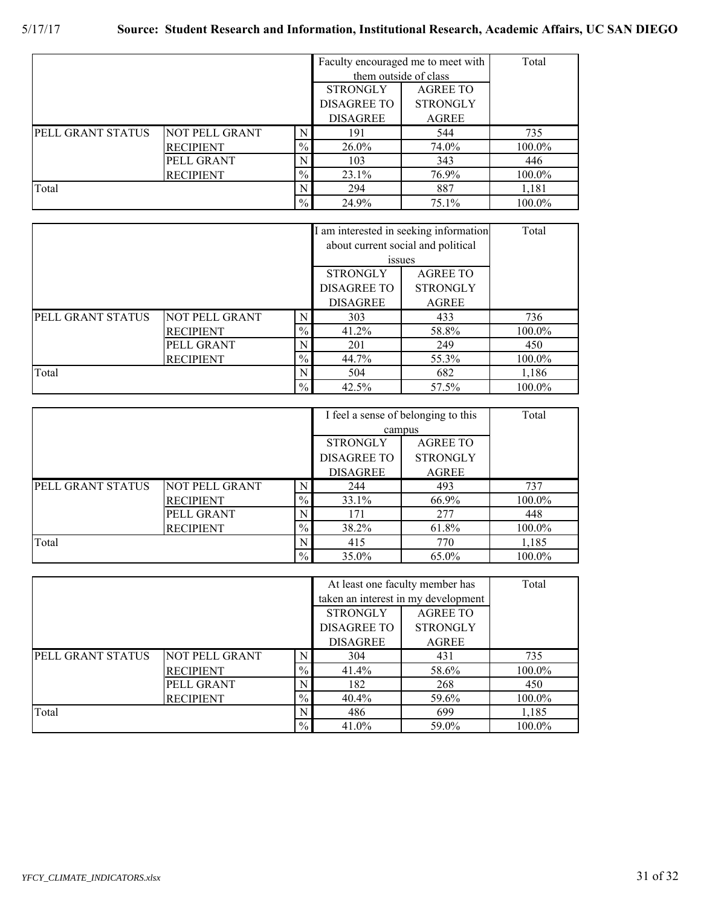|                   |                  | Faculty encouraged me to meet with |                       | Total           |        |
|-------------------|------------------|------------------------------------|-----------------------|-----------------|--------|
|                   |                  |                                    | them outside of class |                 |        |
|                   |                  | <b>STRONGLY</b>                    | <b>AGREE TO</b>       |                 |        |
|                   |                  |                                    | <b>DISAGREE TO</b>    | <b>STRONGLY</b> |        |
|                   |                  |                                    | <b>DISAGREE</b>       | <b>AGREE</b>    |        |
| PELL GRANT STATUS | NOT PELL GRANT   | N                                  | 191                   | 544             | 735    |
|                   | <b>RECIPIENT</b> | $\%$                               | 26.0%                 | 74.0%           | 100.0% |
|                   | PELL GRANT       | N                                  | 103                   | 343             | 446    |
|                   | <b>RECIPIENT</b> | $\%$                               | 23.1%                 | 76.9%           | 100.0% |
| Total             |                  | N                                  | 294                   | 887             | 1,181  |
|                   |                  | $\frac{0}{0}$                      | 24.9%                 | 75.1%           | 100.0% |

|                   |                       | I am interested in seeking information |                                    | Total           |        |
|-------------------|-----------------------|----------------------------------------|------------------------------------|-----------------|--------|
|                   |                       |                                        | about current social and political |                 |        |
|                   |                       | issues                                 |                                    |                 |        |
|                   |                       |                                        | <b>STRONGLY</b>                    | <b>AGREE TO</b> |        |
|                   |                       |                                        | <b>DISAGREE TO</b>                 | <b>STRONGLY</b> |        |
|                   |                       |                                        | <b>DISAGREE</b>                    | <b>AGREE</b>    |        |
| PELL GRANT STATUS | <b>NOT PELL GRANT</b> | N                                      | 303                                | 433             | 736    |
|                   | <b>RECIPIENT</b>      | $\%$                                   | 41.2%                              | 58.8%           | 100.0% |
|                   | PELL GRANT            | N                                      | 201                                | 249             | 450    |
|                   | <b>RECIPIENT</b>      | $\frac{0}{0}$                          | 44.7%                              | 55.3%           | 100.0% |
| Total             |                       | N                                      | 504                                | 682             | 1,186  |
|                   |                       | $\frac{0}{0}$                          | 42.5%                              | 57.5%           | 100.0% |

|                   |                       | I feel a sense of belonging to this |                    | Total           |        |
|-------------------|-----------------------|-------------------------------------|--------------------|-----------------|--------|
|                   |                       |                                     | campus             |                 |        |
|                   |                       | <b>STRONGLY</b>                     | <b>AGREE TO</b>    |                 |        |
|                   |                       |                                     | <b>DISAGREE TO</b> | <b>STRONGLY</b> |        |
|                   |                       |                                     | <b>DISAGREE</b>    | <b>AGREE</b>    |        |
| PELL GRANT STATUS | <b>NOT PELL GRANT</b> | N                                   | 244                | 493             | 737    |
|                   | <b>RECIPIENT</b>      | $\%$                                | 33.1%              | 66.9%           | 100.0% |
|                   | PELL GRANT            |                                     | 171                | 277             | 448    |
|                   | <b>RECIPIENT</b>      | $\%$                                | 38.2%              | 61.8%           | 100.0% |
| Total             |                       | N                                   | 415                | 770             | 1,185  |
|                   |                       | $\frac{0}{6}$                       | 35.0%              | 65.0%           | 100.0% |

|                   |                       | At least one faculty member has |                                     | Total           |        |
|-------------------|-----------------------|---------------------------------|-------------------------------------|-----------------|--------|
|                   |                       |                                 | taken an interest in my development |                 |        |
|                   |                       | <b>STRONGLY</b>                 | <b>AGREE TO</b>                     |                 |        |
|                   |                       |                                 | <b>DISAGREE TO</b>                  | <b>STRONGLY</b> |        |
|                   |                       |                                 | <b>DISAGREE</b>                     | <b>AGREE</b>    |        |
| PELL GRANT STATUS | <b>NOT PELL GRANT</b> |                                 | 304                                 | 431             | 735    |
|                   | <b>RECIPIENT</b>      | $\%$                            | 41.4%                               | 58.6%           | 100.0% |
|                   | PELL GRANT            | N                               | 182                                 | 268             | 450    |
|                   | <b>RECIPIENT</b>      | $\%$                            | 40.4%                               | 59.6%           | 100.0% |
| Total             |                       | N                               | 486                                 | 699             | 1,185  |
|                   |                       | $\frac{0}{0}$                   | 41.0%                               | 59.0%           | 100.0% |